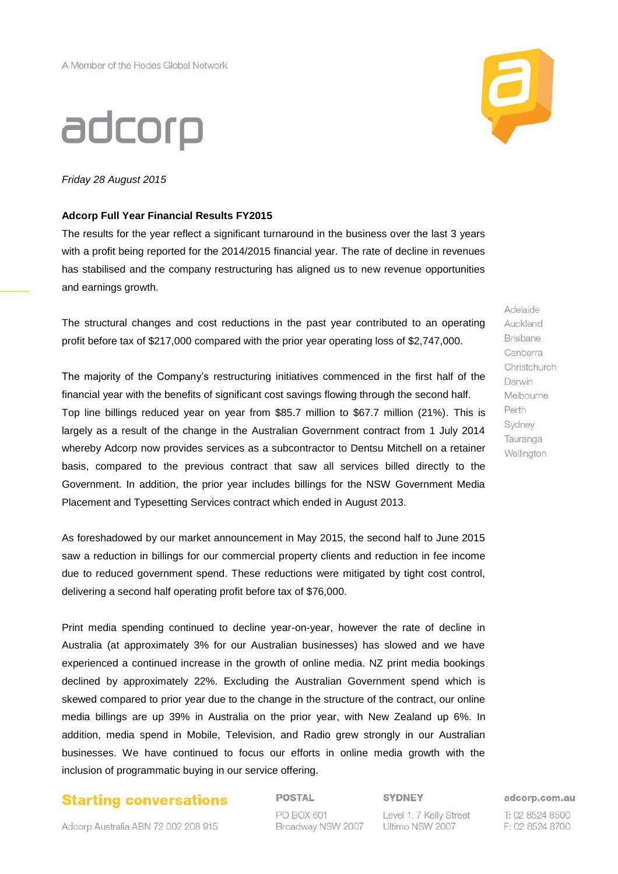# adcorp

*Friday 28 August 2015*

#### **Adcorp Full Year Financial Results FY2015**

The results for the year reflect a significant turnaround in the business over the last 3 years with a profit being reported for the 2014/2015 financial year. The rate of decline in revenues has stabilised and the company restructuring has aligned us to new revenue opportunities and earnings growth.

The structural changes and cost reductions in the past year contributed to an operating profit before tax of \$217,000 compared with the prior year operating loss of \$2,747,000.

The majority of the Company's restructuring initiatives commenced in the first half of the financial year with the benefits of significant cost savings flowing through the second half. Top line billings reduced year on year from \$85.7 million to \$67.7 million (21%). This is largely as a result of the change in the Australian Government contract from 1 July 2014 whereby Adcorp now provides services as a subcontractor to Dentsu Mitchell on a retainer basis, compared to the previous contract that saw all services billed directly to the Government. In addition, the prior year includes billings for the NSW Government Media Placement and Typesetting Services contract which ended in August 2013.

As foreshadowed by our market announcement in May 2015, the second half to June 2015 saw a reduction in billings for our commercial property clients and reduction in fee income due to reduced government spend. These reductions were mitigated by tight cost control, delivering a second half operating profit before tax of \$76,000.

Print media spending continued to decline year-on-year, however the rate of decline in Australia (at approximately 3% for our Australian businesses) has slowed and we have experienced a continued increase in the growth of online media. NZ print media bookings declined by approximately 22%. Excluding the Australian Government spend which is skewed compared to prior year due to the change in the structure of the contract, our online media billings are up 39% in Australia on the prior year, with New Zealand up 6%. In addition, media spend in Mobile, Television, and Radio grew strongly in our Australian businesses. We have continued to focus our efforts in online media growth with the inclusion of programmatic buying in our service offering.

# **Starting conversations**

Adcorp Australia ABN 72 002 208 915

POSTAL PO BOX 601 Broadway NSW 2007 **SYDNEY** 

Level 1, 7 Kelly Street Ultimo NSW 2007

adcorp.com.au

T: 02 8524 8500 F: 02 8524 8700



Adelaide Auckland Brisbane Canberra Christchurch Darwin Melbourne Perth Sydney Tauranga Wellington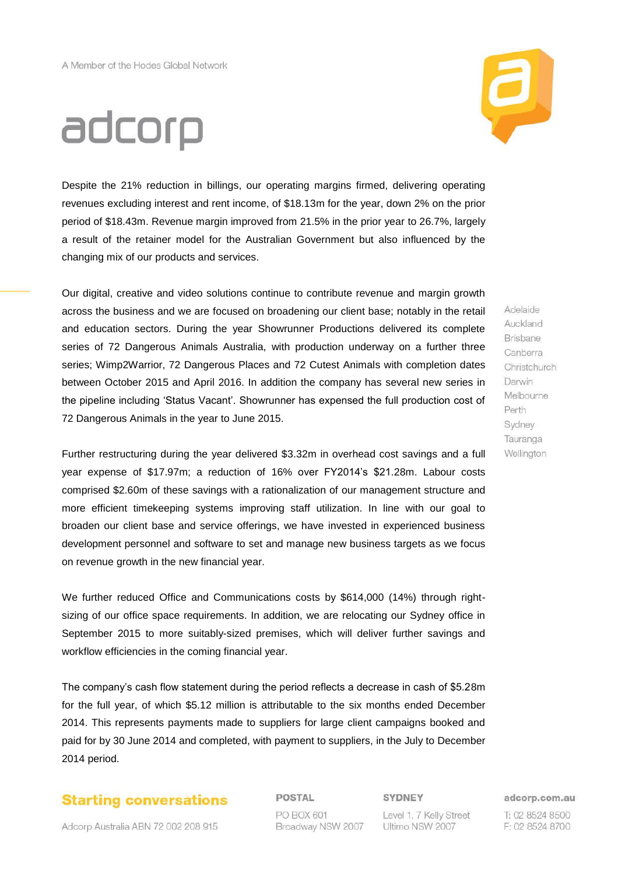

# adcorp

Despite the 21% reduction in billings, our operating margins firmed, delivering operating revenues excluding interest and rent income, of \$18.13m for the year, down 2% on the prior period of \$18.43m. Revenue margin improved from 21.5% in the prior year to 26.7%, largely a result of the retainer model for the Australian Government but also influenced by the changing mix of our products and services.

Our digital, creative and video solutions continue to contribute revenue and margin growth across the business and we are focused on broadening our client base; notably in the retail and education sectors. During the year Showrunner Productions delivered its complete series of 72 Dangerous Animals Australia, with production underway on a further three series; Wimp2Warrior, 72 Dangerous Places and 72 Cutest Animals with completion dates between October 2015 and April 2016. In addition the company has several new series in the pipeline including 'Status Vacant'. Showrunner has expensed the full production cost of 72 Dangerous Animals in the year to June 2015.

Adelaide Auckland Brisbane Canberra Christchurch Darwin Melbourne Perth Sydney Tauranga Wellington

Further restructuring during the year delivered \$3.32m in overhead cost savings and a full year expense of \$17.97m; a reduction of 16% over FY2014's \$21.28m. Labour costs comprised \$2.60m of these savings with a rationalization of our management structure and more efficient timekeeping systems improving staff utilization. In line with our goal to broaden our client base and service offerings, we have invested in experienced business development personnel and software to set and manage new business targets as we focus on revenue growth in the new financial year.

We further reduced Office and Communications costs by \$614,000 (14%) through rightsizing of our office space requirements. In addition, we are relocating our Sydney office in September 2015 to more suitably-sized premises, which will deliver further savings and workflow efficiencies in the coming financial year.

The company's cash flow statement during the period reflects a decrease in cash of \$5.28m for the full year, of which \$5.12 million is attributable to the six months ended December 2014. This represents payments made to suppliers for large client campaigns booked and paid for by 30 June 2014 and completed, with payment to suppliers, in the July to December 2014 period.

# **Starting conversations**

Adcorp Australia ABN 72 002 208 915

POSTAL PO BOX 601 Broadway NSW 2007 SYDNEY

Level 1, 7 Kelly Street Ultimo NSW 2007

adcorp.com.au

T: 02 8524 8500 F: 02 8524 8700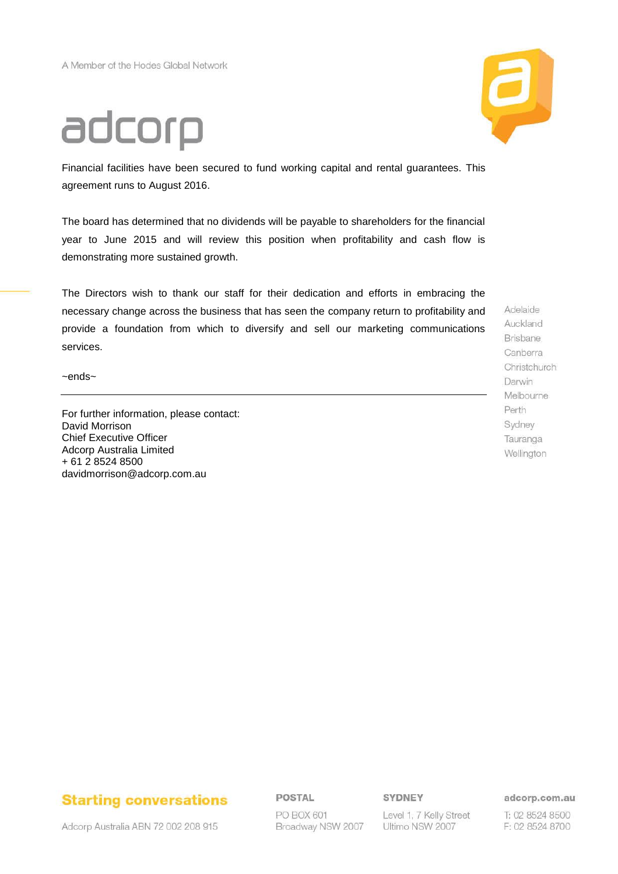# adcorp

Financial facilities have been secured to fund working capital and rental guarantees. This agreement runs to August 2016.

The board has determined that no dividends will be payable to shareholders for the financial year to June 2015 and will review this position when profitability and cash flow is demonstrating more sustained growth.

The Directors wish to thank our staff for their dedication and efforts in embracing the necessary change across the business that has seen the company return to profitability and provide a foundation from which to diversify and sell our marketing communications services.

~ends~

For further information, please contact: David Morrison Chief Executive Officer Adcorp Australia Limited + 61 2 8524 8500 davidmorrison@adcorp.com.au

Adelaide Auckland Brisbane Canberra Christchurch Darwin Melbourne Perth Sydney Tauranga Wellington

# **Starting conversations**

Adcorp Australia ABN 72 002 208 915

POSTAL

PO BOX 601 Broadway NSW 2007 SYDNEY

Level 1, 7 Kelly Street Ultimo NSW 2007

adcorp.com.au

T: 02 8524 8500 F: 02 8524 8700

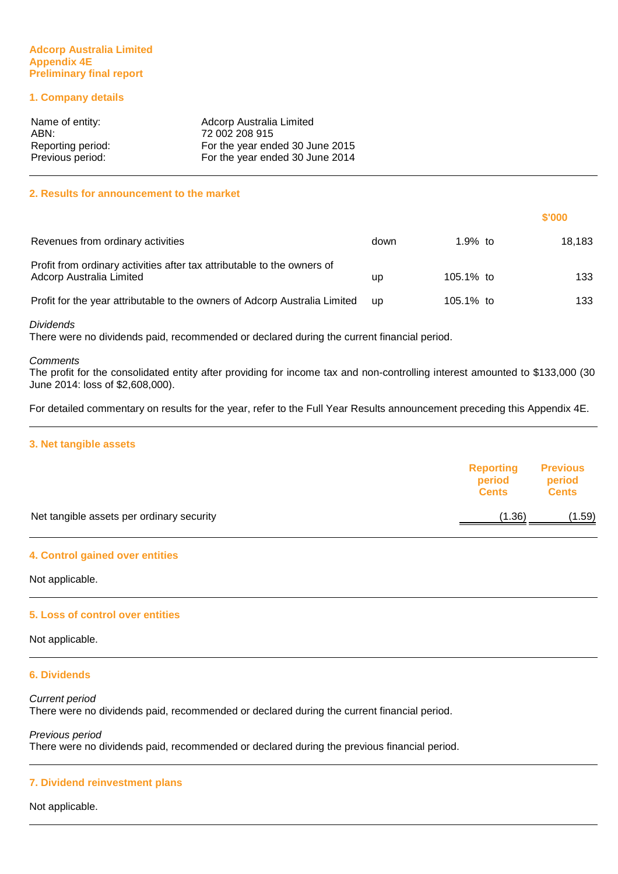#### **Adcorp Australia Limited Appendix 4E Preliminary final report**

# **1. Company details**

| Name of entity:   | Adcorp Australia Limited        |
|-------------------|---------------------------------|
| ABN:              | 72 002 208 915                  |
| Reporting period: | For the year ended 30 June 2015 |
| Previous period:  | For the year ended 30 June 2014 |

#### **2. Results for announcement to the market**

|                                                                                                     |           |           | \$'000 |
|-----------------------------------------------------------------------------------------------------|-----------|-----------|--------|
| Revenues from ordinary activities                                                                   | down      | 1.9% to   | 18.183 |
| Profit from ordinary activities after tax attributable to the owners of<br>Adcorp Australia Limited | up        | 105.1% to | 133    |
| Profit for the year attributable to the owners of Adcorp Australia Limited                          | <b>up</b> | 105.1% to | 133    |

#### Dividends

There were no dividends paid, recommended or declared during the current financial period.

#### **Comments**

The profit for the consolidated entity after providing for income tax and non-controlling interest amounted to \$133,000 (30 June 2014: loss of \$2,608,000).

For detailed commentary on results for the year, refer to the Full Year Results announcement preceding this Appendix 4E.

#### **3. Net tangible assets**

|                                           | <b>Reporting</b><br>period<br><b>Cents</b> | <b>Previous</b><br>period<br><b>Cents</b> |
|-------------------------------------------|--------------------------------------------|-------------------------------------------|
| Net tangible assets per ordinary security | (1.36)                                     | (1.59)                                    |
|                                           |                                            |                                           |

#### **4. Control gained over entities**

Not applicable.

#### **5. Loss of control over entities**

Not applicable.

#### **6. Dividends**

Current period There were no dividends paid, recommended or declared during the current financial period.

Previous period There were no dividends paid, recommended or declared during the previous financial period.

#### **7. Dividend reinvestment plans**

Not applicable.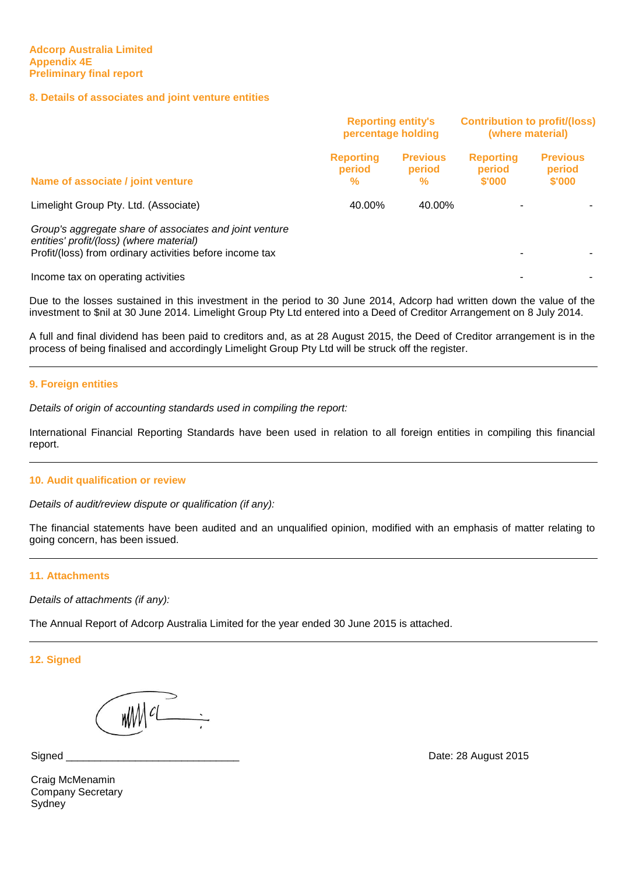#### **8. Details of associates and joint venture entities**

|                                                                                                                                                                 | <b>Reporting entity's</b><br>percentage holding |                                | <b>Contribution to profit/(loss)</b><br>(where material) |                                     |
|-----------------------------------------------------------------------------------------------------------------------------------------------------------------|-------------------------------------------------|--------------------------------|----------------------------------------------------------|-------------------------------------|
| Name of associate / joint venture                                                                                                                               | <b>Reporting</b><br>period<br>%                 | <b>Previous</b><br>period<br>% | <b>Reporting</b><br>period<br>\$'000                     | <b>Previous</b><br>period<br>\$'000 |
| Limelight Group Pty. Ltd. (Associate)                                                                                                                           | 40.00%                                          | 40.00%                         |                                                          |                                     |
| Group's aggregate share of associates and joint venture<br>entities' profit/(loss) (where material)<br>Profit/(loss) from ordinary activities before income tax |                                                 |                                |                                                          |                                     |
| Income tax on operating activities                                                                                                                              |                                                 |                                |                                                          |                                     |

Due to the losses sustained in this investment in the period to 30 June 2014, Adcorp had written down the value of the investment to \$nil at 30 June 2014. Limelight Group Pty Ltd entered into a Deed of Creditor Arrangement on 8 July 2014.

A full and final dividend has been paid to creditors and, as at 28 August 2015, the Deed of Creditor arrangement is in the process of being finalised and accordingly Limelight Group Pty Ltd will be struck off the register.

#### **9. Foreign entities**

Details of origin of accounting standards used in compiling the report:

International Financial Reporting Standards have been used in relation to all foreign entities in compiling this financial report.

#### **10. Audit qualification or review**

Details of audit/review dispute or qualification (if any):

The financial statements have been audited and an unqualified opinion, modified with an emphasis of matter relating to going concern, has been issued.

#### **11. Attachments**

Details of attachments (if any):

The Annual Report of Adcorp Australia Limited for the year ended 30 June 2015 is attached.

**12. Signed**

Signed

Date: 28 August 2015

Craig McMenamin Company Secretary Sydney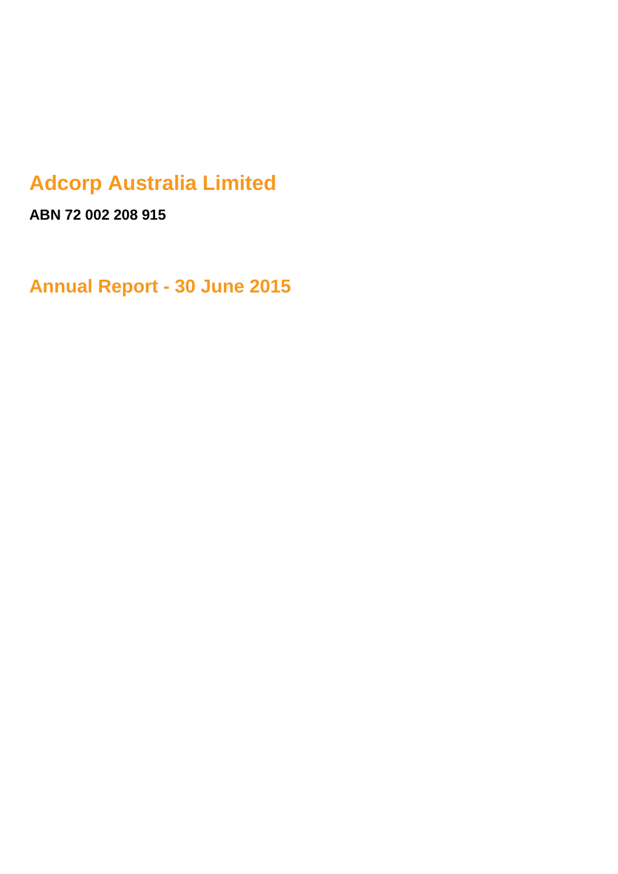# **Adcorp Australia Limited**

**ABN 72 002 208 915**

**Annual Report - 30 June 2015**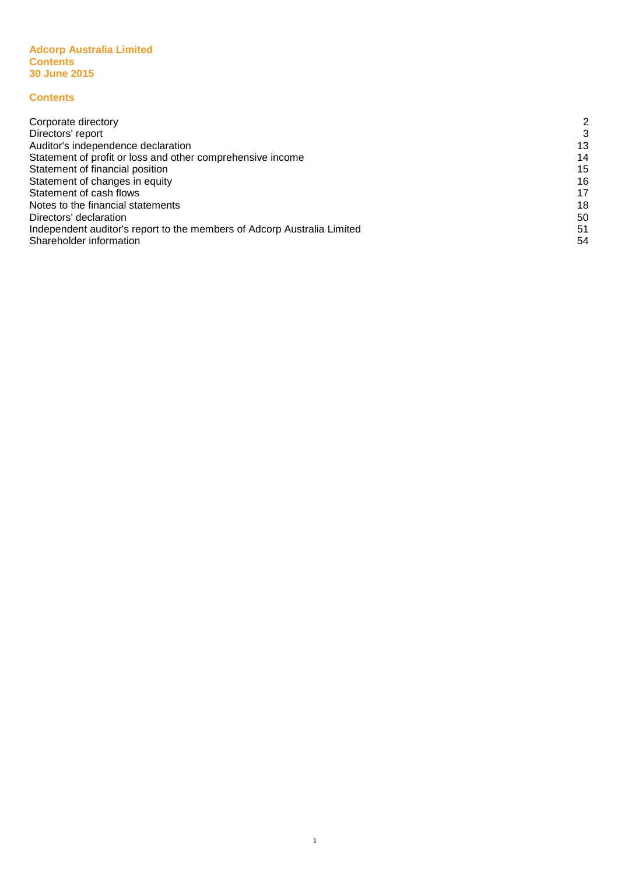#### **Adcorp Australia Limited Contents Contents 30 June 2015**

# **Contents**

| Corporate directory                                                     | 2  |
|-------------------------------------------------------------------------|----|
| Directors' report                                                       | 3  |
| Auditor's independence declaration                                      | 13 |
| Statement of profit or loss and other comprehensive income              | 14 |
| Statement of financial position                                         | 15 |
| Statement of changes in equity                                          | 16 |
| Statement of cash flows                                                 | 17 |
| Notes to the financial statements                                       | 18 |
| Directors' declaration                                                  | 50 |
| Independent auditor's report to the members of Adcorp Australia Limited | 51 |
| Shareholder information                                                 | 54 |

1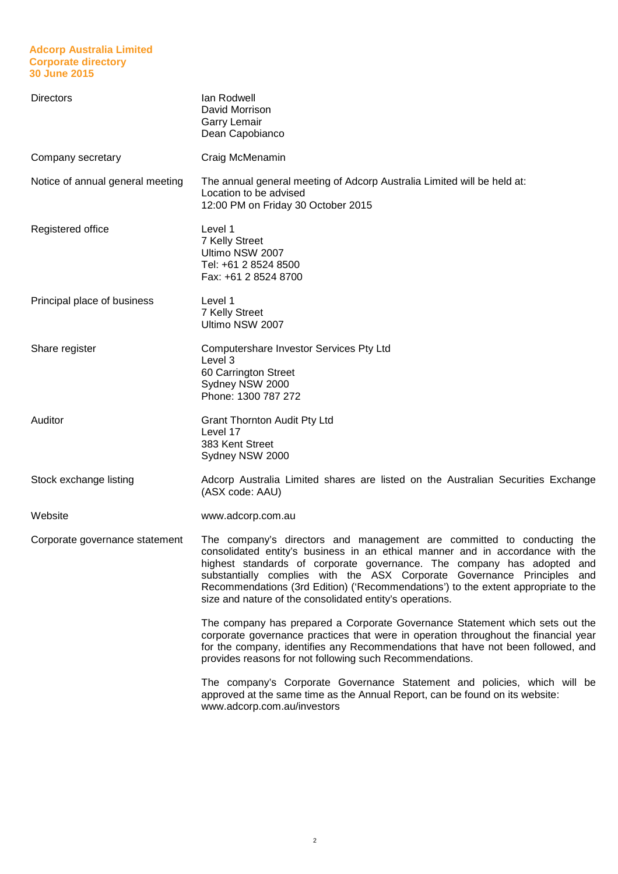#### **Adcorp Australia Limited Corporate directory 30 June 2015**

| <b>Directors</b>                 | lan Rodwell<br>David Morrison<br><b>Garry Lemair</b><br>Dean Capobianco                                                                                                                                                                                                                                                                                                                                                                                         |
|----------------------------------|-----------------------------------------------------------------------------------------------------------------------------------------------------------------------------------------------------------------------------------------------------------------------------------------------------------------------------------------------------------------------------------------------------------------------------------------------------------------|
| Company secretary                | Craig McMenamin                                                                                                                                                                                                                                                                                                                                                                                                                                                 |
| Notice of annual general meeting | The annual general meeting of Adcorp Australia Limited will be held at:<br>Location to be advised<br>12:00 PM on Friday 30 October 2015                                                                                                                                                                                                                                                                                                                         |
| Registered office                | Level 1<br>7 Kelly Street<br>Ultimo NSW 2007<br>Tel: +61 2 8524 8500<br>Fax: +61 2 8524 8700                                                                                                                                                                                                                                                                                                                                                                    |
| Principal place of business      | Level 1<br>7 Kelly Street<br>Ultimo NSW 2007                                                                                                                                                                                                                                                                                                                                                                                                                    |
| Share register                   | Computershare Investor Services Pty Ltd<br>Level 3<br>60 Carrington Street<br>Sydney NSW 2000<br>Phone: 1300 787 272                                                                                                                                                                                                                                                                                                                                            |
| Auditor                          | <b>Grant Thornton Audit Pty Ltd</b><br>Level 17<br>383 Kent Street<br>Sydney NSW 2000                                                                                                                                                                                                                                                                                                                                                                           |
| Stock exchange listing           | Adcorp Australia Limited shares are listed on the Australian Securities Exchange<br>(ASX code: AAU)                                                                                                                                                                                                                                                                                                                                                             |
| Website                          | www.adcorp.com.au                                                                                                                                                                                                                                                                                                                                                                                                                                               |
| Corporate governance statement   | The company's directors and management are committed to conducting the<br>consolidated entity's business in an ethical manner and in accordance with the<br>highest standards of corporate governance. The company has adopted and<br>substantially complies with the ASX Corporate Governance Principles and<br>Recommendations (3rd Edition) ('Recommendations') to the extent appropriate to the<br>size and nature of the consolidated entity's operations. |
|                                  | The company has prepared a Corporate Governance Statement which sets out the<br>corporate governance practices that were in operation throughout the financial year<br>for the company, identifies any Recommendations that have not been followed, and<br>provides reasons for not following such Recommendations.                                                                                                                                             |
|                                  | The company's Corporate Governance Statement and policies, which will be<br>approved at the same time as the Annual Report, can be found on its website:<br>www.adcorp.com.au/investors                                                                                                                                                                                                                                                                         |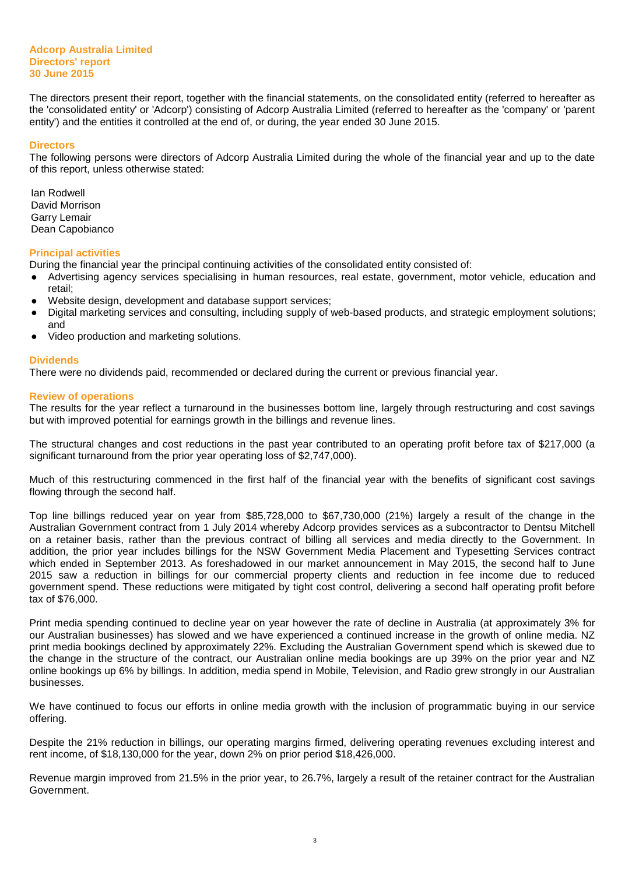#### **Adcorp Australia Limited Directors' report 30 June 2015**

The directors present their report, together with the financial statements, on the consolidated entity (referred to hereafter as the 'consolidated entity' or 'Adcorp') consisting of Adcorp Australia Limited (referred to hereafter as the 'company' or 'parent entity') and the entities it controlled at the end of, or during, the year ended 30 June 2015.

#### **Directors**

The following persons were directors of Adcorp Australia Limited during the whole of the financial year and up to the date of this report, unless otherwise stated:

Ian Rodwell David Morrison Garry Lemair Dean Capobianco

#### **Principal activities**

During the financial year the principal continuing activities of the consolidated entity consisted of:

- Advertising agency services specialising in human resources, real estate, government, motor vehicle, education and retail;
- Website design, development and database support services;
- Digital marketing services and consulting, including supply of web-based products, and strategic employment solutions; and
- Video production and marketing solutions.

#### **Dividends**

There were no dividends paid, recommended or declared during the current or previous financial year.

#### **Review of operations**

The results for the year reflect a turnaround in the businesses bottom line, largely through restructuring and cost savings but with improved potential for earnings growth in the billings and revenue lines.

The structural changes and cost reductions in the past year contributed to an operating profit before tax of \$217,000 (a significant turnaround from the prior year operating loss of \$2,747,000).

Much of this restructuring commenced in the first half of the financial year with the benefits of significant cost savings flowing through the second half.

Top line billings reduced year on year from \$85,728,000 to \$67,730,000 (21%) largely a result of the change in the Australian Government contract from 1 July 2014 whereby Adcorp provides services as a subcontractor to Dentsu Mitchell on a retainer basis, rather than the previous contract of billing all services and media directly to the Government. In addition, the prior year includes billings for the NSW Government Media Placement and Typesetting Services contract which ended in September 2013. As foreshadowed in our market announcement in May 2015, the second half to June 2015 saw a reduction in billings for our commercial property clients and reduction in fee income due to reduced government spend. These reductions were mitigated by tight cost control, delivering a second half operating profit before tax of \$76,000.

Print media spending continued to decline year on year however the rate of decline in Australia (at approximately 3% for our Australian businesses) has slowed and we have experienced a continued increase in the growth of online media. NZ print media bookings declined by approximately 22%. Excluding the Australian Government spend which is skewed due to the change in the structure of the contract, our Australian online media bookings are up 39% on the prior year and NZ online bookings up 6% by billings. In addition, media spend in Mobile, Television, and Radio grew strongly in our Australian businesses.

We have continued to focus our efforts in online media growth with the inclusion of programmatic buying in our service offering.

Despite the 21% reduction in billings, our operating margins firmed, delivering operating revenues excluding interest and rent income, of \$18,130,000 for the year, down 2% on prior period \$18,426,000.

Revenue margin improved from 21.5% in the prior year, to 26.7%, largely a result of the retainer contract for the Australian Government.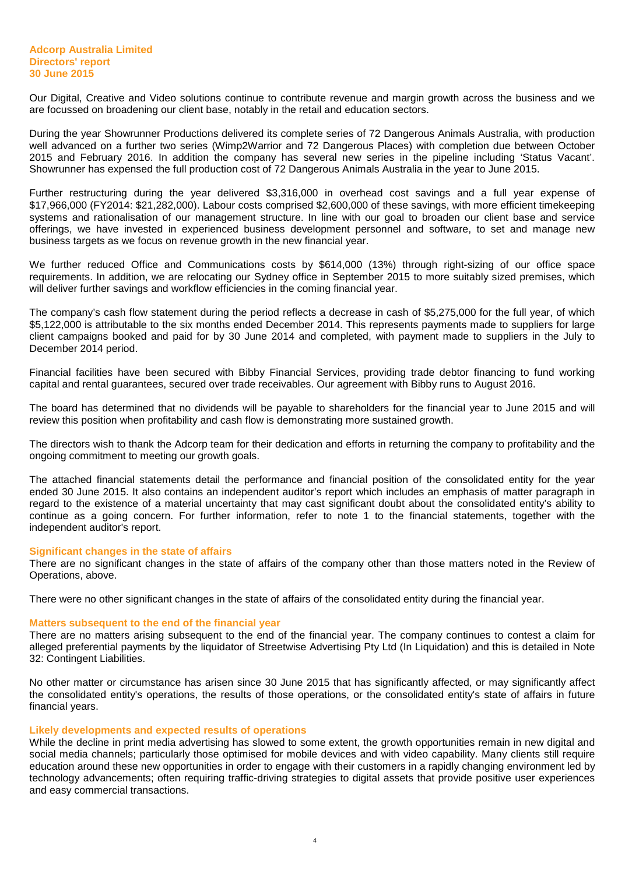Our Digital, Creative and Video solutions continue to contribute revenue and margin growth across the business and we are focussed on broadening our client base, notably in the retail and education sectors.

During the year Showrunner Productions delivered its complete series of 72 Dangerous Animals Australia, with production well advanced on a further two series (Wimp2Warrior and 72 Dangerous Places) with completion due between October 2015 and February 2016. In addition the company has several new series in the pipeline including 'Status Vacant'. Showrunner has expensed the full production cost of 72 Dangerous Animals Australia in the year to June 2015.

Further restructuring during the year delivered \$3,316,000 in overhead cost savings and a full year expense of \$17,966,000 (FY2014: \$21,282,000). Labour costs comprised \$2,600,000 of these savings, with more efficient timekeeping systems and rationalisation of our management structure. In line with our goal to broaden our client base and service offerings, we have invested in experienced business development personnel and software, to set and manage new business targets as we focus on revenue growth in the new financial year.

We further reduced Office and Communications costs by \$614,000 (13%) through right-sizing of our office space requirements. In addition, we are relocating our Sydney office in September 2015 to more suitably sized premises, which will deliver further savings and workflow efficiencies in the coming financial year.

The company's cash flow statement during the period reflects a decrease in cash of \$5,275,000 for the full year, of which \$5,122,000 is attributable to the six months ended December 2014. This represents payments made to suppliers for large client campaigns booked and paid for by 30 June 2014 and completed, with payment made to suppliers in the July to December 2014 period.

Financial facilities have been secured with Bibby Financial Services, providing trade debtor financing to fund working capital and rental guarantees, secured over trade receivables. Our agreement with Bibby runs to August 2016.

The board has determined that no dividends will be payable to shareholders for the financial year to June 2015 and will review this position when profitability and cash flow is demonstrating more sustained growth.

The directors wish to thank the Adcorp team for their dedication and efforts in returning the company to profitability and the ongoing commitment to meeting our growth goals.

The attached financial statements detail the performance and financial position of the consolidated entity for the year ended 30 June 2015. It also contains an independent auditor's report which includes an emphasis of matter paragraph in regard to the existence of a material uncertainty that may cast significant doubt about the consolidated entity's ability to continue as a going concern. For further information, refer to note 1 to the financial statements, together with the independent auditor's report.

#### **Significant changes in the state of affairs**

There are no significant changes in the state of affairs of the company other than those matters noted in the Review of Operations, above.

There were no other significant changes in the state of affairs of the consolidated entity during the financial year.

#### **Matters subsequent to the end of the financial year**

There are no matters arising subsequent to the end of the financial year. The company continues to contest a claim for alleged preferential payments by the liquidator of Streetwise Advertising Pty Ltd (In Liquidation) and this is detailed in Note 32: Contingent Liabilities.

No other matter or circumstance has arisen since 30 June 2015 that has significantly affected, or may significantly affect the consolidated entity's operations, the results of those operations, or the consolidated entity's state of affairs in future financial years.

#### **Likely developments and expected results of operations**

While the decline in print media advertising has slowed to some extent, the growth opportunities remain in new digital and social media channels; particularly those optimised for mobile devices and with video capability. Many clients still require education around these new opportunities in order to engage with their customers in a rapidly changing environment led by technology advancements; often requiring traffic-driving strategies to digital assets that provide positive user experiences and easy commercial transactions.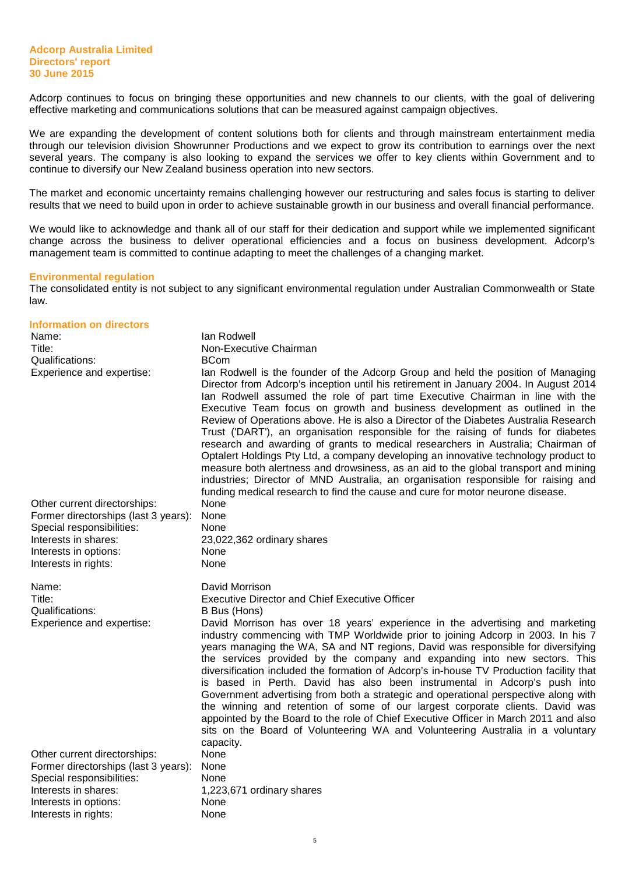Adcorp continues to focus on bringing these opportunities and new channels to our clients, with the goal of delivering effective marketing and communications solutions that can be measured against campaign objectives.

We are expanding the development of content solutions both for clients and through mainstream entertainment media through our television division Showrunner Productions and we expect to grow its contribution to earnings over the next several years. The company is also looking to expand the services we offer to key clients within Government and to continue to diversify our New Zealand business operation into new sectors.

The market and economic uncertainty remains challenging however our restructuring and sales focus is starting to deliver results that we need to build upon in order to achieve sustainable growth in our business and overall financial performance.

We would like to acknowledge and thank all of our staff for their dedication and support while we implemented significant change across the business to deliver operational efficiencies and a focus on business development. Adcorp's management team is committed to continue adapting to meet the challenges of a changing market.

#### **Environmental regulation**

The consolidated entity is not subject to any significant environmental regulation under Australian Commonwealth or State law.

#### **Information on directors**

| Name:<br>Title:<br>Qualifications:<br>Experience and expertise:                                                                                                            | lan Rodwell<br>Non-Executive Chairman<br><b>BCom</b><br>lan Rodwell is the founder of the Adcorp Group and held the position of Managing<br>Director from Adcorp's inception until his retirement in January 2004. In August 2014<br>lan Rodwell assumed the role of part time Executive Chairman in line with the<br>Executive Team focus on growth and business development as outlined in the<br>Review of Operations above. He is also a Director of the Diabetes Australia Research<br>Trust ('DART'), an organisation responsible for the raising of funds for diabetes<br>research and awarding of grants to medical researchers in Australia; Chairman of<br>Optalert Holdings Pty Ltd, a company developing an innovative technology product to<br>measure both alertness and drowsiness, as an aid to the global transport and mining<br>industries; Director of MND Australia, an organisation responsible for raising and<br>funding medical research to find the cause and cure for motor neurone disease. |
|----------------------------------------------------------------------------------------------------------------------------------------------------------------------------|-------------------------------------------------------------------------------------------------------------------------------------------------------------------------------------------------------------------------------------------------------------------------------------------------------------------------------------------------------------------------------------------------------------------------------------------------------------------------------------------------------------------------------------------------------------------------------------------------------------------------------------------------------------------------------------------------------------------------------------------------------------------------------------------------------------------------------------------------------------------------------------------------------------------------------------------------------------------------------------------------------------------------|
| Other current directorships:<br>Former directorships (last 3 years):<br>Special responsibilities:<br>Interests in shares:<br>Interests in options:<br>Interests in rights: | None<br>None<br>None<br>23,022,362 ordinary shares<br>None<br>None                                                                                                                                                                                                                                                                                                                                                                                                                                                                                                                                                                                                                                                                                                                                                                                                                                                                                                                                                      |
| Name:<br>Title:<br>Qualifications:<br>Experience and expertise:                                                                                                            | David Morrison<br><b>Executive Director and Chief Executive Officer</b><br>B Bus (Hons)<br>David Morrison has over 18 years' experience in the advertising and marketing<br>industry commencing with TMP Worldwide prior to joining Adcorp in 2003. In his 7<br>years managing the WA, SA and NT regions, David was responsible for diversifying<br>the services provided by the company and expanding into new sectors. This<br>diversification included the formation of Adcorp's in-house TV Production facility that<br>is based in Perth. David has also been instrumental in Adcorp's push into<br>Government advertising from both a strategic and operational perspective along with<br>the winning and retention of some of our largest corporate clients. David was<br>appointed by the Board to the role of Chief Executive Officer in March 2011 and also<br>sits on the Board of Volunteering WA and Volunteering Australia in a voluntary                                                                 |
| Other current directorships:<br>Former directorships (last 3 years):<br>Special responsibilities:<br>Interests in shares:<br>Interests in options:<br>Interests in rights: | capacity.<br>None<br>None<br>None<br>1,223,671 ordinary shares<br>None<br>None                                                                                                                                                                                                                                                                                                                                                                                                                                                                                                                                                                                                                                                                                                                                                                                                                                                                                                                                          |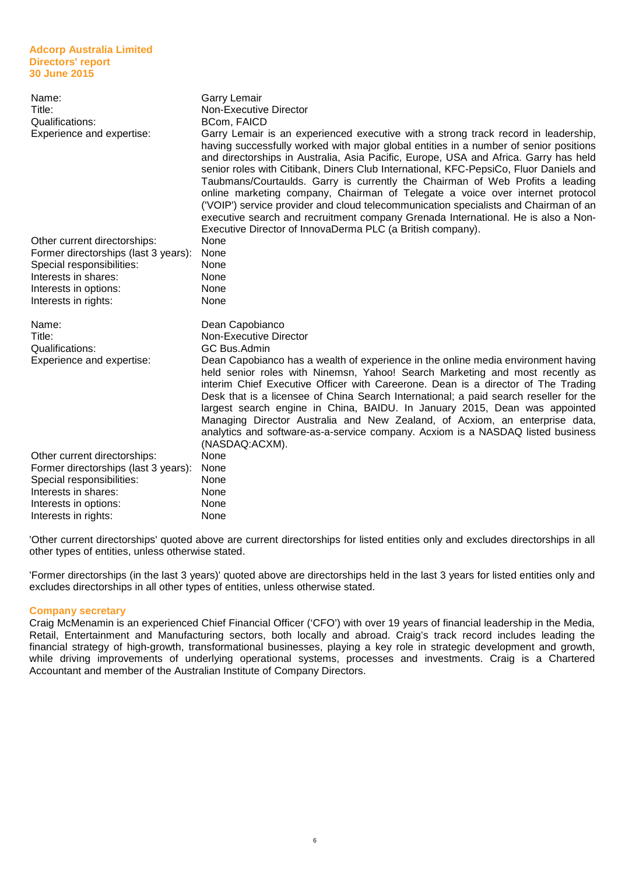#### **Adcorp Australia Limited Directors' report 30 June 2015**

| Name:<br>Title:<br>Qualifications:<br>Experience and expertise: | <b>Garry Lemair</b><br>Non-Executive Director<br>BCom, FAICD<br>Garry Lemair is an experienced executive with a strong track record in leadership,<br>having successfully worked with major global entities in a number of senior positions<br>and directorships in Australia, Asia Pacific, Europe, USA and Africa. Garry has held<br>senior roles with Citibank, Diners Club International, KFC-PepsiCo, Fluor Daniels and<br>Taubmans/Courtaulds. Garry is currently the Chairman of Web Profits a leading<br>online marketing company, Chairman of Telegate a voice over internet protocol<br>('VOIP') service provider and cloud telecommunication specialists and Chairman of an<br>executive search and recruitment company Grenada International. He is also a Non-<br>Executive Director of InnovaDerma PLC (a British company). |
|-----------------------------------------------------------------|-------------------------------------------------------------------------------------------------------------------------------------------------------------------------------------------------------------------------------------------------------------------------------------------------------------------------------------------------------------------------------------------------------------------------------------------------------------------------------------------------------------------------------------------------------------------------------------------------------------------------------------------------------------------------------------------------------------------------------------------------------------------------------------------------------------------------------------------|
| Other current directorships:                                    | None                                                                                                                                                                                                                                                                                                                                                                                                                                                                                                                                                                                                                                                                                                                                                                                                                                      |
| Former directorships (last 3 years):                            | None                                                                                                                                                                                                                                                                                                                                                                                                                                                                                                                                                                                                                                                                                                                                                                                                                                      |
| Special responsibilities:                                       | None                                                                                                                                                                                                                                                                                                                                                                                                                                                                                                                                                                                                                                                                                                                                                                                                                                      |
| Interests in shares:                                            | None                                                                                                                                                                                                                                                                                                                                                                                                                                                                                                                                                                                                                                                                                                                                                                                                                                      |
| Interests in options:                                           | None                                                                                                                                                                                                                                                                                                                                                                                                                                                                                                                                                                                                                                                                                                                                                                                                                                      |
| Interests in rights:                                            | None                                                                                                                                                                                                                                                                                                                                                                                                                                                                                                                                                                                                                                                                                                                                                                                                                                      |
| Name:<br>Title:<br>Qualifications:<br>Experience and expertise: | Dean Capobianco<br>Non-Executive Director<br><b>GC Bus.Admin</b><br>Dean Capobianco has a wealth of experience in the online media environment having<br>held senior roles with Ninemsn, Yahoo! Search Marketing and most recently as<br>interim Chief Executive Officer with Careerone. Dean is a director of The Trading<br>Desk that is a licensee of China Search International; a paid search reseller for the<br>largest search engine in China, BAIDU. In January 2015, Dean was appointed<br>Managing Director Australia and New Zealand, of Acxiom, an enterprise data,<br>analytics and software-as-a-service company. Acxiom is a NASDAQ listed business<br>(NASDAQ:ACXM).                                                                                                                                                     |
| Other current directorships:                                    | None                                                                                                                                                                                                                                                                                                                                                                                                                                                                                                                                                                                                                                                                                                                                                                                                                                      |
| Former directorships (last 3 years):                            | None                                                                                                                                                                                                                                                                                                                                                                                                                                                                                                                                                                                                                                                                                                                                                                                                                                      |
| Special responsibilities:                                       | None                                                                                                                                                                                                                                                                                                                                                                                                                                                                                                                                                                                                                                                                                                                                                                                                                                      |
| Interests in shares:                                            | None                                                                                                                                                                                                                                                                                                                                                                                                                                                                                                                                                                                                                                                                                                                                                                                                                                      |
| Interests in options:                                           | None                                                                                                                                                                                                                                                                                                                                                                                                                                                                                                                                                                                                                                                                                                                                                                                                                                      |
| Interests in rights:                                            | None                                                                                                                                                                                                                                                                                                                                                                                                                                                                                                                                                                                                                                                                                                                                                                                                                                      |

'Other current directorships' quoted above are current directorships for listed entities only and excludes directorships in all other types of entities, unless otherwise stated.

'Former directorships (in the last 3 years)' quoted above are directorships held in the last 3 years for listed entities only and excludes directorships in all other types of entities, unless otherwise stated.

#### **Company secretary**

Craig McMenamin is an experienced Chief Financial Officer ('CFO') with over 19 years of financial leadership in the Media, Retail, Entertainment and Manufacturing sectors, both locally and abroad. Craig's track record includes leading the financial strategy of high-growth, transformational businesses, playing a key role in strategic development and growth, while driving improvements of underlying operational systems, processes and investments. Craig is a Chartered Accountant and member of the Australian Institute of Company Directors.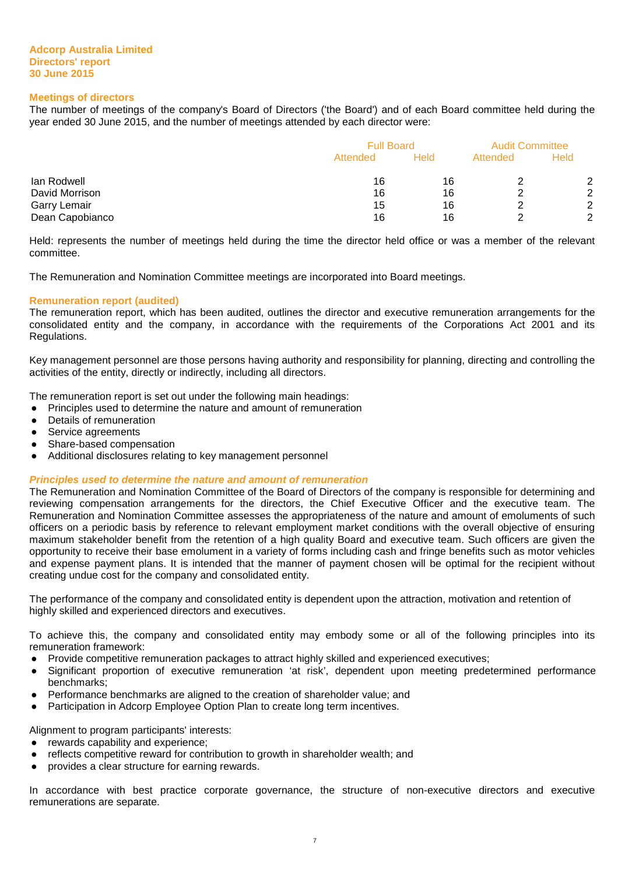#### **Meetings of directors**

The number of meetings of the company's Board of Directors ('the Board') and of each Board committee held during the year ended 30 June 2015, and the number of meetings attended by each director were:

|                 | <b>Full Board</b> | <b>Audit Committee</b> |          |             |
|-----------------|-------------------|------------------------|----------|-------------|
|                 | Attended          | Held                   | Attended | <b>Held</b> |
| lan Rodwell     | 16                | 16                     |          | 2           |
| David Morrison  | 16                | 16                     |          | 2           |
| Garry Lemair    | 15                | 16                     |          | 2           |
| Dean Capobianco | 16                | 16                     |          | 2           |

Held: represents the number of meetings held during the time the director held office or was a member of the relevant committee.

The Remuneration and Nomination Committee meetings are incorporated into Board meetings.

#### **Remuneration report (audited)**

The remuneration report, which has been audited, outlines the director and executive remuneration arrangements for the consolidated entity and the company, in accordance with the requirements of the Corporations Act 2001 and its Regulations.

Key management personnel are those persons having authority and responsibility for planning, directing and controlling the activities of the entity, directly or indirectly, including all directors.

The remuneration report is set out under the following main headings:

- Principles used to determine the nature and amount of remuneration
- Details of remuneration
- Service agreements
- Share-based compensation
- Additional disclosures relating to key management personnel

#### **Principles used to determine the nature and amount of remuneration**

The Remuneration and Nomination Committee of the Board of Directors of the company is responsible for determining and reviewing compensation arrangements for the directors, the Chief Executive Officer and the executive team. The Remuneration and Nomination Committee assesses the appropriateness of the nature and amount of emoluments of such officers on a periodic basis by reference to relevant employment market conditions with the overall objective of ensuring maximum stakeholder benefit from the retention of a high quality Board and executive team. Such officers are given the opportunity to receive their base emolument in a variety of forms including cash and fringe benefits such as motor vehicles and expense payment plans. It is intended that the manner of payment chosen will be optimal for the recipient without creating undue cost for the company and consolidated entity.

The performance of the company and consolidated entity is dependent upon the attraction, motivation and retention of highly skilled and experienced directors and executives.

To achieve this, the company and consolidated entity may embody some or all of the following principles into its remuneration framework:

- Provide competitive remuneration packages to attract highly skilled and experienced executives;
- Significant proportion of executive remuneration 'at risk', dependent upon meeting predetermined performance benchmarks;
- Performance benchmarks are aligned to the creation of shareholder value; and
- Participation in Adcorp Employee Option Plan to create long term incentives.

Alignment to program participants' interests:

- rewards capability and experience;
- reflects competitive reward for contribution to growth in shareholder wealth; and
- provides a clear structure for earning rewards.

In accordance with best practice corporate governance, the structure of non-executive directors and executive remunerations are separate.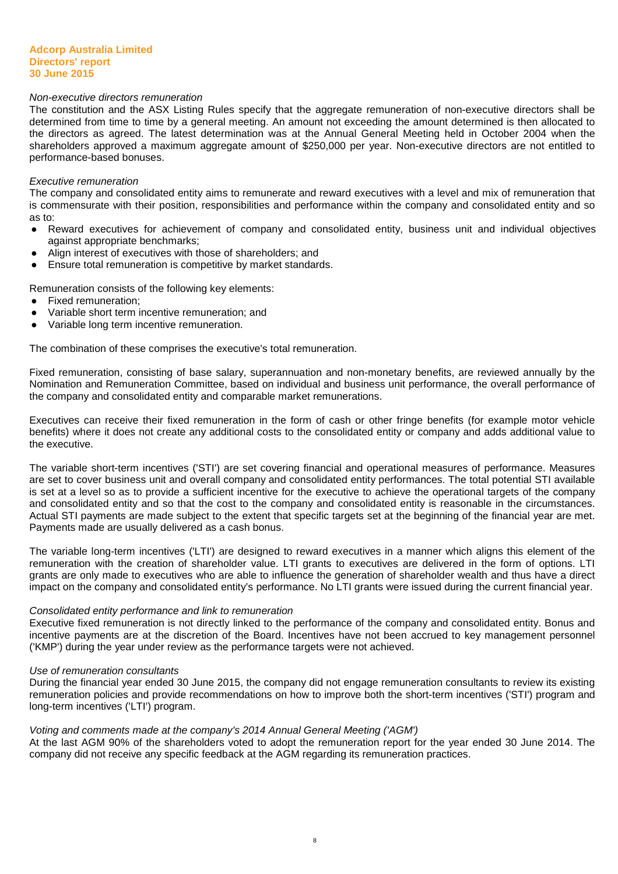#### Non-executive directors remuneration

The constitution and the ASX Listing Rules specify that the aggregate remuneration of non-executive directors shall be determined from time to time by a general meeting. An amount not exceeding the amount determined is then allocated to the directors as agreed. The latest determination was at the Annual General Meeting held in October 2004 when the shareholders approved a maximum aggregate amount of \$250,000 per year. Non-executive directors are not entitled to performance-based bonuses.

#### Executive remuneration

The company and consolidated entity aims to remunerate and reward executives with a level and mix of remuneration that is commensurate with their position, responsibilities and performance within the company and consolidated entity and so as to:

- Reward executives for achievement of company and consolidated entity, business unit and individual objectives against appropriate benchmarks;
- Align interest of executives with those of shareholders; and
- Ensure total remuneration is competitive by market standards.

Remuneration consists of the following key elements:

- **Fixed remuneration:**
- Variable short term incentive remuneration; and
- Variable long term incentive remuneration.

The combination of these comprises the executive's total remuneration.

Fixed remuneration, consisting of base salary, superannuation and non-monetary benefits, are reviewed annually by the Nomination and Remuneration Committee, based on individual and business unit performance, the overall performance of the company and consolidated entity and comparable market remunerations.

Executives can receive their fixed remuneration in the form of cash or other fringe benefits (for example motor vehicle benefits) where it does not create any additional costs to the consolidated entity or company and adds additional value to the executive.

The variable short-term incentives ('STI') are set covering financial and operational measures of performance. Measures are set to cover business unit and overall company and consolidated entity performances. The total potential STI available is set at a level so as to provide a sufficient incentive for the executive to achieve the operational targets of the company and consolidated entity and so that the cost to the company and consolidated entity is reasonable in the circumstances. Actual STI payments are made subject to the extent that specific targets set at the beginning of the financial year are met. Payments made are usually delivered as a cash bonus.

The variable long-term incentives ('LTI') are designed to reward executives in a manner which aligns this element of the remuneration with the creation of shareholder value. LTI grants to executives are delivered in the form of options. LTI grants are only made to executives who are able to influence the generation of shareholder wealth and thus have a direct impact on the company and consolidated entity's performance. No LTI grants were issued during the current financial year.

#### Consolidated entity performance and link to remuneration

Executive fixed remuneration is not directly linked to the performance of the company and consolidated entity. Bonus and incentive payments are at the discretion of the Board. Incentives have not been accrued to key management personnel ('KMP') during the year under review as the performance targets were not achieved.

#### Use of remuneration consultants

During the financial year ended 30 June 2015, the company did not engage remuneration consultants to review its existing remuneration policies and provide recommendations on how to improve both the short-term incentives ('STI') program and long-term incentives ('LTI') program.

#### Voting and comments made at the company's 2014 Annual General Meeting ('AGM')

At the last AGM 90% of the shareholders voted to adopt the remuneration report for the year ended 30 June 2014. The company did not receive any specific feedback at the AGM regarding its remuneration practices.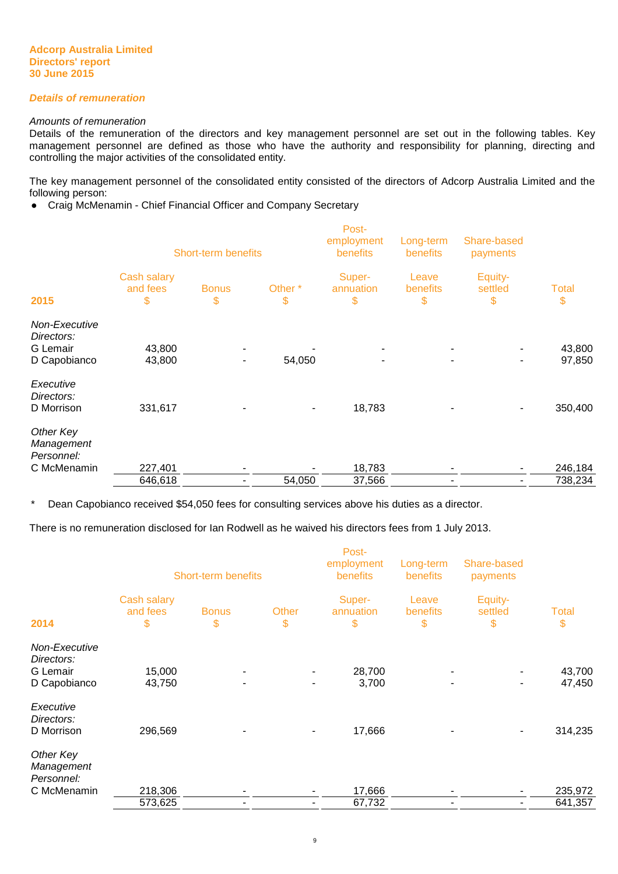#### **Details of remuneration**

#### Amounts of remuneration

Details of the remuneration of the directors and key management personnel are set out in the following tables. Key management personnel are defined as those who have the authority and responsibility for planning, directing and controlling the major activities of the consolidated entity.

The key management personnel of the consolidated entity consisted of the directors of Adcorp Australia Limited and the following person:

● Craig McMenamin - Chief Financial Officer and Company Secretary

|                                                         | <b>Short-term benefits</b>    |                    |                          | Post-<br>employment<br>benefits | Long-term<br>benefits   | Share-based<br>payments  |                    |
|---------------------------------------------------------|-------------------------------|--------------------|--------------------------|---------------------------------|-------------------------|--------------------------|--------------------|
| 2015                                                    | Cash salary<br>and fees<br>\$ | <b>Bonus</b><br>\$ | Other <sup>*</sup><br>\$ | Super-<br>annuation<br>\$       | Leave<br>benefits<br>\$ | Equity-<br>settled<br>\$ | <b>Total</b><br>\$ |
| Non-Executive<br>Directors:<br>G Lemair<br>D Capobianco | 43,800<br>43,800              | ٠                  | 54,050                   |                                 |                         |                          | 43,800<br>97,850   |
| Executive<br>Directors:<br>D Morrison                   | 331,617                       |                    |                          | 18,783                          |                         |                          | 350,400            |
| Other Key<br>Management<br>Personnel:<br>C McMenamin    | 227,401                       |                    |                          | 18,783                          |                         |                          | 246,184            |
|                                                         | 646,618                       |                    | 54,050                   | 37,566                          |                         |                          | 738,234            |

\* Dean Capobianco received \$54,050 fees for consulting services above his duties as a director.

There is no remuneration disclosed for Ian Rodwell as he waived his directors fees from 1 July 2013.

|                                                         | <b>Short-term benefits</b>    |                    |             | Post-<br>employment<br>benefits | Long-term<br>benefits   | Share-based<br>payments  |                    |
|---------------------------------------------------------|-------------------------------|--------------------|-------------|---------------------------------|-------------------------|--------------------------|--------------------|
| 2014                                                    | Cash salary<br>and fees<br>\$ | <b>Bonus</b><br>\$ | Other<br>\$ | Super-<br>annuation<br>\$       | Leave<br>benefits<br>\$ | Equity-<br>settled<br>\$ | <b>Total</b><br>\$ |
| Non-Executive<br>Directors:<br>G Lemair<br>D Capobianco | 15,000<br>43,750              |                    |             | 28,700<br>3,700                 |                         |                          | 43,700<br>47,450   |
| Executive<br>Directors:<br>D Morrison                   | 296,569                       |                    |             | 17,666                          |                         |                          | 314,235            |
| Other Key<br>Management<br>Personnel:                   |                               |                    |             |                                 |                         |                          |                    |
| C McMenamin                                             | 218,306<br>573,625            |                    |             | 17,666<br>67,732                |                         |                          | 235,972<br>641,357 |
|                                                         |                               |                    |             |                                 |                         |                          |                    |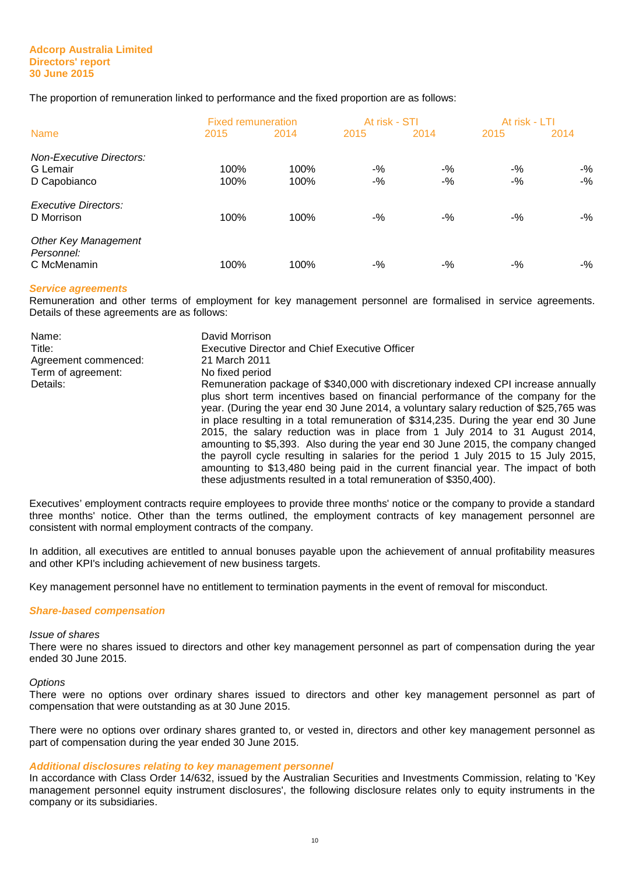The proportion of remuneration linked to performance and the fixed proportion are as follows:

|                                                             | <b>Fixed remuneration</b> |              | At risk - STI  |                | At risk - LTI  |                 |
|-------------------------------------------------------------|---------------------------|--------------|----------------|----------------|----------------|-----------------|
| <b>Name</b>                                                 | 2015                      | 2014         | 2015           | 2014           | 2015           | 2014            |
| <b>Non-Executive Directors:</b><br>G Lemair<br>D Capobianco | 100%<br>100%              | 100%<br>100% | $-$ %<br>$-$ % | $-$ %<br>$-$ % | $-$ %<br>$-$ % | $-$ %<br>$-9/6$ |
| <b>Executive Directors:</b><br>D Morrison                   | 100%                      | 100%         | $-$ %          | $-$ %          | $-$ %          | $-$ %           |
| <b>Other Key Management</b><br>Personnel:<br>C McMenamin    | 100%                      | 100%         | $-$ %          | $-$ %          | $-$ %          | $-$ %           |

#### **Service agreements**

Remuneration and other terms of employment for key management personnel are formalised in service agreements. Details of these agreements are as follows:

| Name:<br>Title:<br>Agreement commenced: | David Morrison<br><b>Executive Director and Chief Executive Officer</b><br>21 March 2011                                                                                                                                                                                                                                                                                                                                                                                                                                                                                                                                                                                                                                                                                     |
|-----------------------------------------|------------------------------------------------------------------------------------------------------------------------------------------------------------------------------------------------------------------------------------------------------------------------------------------------------------------------------------------------------------------------------------------------------------------------------------------------------------------------------------------------------------------------------------------------------------------------------------------------------------------------------------------------------------------------------------------------------------------------------------------------------------------------------|
| Term of agreement:                      | No fixed period                                                                                                                                                                                                                                                                                                                                                                                                                                                                                                                                                                                                                                                                                                                                                              |
| Details:                                | Remuneration package of \$340,000 with discretionary indexed CPI increase annually<br>plus short term incentives based on financial performance of the company for the<br>year. (During the year end 30 June 2014, a voluntary salary reduction of \$25,765 was<br>in place resulting in a total remuneration of \$314,235. During the year end 30 June<br>2015, the salary reduction was in place from 1 July 2014 to 31 August 2014,<br>amounting to \$5,393. Also during the year end 30 June 2015, the company changed<br>the payroll cycle resulting in salaries for the period 1 July 2015 to 15 July 2015,<br>amounting to \$13,480 being paid in the current financial year. The impact of both<br>these adjustments resulted in a total remuneration of \$350,400). |

Executives' employment contracts require employees to provide three months' notice or the company to provide a standard three months' notice. Other than the terms outlined, the employment contracts of key management personnel are consistent with normal employment contracts of the company.

In addition, all executives are entitled to annual bonuses payable upon the achievement of annual profitability measures and other KPI's including achievement of new business targets.

Key management personnel have no entitlement to termination payments in the event of removal for misconduct.

#### **Share-based compensation**

#### Issue of shares

There were no shares issued to directors and other key management personnel as part of compensation during the year ended 30 June 2015.

#### **Options**

There were no options over ordinary shares issued to directors and other key management personnel as part of compensation that were outstanding as at 30 June 2015.

There were no options over ordinary shares granted to, or vested in, directors and other key management personnel as part of compensation during the year ended 30 June 2015.

#### **Additional disclosures relating to key management personnel**

In accordance with Class Order 14/632, issued by the Australian Securities and Investments Commission, relating to 'Key management personnel equity instrument disclosures', the following disclosure relates only to equity instruments in the company or its subsidiaries.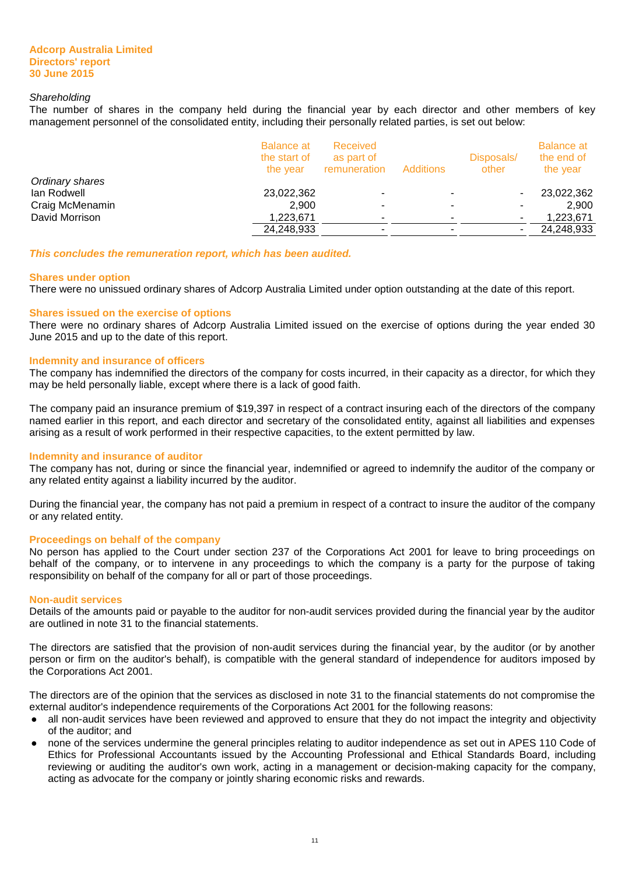#### **Shareholding**

The number of shares in the company held during the financial year by each director and other members of key management personnel of the consolidated entity, including their personally related parties, is set out below:

|                 | <b>Balance at</b><br>the start of<br>the vear | Received<br>as part of<br>remuneration | Additions | Disposals/<br>other | <b>Balance at</b><br>the end of<br>the year |
|-----------------|-----------------------------------------------|----------------------------------------|-----------|---------------------|---------------------------------------------|
| Ordinary shares |                                               |                                        |           |                     |                                             |
| lan Rodwell     | 23,022,362                                    |                                        |           |                     | 23,022,362                                  |
| Craig McMenamin | 2,900                                         | ٠                                      |           |                     | 2.900                                       |
| David Morrison  | 1,223,671                                     | ٠                                      |           |                     | 1,223,671                                   |
|                 | 24,248,933                                    | ٠                                      |           |                     | 24,248,933                                  |

**This concludes the remuneration report, which has been audited.** 

#### **Shares under option**

There were no unissued ordinary shares of Adcorp Australia Limited under option outstanding at the date of this report.

#### **Shares issued on the exercise of options**

There were no ordinary shares of Adcorp Australia Limited issued on the exercise of options during the year ended 30 June 2015 and up to the date of this report.

#### **Indemnity and insurance of officers**

The company has indemnified the directors of the company for costs incurred, in their capacity as a director, for which they may be held personally liable, except where there is a lack of good faith.

The company paid an insurance premium of \$19,397 in respect of a contract insuring each of the directors of the company named earlier in this report, and each director and secretary of the consolidated entity, against all liabilities and expenses arising as a result of work performed in their respective capacities, to the extent permitted by law.

#### **Indemnity and insurance of auditor**

The company has not, during or since the financial year, indemnified or agreed to indemnify the auditor of the company or any related entity against a liability incurred by the auditor.

During the financial year, the company has not paid a premium in respect of a contract to insure the auditor of the company or any related entity.

#### **Proceedings on behalf of the company**

No person has applied to the Court under section 237 of the Corporations Act 2001 for leave to bring proceedings on behalf of the company, or to intervene in any proceedings to which the company is a party for the purpose of taking responsibility on behalf of the company for all or part of those proceedings.

#### **Non-audit services**

Details of the amounts paid or payable to the auditor for non-audit services provided during the financial year by the auditor are outlined in note 31 to the financial statements.

The directors are satisfied that the provision of non-audit services during the financial year, by the auditor (or by another person or firm on the auditor's behalf), is compatible with the general standard of independence for auditors imposed by the Corporations Act 2001.

The directors are of the opinion that the services as disclosed in note 31 to the financial statements do not compromise the external auditor's independence requirements of the Corporations Act 2001 for the following reasons:

- all non-audit services have been reviewed and approved to ensure that they do not impact the integrity and objectivity of the auditor; and
- none of the services undermine the general principles relating to auditor independence as set out in APES 110 Code of Ethics for Professional Accountants issued by the Accounting Professional and Ethical Standards Board, including reviewing or auditing the auditor's own work, acting in a management or decision-making capacity for the company, acting as advocate for the company or jointly sharing economic risks and rewards.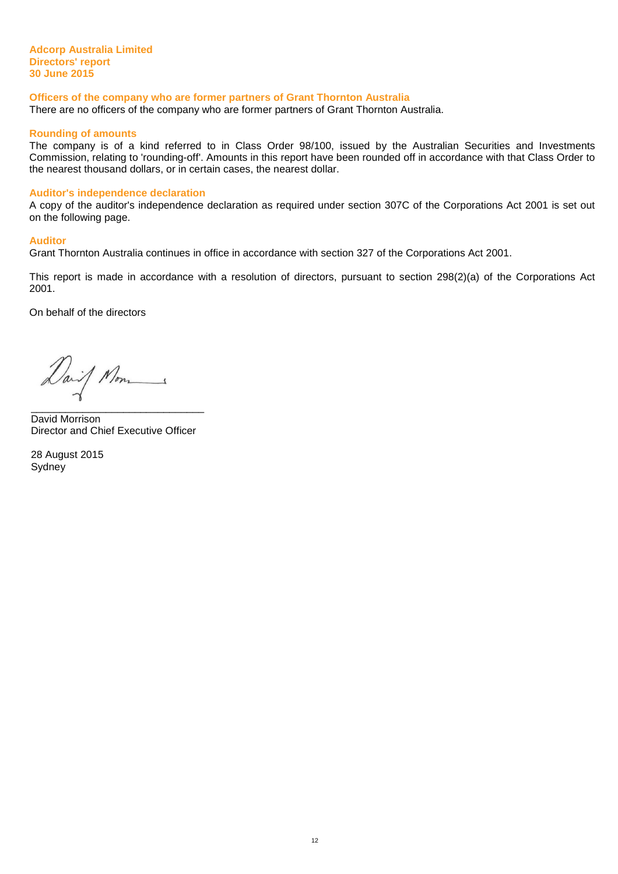#### **Adcorp Australia Limited Directors' report 30 June 2015**

#### **Officers of the company who are former partners of Grant Thornton Australia**

There are no officers of the company who are former partners of Grant Thornton Australia.

#### **Rounding of amounts**

The company is of a kind referred to in Class Order 98/100, issued by the Australian Securities and Investments Commission, relating to 'rounding-off'. Amounts in this report have been rounded off in accordance with that Class Order to the nearest thousand dollars, or in certain cases, the nearest dollar.

#### **Auditor's independence declaration**

A copy of the auditor's independence declaration as required under section 307C of the Corporations Act 2001 is set out on the following page.

#### **Auditor**

Grant Thornton Australia continues in office in accordance with section 327 of the Corporations Act 2001.

This report is made in accordance with a resolution of directors, pursuant to section 298(2)(a) of the Corporations Act 2001.

On behalf of the directors

Daif Mon \_\_\_\_\_\_\_\_\_\_\_\_\_\_\_\_\_\_\_\_\_\_\_\_\_\_\_\_\_\_

David Morrison Director and Chief Executive Officer

28 August 2015 **Sydney**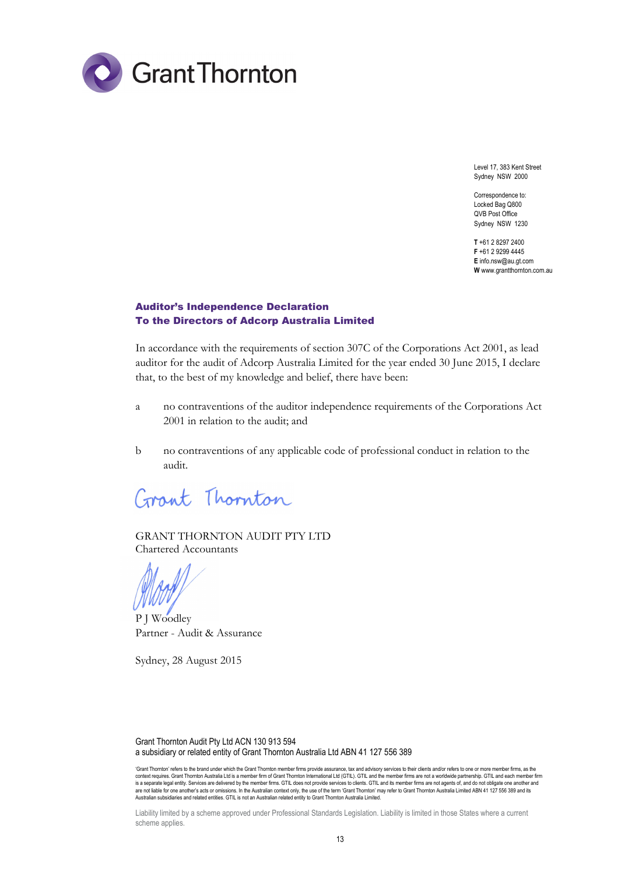

Level 17, 383 Kent Street Sydney NSW 2000

Correspondence to: Locked Bag Q800 QVB Post Office Sydney NSW 1230

**T** +61 2 8297 2400 **F** +61 2 9299 4445 **E** info.nsw@au.gt.com **W** www.grantthornton.com.au

# Auditor's Independence Declaration To the Directors of Adcorp Australia Limited

In accordance with the requirements of section 307C of the Corporations Act 2001, as lead auditor for the audit of Adcorp Australia Limited for the year ended 30 June 2015, I declare that, to the best of my knowledge and belief, there have been:

- a no contraventions of the auditor independence requirements of the Corporations Act 2001 in relation to the audit; and
- b no contraventions of any applicable code of professional conduct in relation to the audit.

Grant Thornton

GRANT THORNTON AUDIT PTY LTD Chartered Accountants

P J Woodley Partner - Audit & Assurance

Sydney, 28 August 2015

Grant Thornton Audit Pty Ltd ACN 130 913 594 a subsidiary or related entity of Grant Thornton Australia Ltd ABN 41 127 556 389

'Grant Thornton' refers to the brand under which the Grant Thornton member firms provide assurance, tax and advisory services to their clients and/or refers to one or more member firms, as the context requires. Grant Thornton Australia Ltd is a member firm of Grant Thornton International Ltd (GTIL). GTIL and the member firms are not a worldwide partnership. GTIL and each member firm is a separate legal entity. Services are delivered by the member firms. GTIL does not provide services to clients. GTIL and its member firms are not agents of, and do not obligate one another and are not liable for one another's acts or omissions. In the Australian context only, the use of the term 'Grant Thornton' may refer to Grant Thornton Australia Limited ABN 41 127 556 389 and its Australian subsidiaries and related entities. GTIL is not an Australian related entity to Grant Thornton Australia Limited.

Liability limited by a scheme approved under Professional Standards Legislation. Liability is limited in those States where a current scheme applies.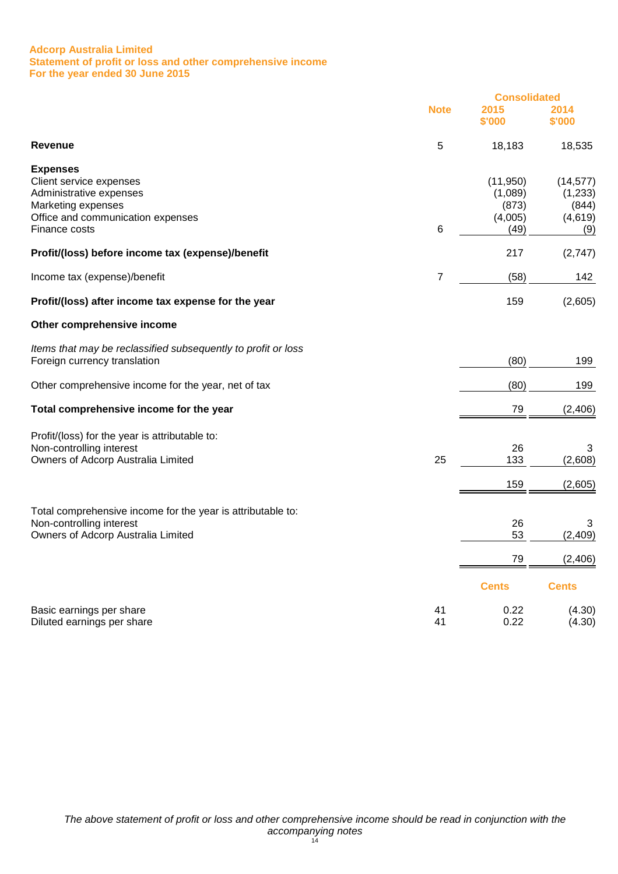#### **Adcorp Australia Limited Statement of profit or loss and other comprehensive income For the year ended 30 June 2015**

|                                                                                               |             | <b>Consolidated</b>         |                             |  |
|-----------------------------------------------------------------------------------------------|-------------|-----------------------------|-----------------------------|--|
|                                                                                               | <b>Note</b> | 2015<br>\$'000              | 2014<br>\$'000              |  |
| <b>Revenue</b>                                                                                | 5           | 18,183                      | 18,535                      |  |
| <b>Expenses</b><br>Client service expenses                                                    |             | (11, 950)                   | (14, 577)                   |  |
| Administrative expenses<br>Marketing expenses<br>Office and communication expenses            |             | (1,089)<br>(873)<br>(4,005) | (1,233)<br>(844)<br>(4,619) |  |
| Finance costs                                                                                 | 6           | (49)                        | (9)                         |  |
| Profit/(loss) before income tax (expense)/benefit                                             |             | 217                         | (2,747)                     |  |
| Income tax (expense)/benefit                                                                  | 7           | (58)                        | 142                         |  |
| Profit/(loss) after income tax expense for the year                                           |             | 159                         | (2,605)                     |  |
| Other comprehensive income                                                                    |             |                             |                             |  |
| Items that may be reclassified subsequently to profit or loss<br>Foreign currency translation |             | (80)                        | 199                         |  |
| Other comprehensive income for the year, net of tax                                           |             | (80)                        | 199                         |  |
| Total comprehensive income for the year                                                       |             | 79                          | (2, 406)                    |  |
| Profit/(loss) for the year is attributable to:                                                |             |                             |                             |  |
| Non-controlling interest<br>Owners of Adcorp Australia Limited                                | 25          | 26<br>133                   | 3<br>(2,608)                |  |
|                                                                                               |             | 159                         | (2,605)                     |  |
| Total comprehensive income for the year is attributable to:                                   |             |                             |                             |  |
| Non-controlling interest<br>Owners of Adcorp Australia Limited                                |             | 26<br>53                    | 3<br>(2, 409)               |  |
|                                                                                               |             | 79                          | (2, 406)                    |  |
|                                                                                               |             | <b>Cents</b>                | <b>Cents</b>                |  |
| Basic earnings per share<br>Diluted earnings per share                                        | 41<br>41    | 0.22<br>0.22                | (4.30)<br>(4.30)            |  |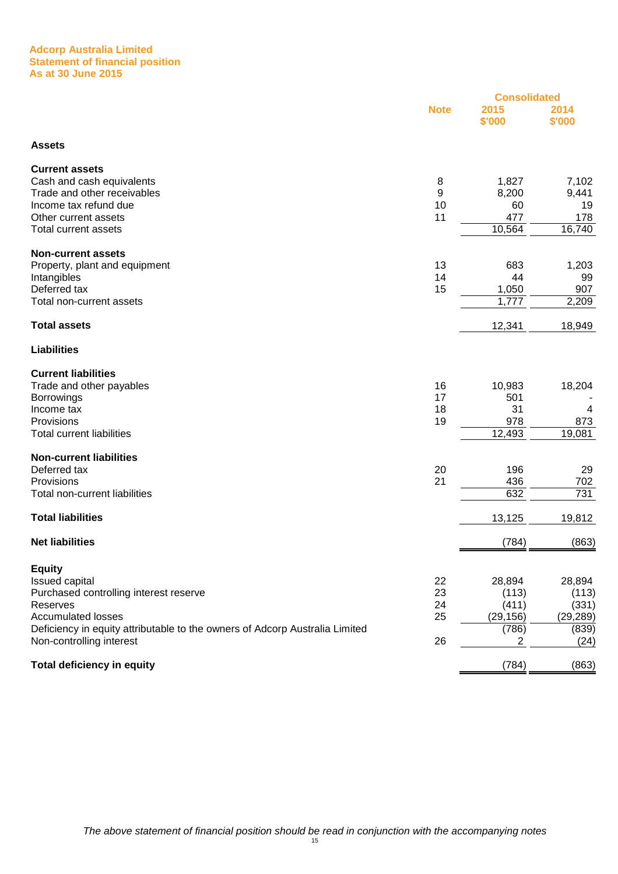#### **Adcorp Australia Limited Statement of financial position As at 30 June 2015**

|                                                                             |             | <b>Consolidated</b> |                |
|-----------------------------------------------------------------------------|-------------|---------------------|----------------|
|                                                                             | <b>Note</b> | 2015<br>\$'000      | 2014<br>\$'000 |
| <b>Assets</b>                                                               |             |                     |                |
| <b>Current assets</b>                                                       |             |                     |                |
| Cash and cash equivalents                                                   | 8           | 1,827               | 7,102          |
| Trade and other receivables                                                 | 9           | 8,200               | 9,441          |
| Income tax refund due                                                       | 10          | 60                  | 19             |
| Other current assets<br><b>Total current assets</b>                         | 11          | 477                 | 178            |
|                                                                             |             | 10,564              | 16,740         |
| <b>Non-current assets</b>                                                   |             |                     |                |
| Property, plant and equipment                                               | 13          | 683                 | 1,203          |
| Intangibles                                                                 | 14          | 44                  | 99             |
| Deferred tax                                                                | 15          | 1,050               | 907            |
| Total non-current assets                                                    |             | 1,777               | 2,209          |
| <b>Total assets</b>                                                         |             | 12,341              | 18,949         |
| <b>Liabilities</b>                                                          |             |                     |                |
| <b>Current liabilities</b>                                                  |             |                     |                |
| Trade and other payables                                                    | 16          | 10,983              | 18,204         |
| <b>Borrowings</b>                                                           | 17          | 501                 |                |
| Income tax                                                                  | 18          | 31                  | 4              |
| Provisions                                                                  | 19          | 978                 | 873            |
| <b>Total current liabilities</b>                                            |             | 12,493              | 19,081         |
| <b>Non-current liabilities</b>                                              |             |                     |                |
| Deferred tax                                                                | 20          | 196                 | 29             |
| Provisions                                                                  | 21          | 436                 | 702            |
| Total non-current liabilities                                               |             | 632                 | 731            |
| <b>Total liabilities</b>                                                    |             | 13,125              | 19,812         |
| <b>Net liabilities</b>                                                      |             | (784)               | (863)          |
| <b>Equity</b>                                                               |             |                     |                |
| Issued capital                                                              | 22          | 28,894              | 28,894         |
| Purchased controlling interest reserve                                      | 23          | (113)               | (113)          |
| Reserves                                                                    | 24          | (411)               | (331)          |
| <b>Accumulated losses</b>                                                   | 25          | (29, 156)           | (29, 289)      |
| Deficiency in equity attributable to the owners of Adcorp Australia Limited |             | (786)               | (839)          |
| Non-controlling interest                                                    | 26          | 2                   | (24)           |
| <b>Total deficiency in equity</b>                                           |             | (784)               | (863)          |
|                                                                             |             |                     |                |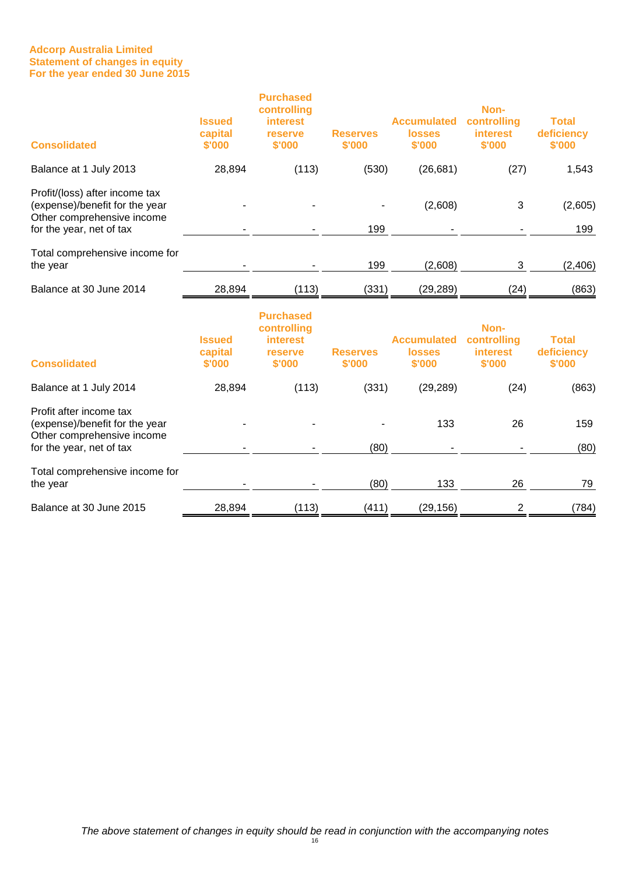#### **Adcorp Australia Limited Statement of changes in equity For the year ended 30 June 2015**

| <b>Consolidated</b>                                                                                                 | <b>Issued</b><br>capital<br>\$'000 | <b>Purchased</b><br>controlling<br>interest<br>reserve<br>\$'000 | <b>Reserves</b><br>\$'000 | <b>Accumulated</b><br><b>losses</b><br>\$'000 | Non-<br>controlling<br><b>interest</b><br>\$'000 | <b>Total</b><br>deficiency<br>\$'000 |
|---------------------------------------------------------------------------------------------------------------------|------------------------------------|------------------------------------------------------------------|---------------------------|-----------------------------------------------|--------------------------------------------------|--------------------------------------|
| Balance at 1 July 2013                                                                                              | 28,894                             | (113)                                                            | (530)                     | (26, 681)                                     | (27)                                             | 1,543                                |
| Profit/(loss) after income tax<br>(expense)/benefit for the year<br>Other comprehensive income                      |                                    |                                                                  | 199                       | (2,608)                                       | 3                                                | (2,605)<br>199                       |
| for the year, net of tax                                                                                            |                                    |                                                                  |                           |                                               |                                                  |                                      |
| Total comprehensive income for<br>the year                                                                          |                                    |                                                                  | 199                       | (2,608)                                       | 3                                                | (2, 406)                             |
| Balance at 30 June 2014                                                                                             | 28,894                             | (113)                                                            | (331)                     | (29, 289)                                     | (24)                                             | (863)                                |
| <b>Consolidated</b>                                                                                                 | <b>Issued</b><br>capital<br>\$'000 | <b>Purchased</b><br>controlling<br>interest<br>reserve<br>\$'000 | <b>Reserves</b><br>\$'000 | <b>Accumulated</b><br><b>losses</b><br>\$'000 | Non-<br>controlling<br><b>interest</b><br>\$'000 | <b>Total</b><br>deficiency<br>\$'000 |
| Balance at 1 July 2014                                                                                              | 28,894                             | (113)                                                            | (331)                     | (29, 289)                                     | (24)                                             | (863)                                |
| Profit after income tax<br>(expense)/benefit for the year<br>Other comprehensive income<br>for the year, net of tax |                                    |                                                                  | (80)                      | 133                                           | 26                                               | 159<br>(80)                          |
| Total comprehensive income for<br>the year                                                                          |                                    |                                                                  | (80)                      | 133                                           | 26                                               | 79                                   |
| Balance at 30 June 2015                                                                                             | 28,894                             | (113)                                                            | (411)                     | (29, 156)                                     | $\overline{c}$                                   | (784)                                |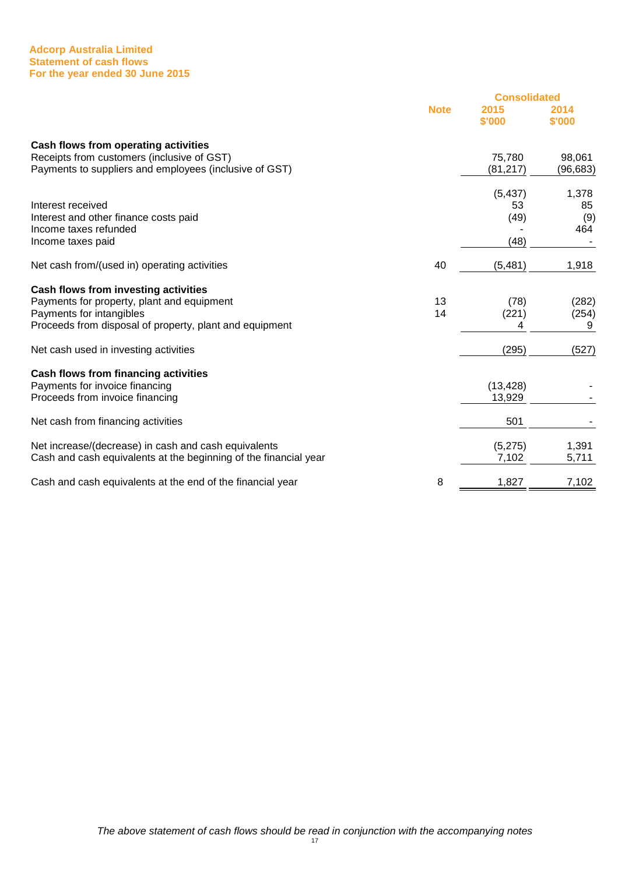#### **Adcorp Australia Limited Statement of cash flows For the year ended 30 June 2015**

|                                                                  |             | <b>Consolidated</b> |                |  |
|------------------------------------------------------------------|-------------|---------------------|----------------|--|
|                                                                  | <b>Note</b> | 2015<br>\$'000      | 2014<br>\$'000 |  |
| Cash flows from operating activities                             |             |                     |                |  |
| Receipts from customers (inclusive of GST)                       |             | 75,780              | 98,061         |  |
| Payments to suppliers and employees (inclusive of GST)           |             | (81, 217)           | (96, 683)      |  |
|                                                                  |             | (5, 437)            | 1,378          |  |
| Interest received                                                |             | 53                  | 85             |  |
| Interest and other finance costs paid                            |             | (49)                | (9)            |  |
| Income taxes refunded                                            |             |                     | 464            |  |
| Income taxes paid                                                |             | (48)                |                |  |
| Net cash from/(used in) operating activities                     | 40          | (5, 481)            | 1,918          |  |
| Cash flows from investing activities                             |             |                     |                |  |
| Payments for property, plant and equipment                       | 13          | (78)                | (282)          |  |
| Payments for intangibles                                         | 14          | (221)               | (254)          |  |
| Proceeds from disposal of property, plant and equipment          |             | 4                   | 9              |  |
| Net cash used in investing activities                            |             | (295)               | (527)          |  |
| Cash flows from financing activities                             |             |                     |                |  |
| Payments for invoice financing                                   |             | (13, 428)           |                |  |
| Proceeds from invoice financing                                  |             | 13,929              |                |  |
| Net cash from financing activities                               |             | 501                 |                |  |
| Net increase/(decrease) in cash and cash equivalents             |             | (5,275)             | 1,391          |  |
| Cash and cash equivalents at the beginning of the financial year |             | 7,102               | 5,711          |  |
|                                                                  |             |                     |                |  |
| Cash and cash equivalents at the end of the financial year       | 8           | 1,827               | 7,102          |  |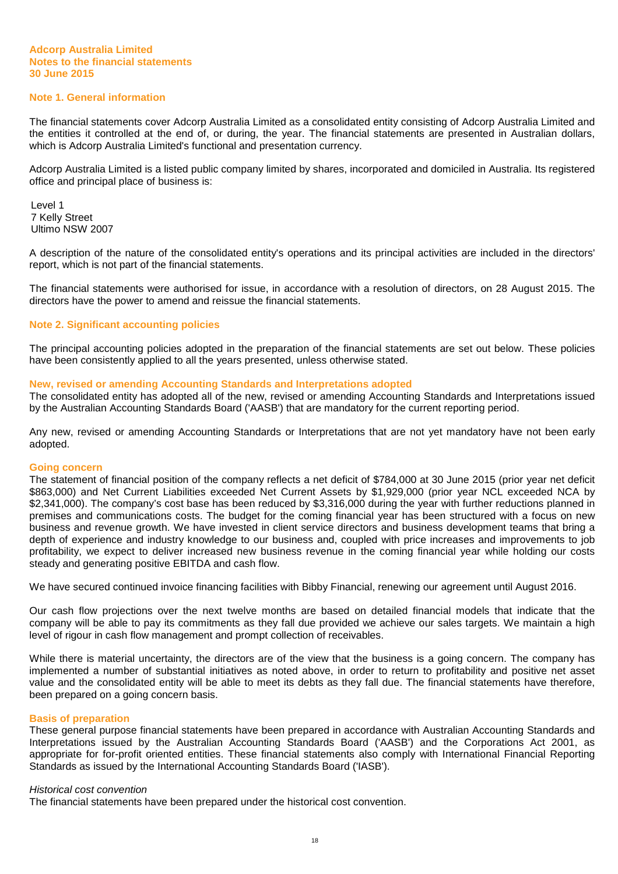#### **Note 1. General information**

The financial statements cover Adcorp Australia Limited as a consolidated entity consisting of Adcorp Australia Limited and the entities it controlled at the end of, or during, the year. The financial statements are presented in Australian dollars, which is Adcorp Australia Limited's functional and presentation currency.

Adcorp Australia Limited is a listed public company limited by shares, incorporated and domiciled in Australia. Its registered office and principal place of business is:

Level 1 7 Kelly Street Ultimo NSW 2007

A description of the nature of the consolidated entity's operations and its principal activities are included in the directors' report, which is not part of the financial statements.

The financial statements were authorised for issue, in accordance with a resolution of directors, on 28 August 2015. The directors have the power to amend and reissue the financial statements.

# **Note 2. Significant accounting policies**

The principal accounting policies adopted in the preparation of the financial statements are set out below. These policies have been consistently applied to all the years presented, unless otherwise stated.

#### **New, revised or amending Accounting Standards and Interpretations adopted**

The consolidated entity has adopted all of the new, revised or amending Accounting Standards and Interpretations issued by the Australian Accounting Standards Board ('AASB') that are mandatory for the current reporting period.

Any new, revised or amending Accounting Standards or Interpretations that are not yet mandatory have not been early adopted.

#### **Going concern**

The statement of financial position of the company reflects a net deficit of \$784,000 at 30 June 2015 (prior year net deficit \$863,000) and Net Current Liabilities exceeded Net Current Assets by \$1,929,000 (prior year NCL exceeded NCA by \$2,341,000). The company's cost base has been reduced by \$3,316,000 during the year with further reductions planned in premises and communications costs. The budget for the coming financial year has been structured with a focus on new business and revenue growth. We have invested in client service directors and business development teams that bring a depth of experience and industry knowledge to our business and, coupled with price increases and improvements to job profitability, we expect to deliver increased new business revenue in the coming financial year while holding our costs steady and generating positive EBITDA and cash flow.

We have secured continued invoice financing facilities with Bibby Financial, renewing our agreement until August 2016.

Our cash flow projections over the next twelve months are based on detailed financial models that indicate that the company will be able to pay its commitments as they fall due provided we achieve our sales targets. We maintain a high level of rigour in cash flow management and prompt collection of receivables.

While there is material uncertainty, the directors are of the view that the business is a going concern. The company has implemented a number of substantial initiatives as noted above, in order to return to profitability and positive net asset value and the consolidated entity will be able to meet its debts as they fall due. The financial statements have therefore, been prepared on a going concern basis.

#### **Basis of preparation**

These general purpose financial statements have been prepared in accordance with Australian Accounting Standards and Interpretations issued by the Australian Accounting Standards Board ('AASB') and the Corporations Act 2001, as appropriate for for-profit oriented entities. These financial statements also comply with International Financial Reporting Standards as issued by the International Accounting Standards Board ('IASB').

#### Historical cost convention

The financial statements have been prepared under the historical cost convention.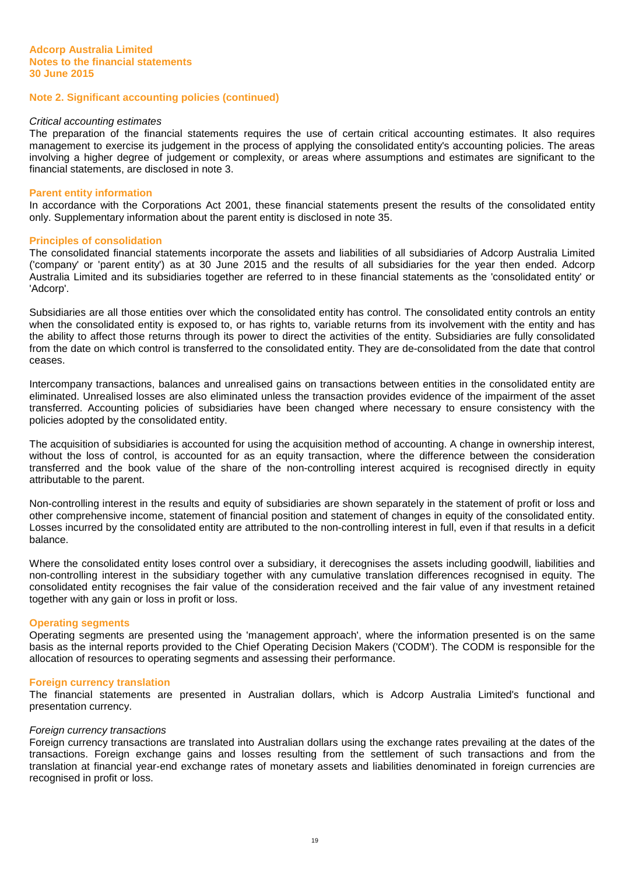#### Critical accounting estimates

The preparation of the financial statements requires the use of certain critical accounting estimates. It also requires management to exercise its judgement in the process of applying the consolidated entity's accounting policies. The areas involving a higher degree of judgement or complexity, or areas where assumptions and estimates are significant to the financial statements, are disclosed in note 3.

#### **Parent entity information**

In accordance with the Corporations Act 2001, these financial statements present the results of the consolidated entity only. Supplementary information about the parent entity is disclosed in note 35.

#### **Principles of consolidation**

The consolidated financial statements incorporate the assets and liabilities of all subsidiaries of Adcorp Australia Limited ('company' or 'parent entity') as at 30 June 2015 and the results of all subsidiaries for the year then ended. Adcorp Australia Limited and its subsidiaries together are referred to in these financial statements as the 'consolidated entity' or 'Adcorp'.

Subsidiaries are all those entities over which the consolidated entity has control. The consolidated entity controls an entity when the consolidated entity is exposed to, or has rights to, variable returns from its involvement with the entity and has the ability to affect those returns through its power to direct the activities of the entity. Subsidiaries are fully consolidated from the date on which control is transferred to the consolidated entity. They are de-consolidated from the date that control ceases.

Intercompany transactions, balances and unrealised gains on transactions between entities in the consolidated entity are eliminated. Unrealised losses are also eliminated unless the transaction provides evidence of the impairment of the asset transferred. Accounting policies of subsidiaries have been changed where necessary to ensure consistency with the policies adopted by the consolidated entity.

The acquisition of subsidiaries is accounted for using the acquisition method of accounting. A change in ownership interest, without the loss of control, is accounted for as an equity transaction, where the difference between the consideration transferred and the book value of the share of the non-controlling interest acquired is recognised directly in equity attributable to the parent.

Non-controlling interest in the results and equity of subsidiaries are shown separately in the statement of profit or loss and other comprehensive income, statement of financial position and statement of changes in equity of the consolidated entity. Losses incurred by the consolidated entity are attributed to the non-controlling interest in full, even if that results in a deficit balance.

Where the consolidated entity loses control over a subsidiary, it derecognises the assets including goodwill, liabilities and non-controlling interest in the subsidiary together with any cumulative translation differences recognised in equity. The consolidated entity recognises the fair value of the consideration received and the fair value of any investment retained together with any gain or loss in profit or loss.

#### **Operating segments**

Operating segments are presented using the 'management approach', where the information presented is on the same basis as the internal reports provided to the Chief Operating Decision Makers ('CODM'). The CODM is responsible for the allocation of resources to operating segments and assessing their performance.

#### **Foreign currency translation**

The financial statements are presented in Australian dollars, which is Adcorp Australia Limited's functional and presentation currency.

#### Foreign currency transactions

Foreign currency transactions are translated into Australian dollars using the exchange rates prevailing at the dates of the transactions. Foreign exchange gains and losses resulting from the settlement of such transactions and from the translation at financial year-end exchange rates of monetary assets and liabilities denominated in foreign currencies are recognised in profit or loss.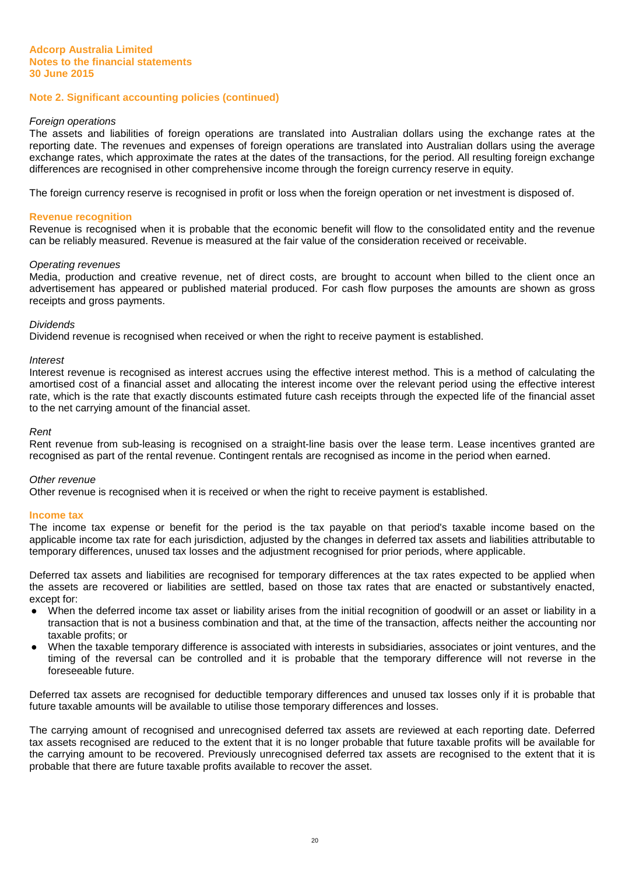#### Foreign operations

The assets and liabilities of foreign operations are translated into Australian dollars using the exchange rates at the reporting date. The revenues and expenses of foreign operations are translated into Australian dollars using the average exchange rates, which approximate the rates at the dates of the transactions, for the period. All resulting foreign exchange differences are recognised in other comprehensive income through the foreign currency reserve in equity.

The foreign currency reserve is recognised in profit or loss when the foreign operation or net investment is disposed of.

#### **Revenue recognition**

Revenue is recognised when it is probable that the economic benefit will flow to the consolidated entity and the revenue can be reliably measured. Revenue is measured at the fair value of the consideration received or receivable.

#### Operating revenues

Media, production and creative revenue, net of direct costs, are brought to account when billed to the client once an advertisement has appeared or published material produced. For cash flow purposes the amounts are shown as gross receipts and gross payments.

#### **Dividends**

Dividend revenue is recognised when received or when the right to receive payment is established.

#### **Interest**

Interest revenue is recognised as interest accrues using the effective interest method. This is a method of calculating the amortised cost of a financial asset and allocating the interest income over the relevant period using the effective interest rate, which is the rate that exactly discounts estimated future cash receipts through the expected life of the financial asset to the net carrying amount of the financial asset.

#### Rent

Rent revenue from sub-leasing is recognised on a straight-line basis over the lease term. Lease incentives granted are recognised as part of the rental revenue. Contingent rentals are recognised as income in the period when earned.

#### Other revenue

Other revenue is recognised when it is received or when the right to receive payment is established.

#### **Income tax**

The income tax expense or benefit for the period is the tax payable on that period's taxable income based on the applicable income tax rate for each jurisdiction, adjusted by the changes in deferred tax assets and liabilities attributable to temporary differences, unused tax losses and the adjustment recognised for prior periods, where applicable.

Deferred tax assets and liabilities are recognised for temporary differences at the tax rates expected to be applied when the assets are recovered or liabilities are settled, based on those tax rates that are enacted or substantively enacted, except for:

- When the deferred income tax asset or liability arises from the initial recognition of goodwill or an asset or liability in a transaction that is not a business combination and that, at the time of the transaction, affects neither the accounting nor taxable profits; or
- When the taxable temporary difference is associated with interests in subsidiaries, associates or joint ventures, and the timing of the reversal can be controlled and it is probable that the temporary difference will not reverse in the foreseeable future.

Deferred tax assets are recognised for deductible temporary differences and unused tax losses only if it is probable that future taxable amounts will be available to utilise those temporary differences and losses.

The carrying amount of recognised and unrecognised deferred tax assets are reviewed at each reporting date. Deferred tax assets recognised are reduced to the extent that it is no longer probable that future taxable profits will be available for the carrying amount to be recovered. Previously unrecognised deferred tax assets are recognised to the extent that it is probable that there are future taxable profits available to recover the asset.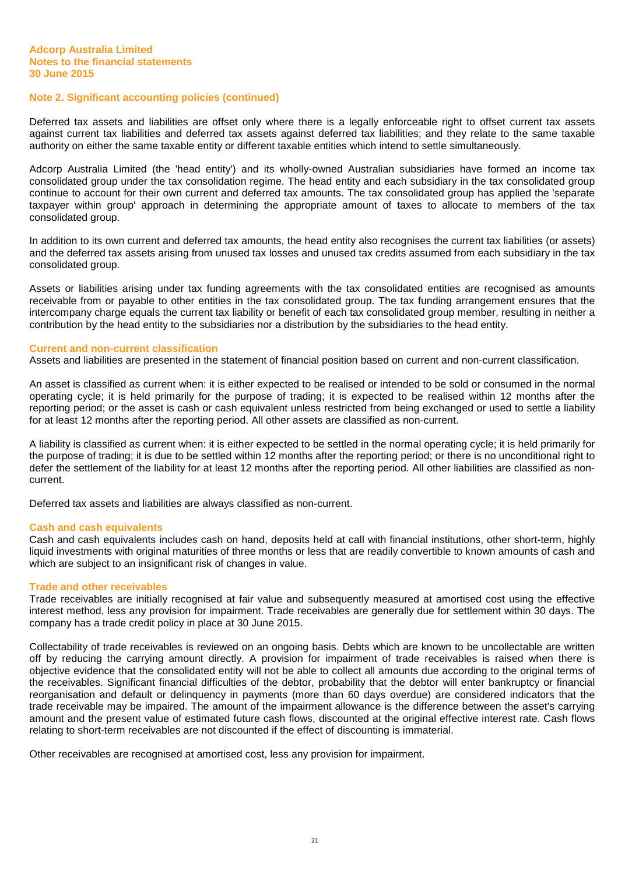Deferred tax assets and liabilities are offset only where there is a legally enforceable right to offset current tax assets against current tax liabilities and deferred tax assets against deferred tax liabilities; and they relate to the same taxable authority on either the same taxable entity or different taxable entities which intend to settle simultaneously.

Adcorp Australia Limited (the 'head entity') and its wholly-owned Australian subsidiaries have formed an income tax consolidated group under the tax consolidation regime. The head entity and each subsidiary in the tax consolidated group continue to account for their own current and deferred tax amounts. The tax consolidated group has applied the 'separate taxpayer within group' approach in determining the appropriate amount of taxes to allocate to members of the tax consolidated group.

In addition to its own current and deferred tax amounts, the head entity also recognises the current tax liabilities (or assets) and the deferred tax assets arising from unused tax losses and unused tax credits assumed from each subsidiary in the tax consolidated group.

Assets or liabilities arising under tax funding agreements with the tax consolidated entities are recognised as amounts receivable from or payable to other entities in the tax consolidated group. The tax funding arrangement ensures that the intercompany charge equals the current tax liability or benefit of each tax consolidated group member, resulting in neither a contribution by the head entity to the subsidiaries nor a distribution by the subsidiaries to the head entity.

#### **Current and non-current classification**

Assets and liabilities are presented in the statement of financial position based on current and non-current classification.

An asset is classified as current when: it is either expected to be realised or intended to be sold or consumed in the normal operating cycle; it is held primarily for the purpose of trading; it is expected to be realised within 12 months after the reporting period; or the asset is cash or cash equivalent unless restricted from being exchanged or used to settle a liability for at least 12 months after the reporting period. All other assets are classified as non-current.

A liability is classified as current when: it is either expected to be settled in the normal operating cycle; it is held primarily for the purpose of trading; it is due to be settled within 12 months after the reporting period; or there is no unconditional right to defer the settlement of the liability for at least 12 months after the reporting period. All other liabilities are classified as noncurrent.

Deferred tax assets and liabilities are always classified as non-current.

#### **Cash and cash equivalents**

Cash and cash equivalents includes cash on hand, deposits held at call with financial institutions, other short-term, highly liquid investments with original maturities of three months or less that are readily convertible to known amounts of cash and which are subject to an insignificant risk of changes in value.

#### **Trade and other receivables**

Trade receivables are initially recognised at fair value and subsequently measured at amortised cost using the effective interest method, less any provision for impairment. Trade receivables are generally due for settlement within 30 days. The company has a trade credit policy in place at 30 June 2015.

Collectability of trade receivables is reviewed on an ongoing basis. Debts which are known to be uncollectable are written off by reducing the carrying amount directly. A provision for impairment of trade receivables is raised when there is objective evidence that the consolidated entity will not be able to collect all amounts due according to the original terms of the receivables. Significant financial difficulties of the debtor, probability that the debtor will enter bankruptcy or financial reorganisation and default or delinquency in payments (more than 60 days overdue) are considered indicators that the trade receivable may be impaired. The amount of the impairment allowance is the difference between the asset's carrying amount and the present value of estimated future cash flows, discounted at the original effective interest rate. Cash flows relating to short-term receivables are not discounted if the effect of discounting is immaterial.

Other receivables are recognised at amortised cost, less any provision for impairment.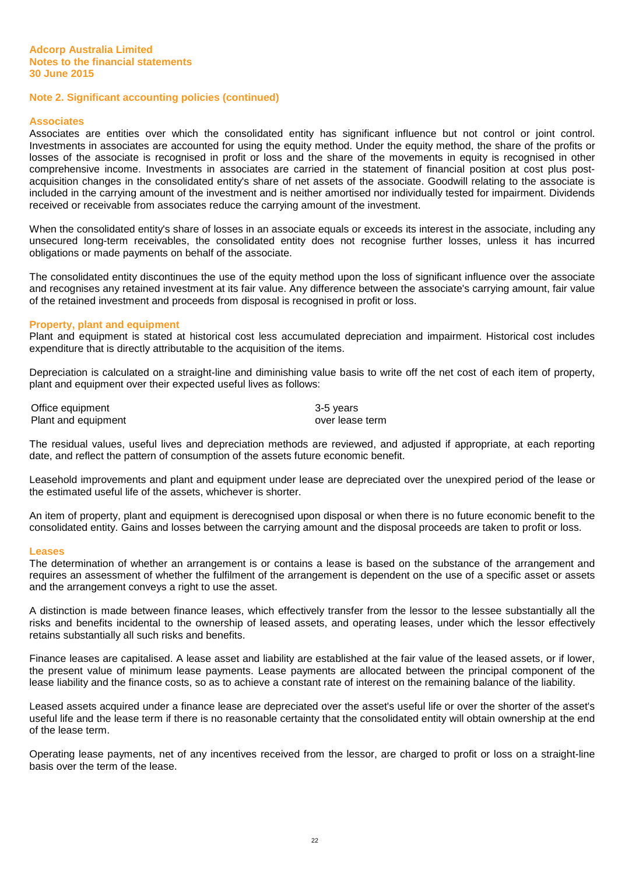#### **Associates**

Associates are entities over which the consolidated entity has significant influence but not control or joint control. Investments in associates are accounted for using the equity method. Under the equity method, the share of the profits or losses of the associate is recognised in profit or loss and the share of the movements in equity is recognised in other comprehensive income. Investments in associates are carried in the statement of financial position at cost plus postacquisition changes in the consolidated entity's share of net assets of the associate. Goodwill relating to the associate is included in the carrying amount of the investment and is neither amortised nor individually tested for impairment. Dividends received or receivable from associates reduce the carrying amount of the investment.

When the consolidated entity's share of losses in an associate equals or exceeds its interest in the associate, including any unsecured long-term receivables, the consolidated entity does not recognise further losses, unless it has incurred obligations or made payments on behalf of the associate.

The consolidated entity discontinues the use of the equity method upon the loss of significant influence over the associate and recognises any retained investment at its fair value. Any difference between the associate's carrying amount, fair value of the retained investment and proceeds from disposal is recognised in profit or loss.

#### **Property, plant and equipment**

Plant and equipment is stated at historical cost less accumulated depreciation and impairment. Historical cost includes expenditure that is directly attributable to the acquisition of the items.

Depreciation is calculated on a straight-line and diminishing value basis to write off the net cost of each item of property, plant and equipment over their expected useful lives as follows:

Office equipment 3-5 years Plant and equipment **Contract and Executes** over lease term

The residual values, useful lives and depreciation methods are reviewed, and adjusted if appropriate, at each reporting date, and reflect the pattern of consumption of the assets future economic benefit.

Leasehold improvements and plant and equipment under lease are depreciated over the unexpired period of the lease or the estimated useful life of the assets, whichever is shorter.

An item of property, plant and equipment is derecognised upon disposal or when there is no future economic benefit to the consolidated entity. Gains and losses between the carrying amount and the disposal proceeds are taken to profit or loss.

#### **Leases**

The determination of whether an arrangement is or contains a lease is based on the substance of the arrangement and requires an assessment of whether the fulfilment of the arrangement is dependent on the use of a specific asset or assets and the arrangement conveys a right to use the asset.

A distinction is made between finance leases, which effectively transfer from the lessor to the lessee substantially all the risks and benefits incidental to the ownership of leased assets, and operating leases, under which the lessor effectively retains substantially all such risks and benefits.

Finance leases are capitalised. A lease asset and liability are established at the fair value of the leased assets, or if lower, the present value of minimum lease payments. Lease payments are allocated between the principal component of the lease liability and the finance costs, so as to achieve a constant rate of interest on the remaining balance of the liability.

Leased assets acquired under a finance lease are depreciated over the asset's useful life or over the shorter of the asset's useful life and the lease term if there is no reasonable certainty that the consolidated entity will obtain ownership at the end of the lease term.

Operating lease payments, net of any incentives received from the lessor, are charged to profit or loss on a straight-line basis over the term of the lease.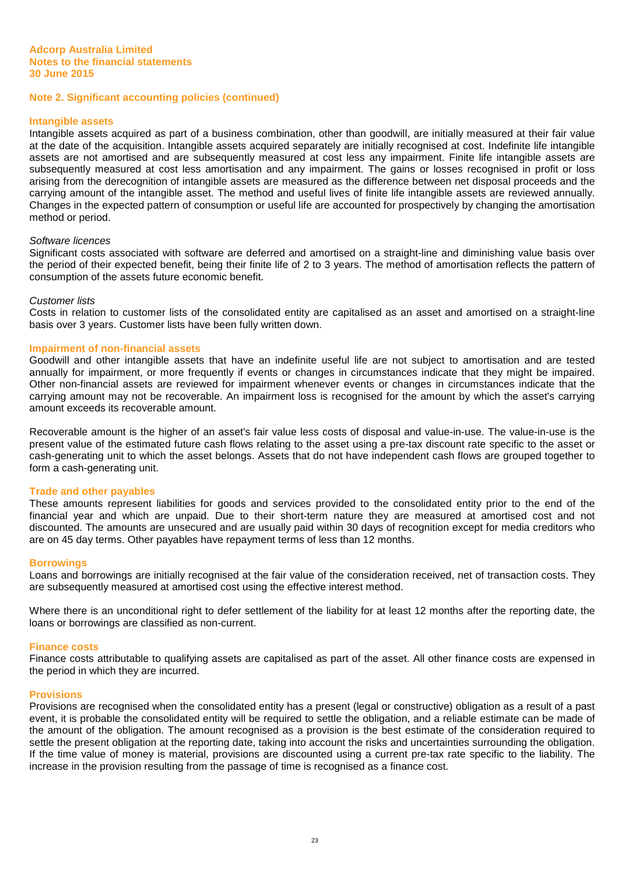#### **Intangible assets**

Intangible assets acquired as part of a business combination, other than goodwill, are initially measured at their fair value at the date of the acquisition. Intangible assets acquired separately are initially recognised at cost. Indefinite life intangible assets are not amortised and are subsequently measured at cost less any impairment. Finite life intangible assets are subsequently measured at cost less amortisation and any impairment. The gains or losses recognised in profit or loss arising from the derecognition of intangible assets are measured as the difference between net disposal proceeds and the carrying amount of the intangible asset. The method and useful lives of finite life intangible assets are reviewed annually. Changes in the expected pattern of consumption or useful life are accounted for prospectively by changing the amortisation method or period.

#### Software licences

Significant costs associated with software are deferred and amortised on a straight-line and diminishing value basis over the period of their expected benefit, being their finite life of 2 to 3 years. The method of amortisation reflects the pattern of consumption of the assets future economic benefit.

#### Customer lists

Costs in relation to customer lists of the consolidated entity are capitalised as an asset and amortised on a straight-line basis over 3 years. Customer lists have been fully written down.

#### **Impairment of non-financial assets**

Goodwill and other intangible assets that have an indefinite useful life are not subject to amortisation and are tested annually for impairment, or more frequently if events or changes in circumstances indicate that they might be impaired. Other non-financial assets are reviewed for impairment whenever events or changes in circumstances indicate that the carrying amount may not be recoverable. An impairment loss is recognised for the amount by which the asset's carrying amount exceeds its recoverable amount.

Recoverable amount is the higher of an asset's fair value less costs of disposal and value-in-use. The value-in-use is the present value of the estimated future cash flows relating to the asset using a pre-tax discount rate specific to the asset or cash-generating unit to which the asset belongs. Assets that do not have independent cash flows are grouped together to form a cash-generating unit.

#### **Trade and other payables**

These amounts represent liabilities for goods and services provided to the consolidated entity prior to the end of the financial year and which are unpaid. Due to their short-term nature they are measured at amortised cost and not discounted. The amounts are unsecured and are usually paid within 30 days of recognition except for media creditors who are on 45 day terms. Other payables have repayment terms of less than 12 months.

#### **Borrowings**

Loans and borrowings are initially recognised at the fair value of the consideration received, net of transaction costs. They are subsequently measured at amortised cost using the effective interest method.

Where there is an unconditional right to defer settlement of the liability for at least 12 months after the reporting date, the loans or borrowings are classified as non-current.

#### **Finance costs**

Finance costs attributable to qualifying assets are capitalised as part of the asset. All other finance costs are expensed in the period in which they are incurred.

#### **Provisions**

Provisions are recognised when the consolidated entity has a present (legal or constructive) obligation as a result of a past event, it is probable the consolidated entity will be required to settle the obligation, and a reliable estimate can be made of the amount of the obligation. The amount recognised as a provision is the best estimate of the consideration required to settle the present obligation at the reporting date, taking into account the risks and uncertainties surrounding the obligation. If the time value of money is material, provisions are discounted using a current pre-tax rate specific to the liability. The increase in the provision resulting from the passage of time is recognised as a finance cost.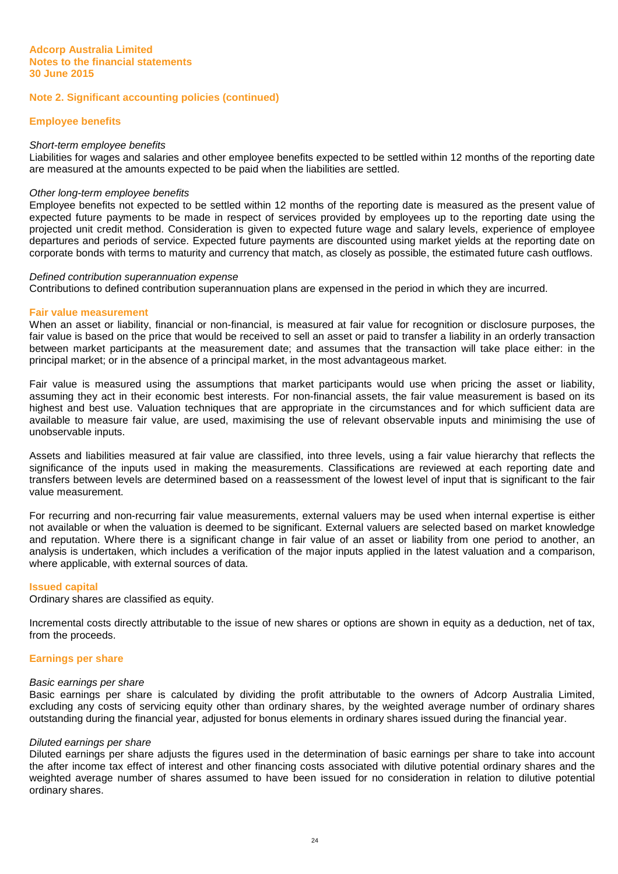#### **Employee benefits**

#### Short-term employee benefits

Liabilities for wages and salaries and other employee benefits expected to be settled within 12 months of the reporting date are measured at the amounts expected to be paid when the liabilities are settled.

#### Other long-term employee benefits

Employee benefits not expected to be settled within 12 months of the reporting date is measured as the present value of expected future payments to be made in respect of services provided by employees up to the reporting date using the projected unit credit method. Consideration is given to expected future wage and salary levels, experience of employee departures and periods of service. Expected future payments are discounted using market yields at the reporting date on corporate bonds with terms to maturity and currency that match, as closely as possible, the estimated future cash outflows.

#### Defined contribution superannuation expense

Contributions to defined contribution superannuation plans are expensed in the period in which they are incurred.

#### **Fair value measurement**

When an asset or liability, financial or non-financial, is measured at fair value for recognition or disclosure purposes, the fair value is based on the price that would be received to sell an asset or paid to transfer a liability in an orderly transaction between market participants at the measurement date; and assumes that the transaction will take place either: in the principal market; or in the absence of a principal market, in the most advantageous market.

Fair value is measured using the assumptions that market participants would use when pricing the asset or liability, assuming they act in their economic best interests. For non-financial assets, the fair value measurement is based on its highest and best use. Valuation techniques that are appropriate in the circumstances and for which sufficient data are available to measure fair value, are used, maximising the use of relevant observable inputs and minimising the use of unobservable inputs.

Assets and liabilities measured at fair value are classified, into three levels, using a fair value hierarchy that reflects the significance of the inputs used in making the measurements. Classifications are reviewed at each reporting date and transfers between levels are determined based on a reassessment of the lowest level of input that is significant to the fair value measurement.

For recurring and non-recurring fair value measurements, external valuers may be used when internal expertise is either not available or when the valuation is deemed to be significant. External valuers are selected based on market knowledge and reputation. Where there is a significant change in fair value of an asset or liability from one period to another, an analysis is undertaken, which includes a verification of the major inputs applied in the latest valuation and a comparison, where applicable, with external sources of data.

#### **Issued capital**

Ordinary shares are classified as equity.

Incremental costs directly attributable to the issue of new shares or options are shown in equity as a deduction, net of tax, from the proceeds.

#### **Earnings per share**

#### Basic earnings per share

Basic earnings per share is calculated by dividing the profit attributable to the owners of Adcorp Australia Limited, excluding any costs of servicing equity other than ordinary shares, by the weighted average number of ordinary shares outstanding during the financial year, adjusted for bonus elements in ordinary shares issued during the financial year.

#### Diluted earnings per share

Diluted earnings per share adjusts the figures used in the determination of basic earnings per share to take into account the after income tax effect of interest and other financing costs associated with dilutive potential ordinary shares and the weighted average number of shares assumed to have been issued for no consideration in relation to dilutive potential ordinary shares.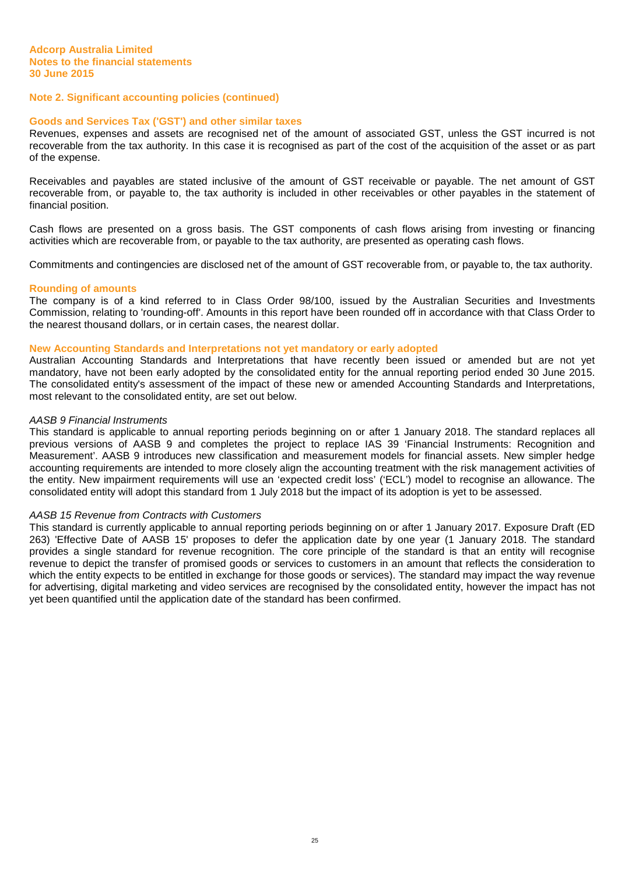# **Goods and Services Tax ('GST') and other similar taxes**

Revenues, expenses and assets are recognised net of the amount of associated GST, unless the GST incurred is not recoverable from the tax authority. In this case it is recognised as part of the cost of the acquisition of the asset or as part of the expense.

Receivables and payables are stated inclusive of the amount of GST receivable or payable. The net amount of GST recoverable from, or payable to, the tax authority is included in other receivables or other payables in the statement of financial position.

Cash flows are presented on a gross basis. The GST components of cash flows arising from investing or financing activities which are recoverable from, or payable to the tax authority, are presented as operating cash flows.

Commitments and contingencies are disclosed net of the amount of GST recoverable from, or payable to, the tax authority.

#### **Rounding of amounts**

The company is of a kind referred to in Class Order 98/100, issued by the Australian Securities and Investments Commission, relating to 'rounding-off'. Amounts in this report have been rounded off in accordance with that Class Order to the nearest thousand dollars, or in certain cases, the nearest dollar.

#### **New Accounting Standards and Interpretations not yet mandatory or early adopted**

Australian Accounting Standards and Interpretations that have recently been issued or amended but are not yet mandatory, have not been early adopted by the consolidated entity for the annual reporting period ended 30 June 2015. The consolidated entity's assessment of the impact of these new or amended Accounting Standards and Interpretations, most relevant to the consolidated entity, are set out below.

#### AASB 9 Financial Instruments

This standard is applicable to annual reporting periods beginning on or after 1 January 2018. The standard replaces all previous versions of AASB 9 and completes the project to replace IAS 39 'Financial Instruments: Recognition and Measurement'. AASB 9 introduces new classification and measurement models for financial assets. New simpler hedge accounting requirements are intended to more closely align the accounting treatment with the risk management activities of the entity. New impairment requirements will use an 'expected credit loss' ('ECL') model to recognise an allowance. The consolidated entity will adopt this standard from 1 July 2018 but the impact of its adoption is yet to be assessed.

#### AASB 15 Revenue from Contracts with Customers

This standard is currently applicable to annual reporting periods beginning on or after 1 January 2017. Exposure Draft (ED 263) 'Effective Date of AASB 15' proposes to defer the application date by one year (1 January 2018. The standard provides a single standard for revenue recognition. The core principle of the standard is that an entity will recognise revenue to depict the transfer of promised goods or services to customers in an amount that reflects the consideration to which the entity expects to be entitled in exchange for those goods or services). The standard may impact the way revenue for advertising, digital marketing and video services are recognised by the consolidated entity, however the impact has not yet been quantified until the application date of the standard has been confirmed.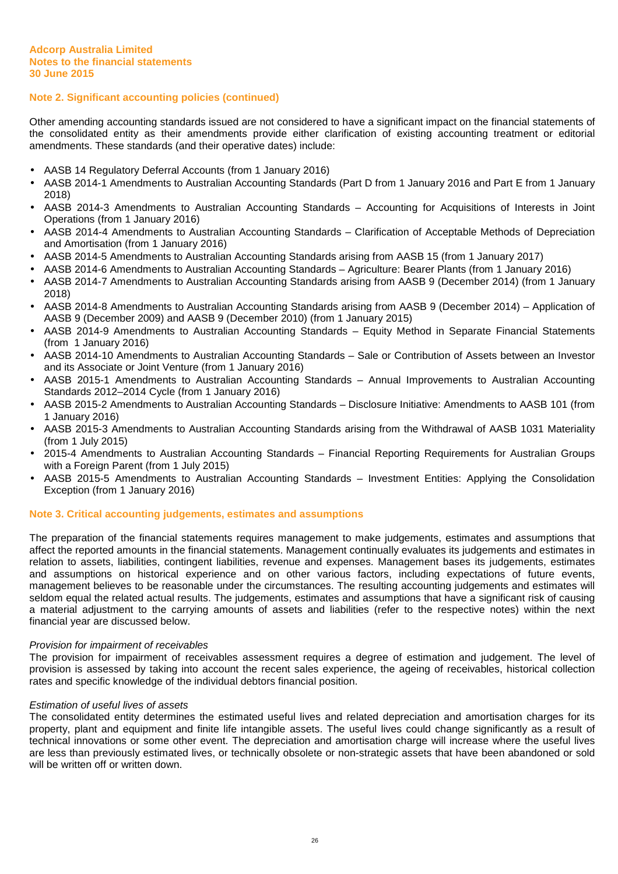Other amending accounting standards issued are not considered to have a significant impact on the financial statements of the consolidated entity as their amendments provide either clarification of existing accounting treatment or editorial amendments. These standards (and their operative dates) include:

- AASB 14 Regulatory Deferral Accounts (from 1 January 2016)
- AASB 2014-1 Amendments to Australian Accounting Standards (Part D from 1 January 2016 and Part E from 1 January 2018)
- AASB 2014-3 Amendments to Australian Accounting Standards Accounting for Acquisitions of Interests in Joint Operations (from 1 January 2016)
- AASB 2014-4 Amendments to Australian Accounting Standards Clarification of Acceptable Methods of Depreciation and Amortisation (from 1 January 2016)
- AASB 2014-5 Amendments to Australian Accounting Standards arising from AASB 15 (from 1 January 2017)
- AASB 2014-6 Amendments to Australian Accounting Standards Agriculture: Bearer Plants (from 1 January 2016)
- AASB 2014-7 Amendments to Australian Accounting Standards arising from AASB 9 (December 2014) (from 1 January 2018)
- AASB 2014-8 Amendments to Australian Accounting Standards arising from AASB 9 (December 2014) Application of AASB 9 (December 2009) and AASB 9 (December 2010) (from 1 January 2015)
- AASB 2014-9 Amendments to Australian Accounting Standards Equity Method in Separate Financial Statements (from 1 January 2016)
- AASB 2014-10 Amendments to Australian Accounting Standards Sale or Contribution of Assets between an Investor and its Associate or Joint Venture (from 1 January 2016)
- AASB 2015-1 Amendments to Australian Accounting Standards Annual Improvements to Australian Accounting Standards 2012–2014 Cycle (from 1 January 2016)
- AASB 2015-2 Amendments to Australian Accounting Standards Disclosure Initiative: Amendments to AASB 101 (from 1 January 2016)
- AASB 2015-3 Amendments to Australian Accounting Standards arising from the Withdrawal of AASB 1031 Materiality (from 1 July 2015)
- 2015-4 Amendments to Australian Accounting Standards Financial Reporting Requirements for Australian Groups with a Foreign Parent (from 1 July 2015)
- AASB 2015-5 Amendments to Australian Accounting Standards Investment Entities: Applying the Consolidation Exception (from 1 January 2016)

# **Note 3. Critical accounting judgements, estimates and assumptions**

The preparation of the financial statements requires management to make judgements, estimates and assumptions that affect the reported amounts in the financial statements. Management continually evaluates its judgements and estimates in relation to assets, liabilities, contingent liabilities, revenue and expenses. Management bases its judgements, estimates and assumptions on historical experience and on other various factors, including expectations of future events, management believes to be reasonable under the circumstances. The resulting accounting judgements and estimates will seldom equal the related actual results. The judgements, estimates and assumptions that have a significant risk of causing a material adjustment to the carrying amounts of assets and liabilities (refer to the respective notes) within the next financial year are discussed below.

#### Provision for impairment of receivables

The provision for impairment of receivables assessment requires a degree of estimation and judgement. The level of provision is assessed by taking into account the recent sales experience, the ageing of receivables, historical collection rates and specific knowledge of the individual debtors financial position.

#### Estimation of useful lives of assets

The consolidated entity determines the estimated useful lives and related depreciation and amortisation charges for its property, plant and equipment and finite life intangible assets. The useful lives could change significantly as a result of technical innovations or some other event. The depreciation and amortisation charge will increase where the useful lives are less than previously estimated lives, or technically obsolete or non-strategic assets that have been abandoned or sold will be written off or written down.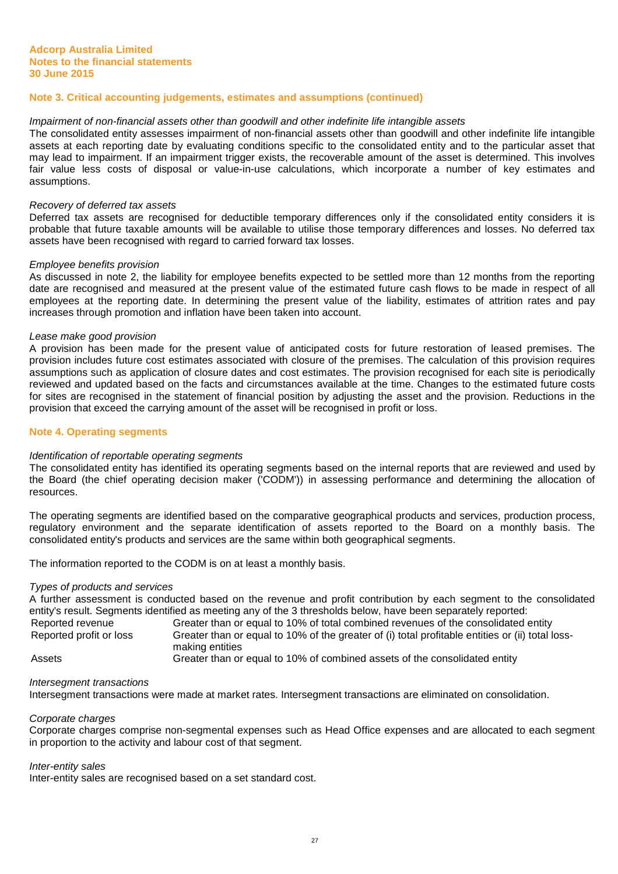# **Note 3. Critical accounting judgements, estimates and assumptions (continued)**

#### Impairment of non-financial assets other than goodwill and other indefinite life intangible assets

The consolidated entity assesses impairment of non-financial assets other than goodwill and other indefinite life intangible assets at each reporting date by evaluating conditions specific to the consolidated entity and to the particular asset that may lead to impairment. If an impairment trigger exists, the recoverable amount of the asset is determined. This involves fair value less costs of disposal or value-in-use calculations, which incorporate a number of key estimates and assumptions.

#### Recovery of deferred tax assets

Deferred tax assets are recognised for deductible temporary differences only if the consolidated entity considers it is probable that future taxable amounts will be available to utilise those temporary differences and losses. No deferred tax assets have been recognised with regard to carried forward tax losses.

#### Employee benefits provision

As discussed in note 2, the liability for employee benefits expected to be settled more than 12 months from the reporting date are recognised and measured at the present value of the estimated future cash flows to be made in respect of all employees at the reporting date. In determining the present value of the liability, estimates of attrition rates and pay increases through promotion and inflation have been taken into account.

#### Lease make good provision

A provision has been made for the present value of anticipated costs for future restoration of leased premises. The provision includes future cost estimates associated with closure of the premises. The calculation of this provision requires assumptions such as application of closure dates and cost estimates. The provision recognised for each site is periodically reviewed and updated based on the facts and circumstances available at the time. Changes to the estimated future costs for sites are recognised in the statement of financial position by adjusting the asset and the provision. Reductions in the provision that exceed the carrying amount of the asset will be recognised in profit or loss.

#### **Note 4. Operating segments**

#### Identification of reportable operating segments

The consolidated entity has identified its operating segments based on the internal reports that are reviewed and used by the Board (the chief operating decision maker ('CODM')) in assessing performance and determining the allocation of resources.

The operating segments are identified based on the comparative geographical products and services, production process, regulatory environment and the separate identification of assets reported to the Board on a monthly basis. The consolidated entity's products and services are the same within both geographical segments.

The information reported to the CODM is on at least a monthly basis.

#### Types of products and services

A further assessment is conducted based on the revenue and profit contribution by each segment to the consolidated entity's result. Segments identified as meeting any of the 3 thresholds below, have been separately reported: Reported revenue Greater than or equal to 10% of total combined revenues of the consolidated entity

Reported profit or loss Greater than or equal to 10% of the greater of (i) total profitable entities or (ii) total lossmaking entities Assets Greater than or equal to 10% of combined assets of the consolidated entity

#### Intersegment transactions

Intersegment transactions were made at market rates. Intersegment transactions are eliminated on consolidation.

#### Corporate charges

Corporate charges comprise non-segmental expenses such as Head Office expenses and are allocated to each segment in proportion to the activity and labour cost of that segment.

#### Inter-entity sales

Inter-entity sales are recognised based on a set standard cost.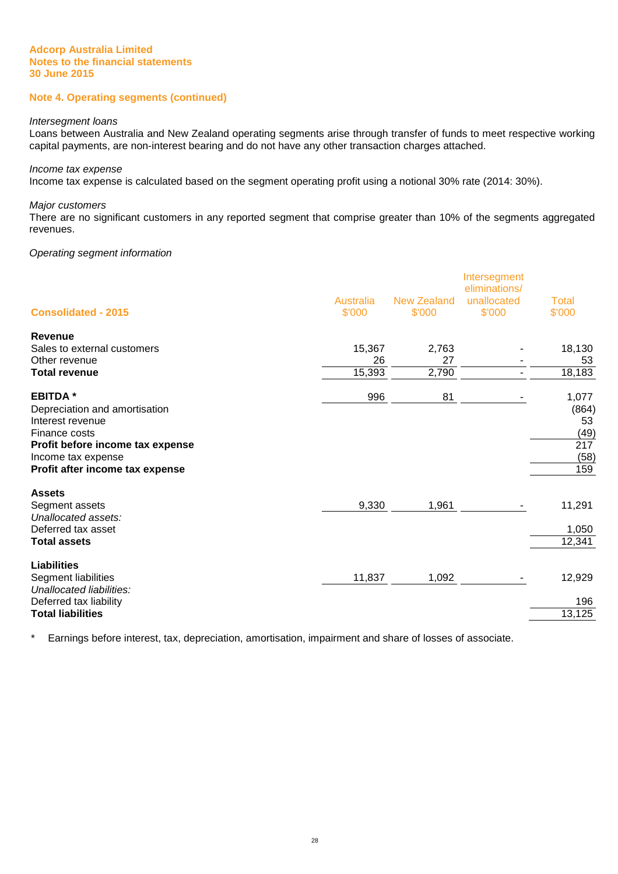# **Note 4. Operating segments (continued)**

#### Intersegment loans

Loans between Australia and New Zealand operating segments arise through transfer of funds to meet respective working capital payments, are non-interest bearing and do not have any other transaction charges attached.

#### Income tax expense

Income tax expense is calculated based on the segment operating profit using a notional 30% rate (2014: 30%).

#### Major customers

There are no significant customers in any reported segment that comprise greater than 10% of the segments aggregated revenues.

#### Operating segment information

| <b>Consolidated - 2015</b>       | <b>Australia</b><br>\$'000 | New Zealand<br>\$'000 | Intersegment<br>eliminations/<br>unallocated<br>\$'000 | <b>Total</b><br>\$'000 |
|----------------------------------|----------------------------|-----------------------|--------------------------------------------------------|------------------------|
|                                  |                            |                       |                                                        |                        |
| Revenue                          |                            |                       |                                                        |                        |
| Sales to external customers      | 15,367                     | 2,763                 |                                                        | 18,130                 |
| Other revenue                    | 26                         | 27                    |                                                        | 53                     |
| <b>Total revenue</b>             | 15,393                     | 2,790                 |                                                        | 18,183                 |
| <b>EBITDA*</b>                   | 996                        | 81                    |                                                        | 1,077                  |
| Depreciation and amortisation    |                            |                       |                                                        | (864)                  |
| Interest revenue                 |                            |                       |                                                        | 53                     |
| Finance costs                    |                            |                       |                                                        | (49)                   |
| Profit before income tax expense |                            |                       |                                                        | 217                    |
| Income tax expense               |                            |                       |                                                        | (58)                   |
| Profit after income tax expense  |                            |                       |                                                        | 159                    |
| <b>Assets</b>                    |                            |                       |                                                        |                        |
| Segment assets                   | 9,330                      | 1,961                 |                                                        | 11,291                 |
| Unallocated assets:              |                            |                       |                                                        |                        |
| Deferred tax asset               |                            |                       |                                                        | 1,050                  |
| <b>Total assets</b>              |                            |                       |                                                        | 12,341                 |
| <b>Liabilities</b>               |                            |                       |                                                        |                        |
| Segment liabilities              | 11,837                     | 1,092                 |                                                        | 12,929                 |
| Unallocated liabilities:         |                            |                       |                                                        |                        |
| Deferred tax liability           |                            |                       |                                                        | 196                    |
| <b>Total liabilities</b>         |                            |                       |                                                        | 13,125                 |

\* Earnings before interest, tax, depreciation, amortisation, impairment and share of losses of associate.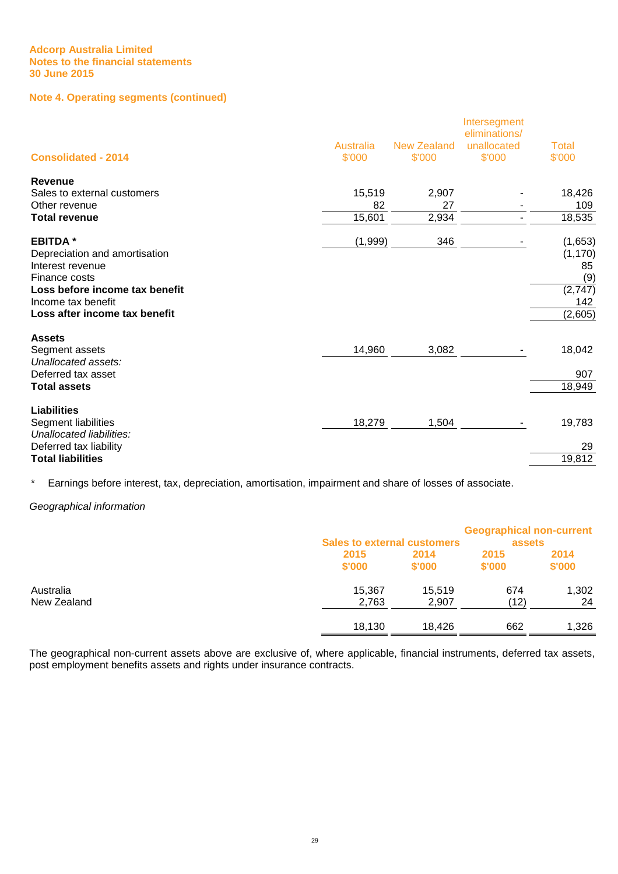# **Note 4. Operating segments (continued)**

| <b>Consolidated - 2014</b>     | <b>Australia</b><br>\$'000 | <b>New Zealand</b><br>\$'000 | Intersegment<br>eliminations/<br>unallocated<br>\$'000 | <b>Total</b><br>\$'000 |
|--------------------------------|----------------------------|------------------------------|--------------------------------------------------------|------------------------|
| Revenue                        |                            |                              |                                                        |                        |
| Sales to external customers    | 15,519                     | 2,907                        |                                                        | 18,426                 |
| Other revenue                  | 82                         | 27                           |                                                        | 109                    |
| <b>Total revenue</b>           | 15,601                     | 2,934                        |                                                        | 18,535                 |
| <b>EBITDA*</b>                 | (1,999)                    | 346                          |                                                        | (1,653)                |
| Depreciation and amortisation  |                            |                              |                                                        | (1, 170)               |
| Interest revenue               |                            |                              |                                                        | 85                     |
| Finance costs                  |                            |                              |                                                        | (9)                    |
| Loss before income tax benefit |                            |                              |                                                        | (2,747)                |
| Income tax benefit             |                            |                              |                                                        | 142                    |
| Loss after income tax benefit  |                            |                              |                                                        | (2,605)                |
| <b>Assets</b>                  |                            |                              |                                                        |                        |
| Segment assets                 | 14,960                     | 3,082                        |                                                        | 18,042                 |
| Unallocated assets:            |                            |                              |                                                        |                        |
| Deferred tax asset             |                            |                              |                                                        | 907                    |
| <b>Total assets</b>            |                            |                              |                                                        | 18,949                 |
| <b>Liabilities</b>             |                            |                              |                                                        |                        |
| Segment liabilities            | 18,279                     | 1,504                        |                                                        | 19,783                 |
| Unallocated liabilities:       |                            |                              |                                                        |                        |
| Deferred tax liability         |                            |                              |                                                        | 29                     |
| <b>Total liabilities</b>       |                            |                              |                                                        | 19,812                 |

\* Earnings before interest, tax, depreciation, amortisation, impairment and share of losses of associate.

#### Geographical information

|             | <b>Sales to external customers</b> |        | <b>Geographical non-current</b><br>assets |        |
|-------------|------------------------------------|--------|-------------------------------------------|--------|
|             | 2015                               | 2014   | 2015                                      | 2014   |
|             | \$'000                             | \$'000 | \$'000                                    | \$'000 |
| Australia   | 15,367                             | 15.519 | 674                                       | 1,302  |
| New Zealand | 2,763                              | 2,907  | (12)                                      | 24     |
|             | 18,130                             | 18.426 | 662                                       | 1,326  |

The geographical non-current assets above are exclusive of, where applicable, financial instruments, deferred tax assets, post employment benefits assets and rights under insurance contracts.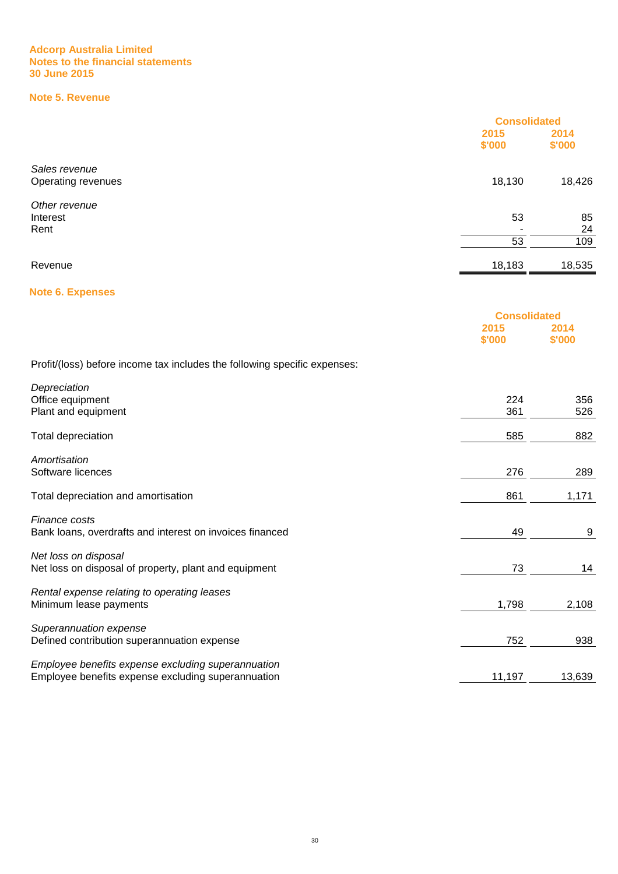# **Note 5. Revenue**

|                    | <b>Consolidated</b> |        |
|--------------------|---------------------|--------|
|                    | 2015                | 2014   |
|                    | \$'000              | \$'000 |
| Sales revenue      |                     |        |
| Operating revenues | 18,130              | 18,426 |
| Other revenue      |                     |        |
| Interest           | 53                  | 85     |
| Rent               |                     | 24     |
|                    | 53                  | 109    |
| Revenue            | 18,183              | 18,535 |
|                    |                     |        |

# **Note 6. Expenses**

|                                                                           | <b>Consolidated</b> |                |
|---------------------------------------------------------------------------|---------------------|----------------|
|                                                                           | 2015<br>\$'000      | 2014<br>\$'000 |
| Profit/(loss) before income tax includes the following specific expenses: |                     |                |
| Depreciation                                                              |                     |                |
| Office equipment                                                          | 224                 | 356            |
| Plant and equipment                                                       | 361                 | 526            |
| Total depreciation                                                        | 585                 | 882            |
| Amortisation                                                              |                     |                |
| Software licences                                                         | 276                 | 289            |
| Total depreciation and amortisation                                       | 861                 | 1,171          |
| Finance costs                                                             |                     |                |
| Bank loans, overdrafts and interest on invoices financed                  | 49                  | 9              |
| Net loss on disposal                                                      |                     |                |
| Net loss on disposal of property, plant and equipment                     | 73                  | 14             |
| Rental expense relating to operating leases                               |                     |                |
| Minimum lease payments                                                    | 1,798               | 2,108          |
| Superannuation expense                                                    |                     |                |
| Defined contribution superannuation expense                               | 752                 | 938            |
| Employee benefits expense excluding superannuation                        |                     |                |
| Employee benefits expense excluding superannuation                        | 11,197              | 13,639         |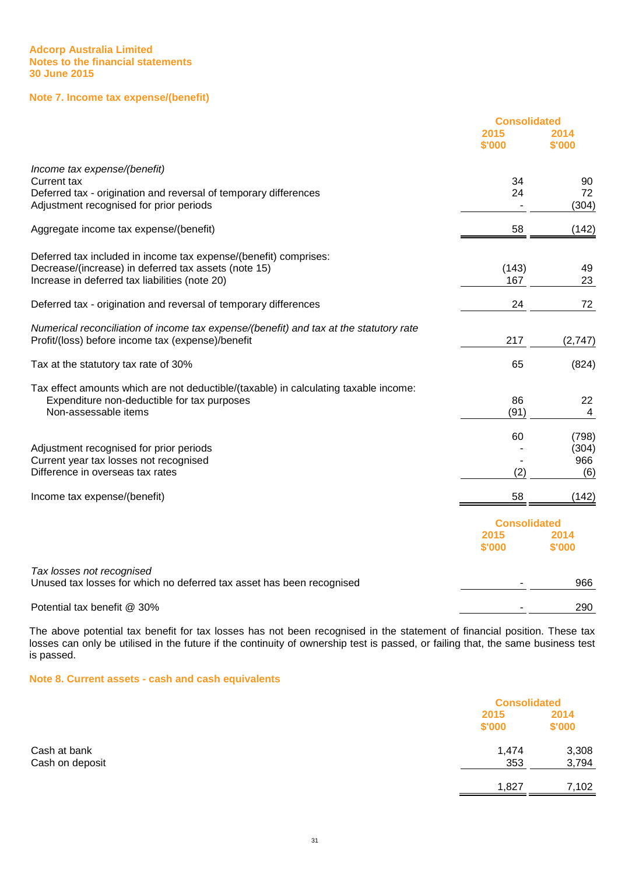# **Note 7. Income tax expense/(benefit)**

|                                                                                                    | <b>Consolidated</b> |                |
|----------------------------------------------------------------------------------------------------|---------------------|----------------|
|                                                                                                    | 2015<br>\$'000      | 2014<br>\$'000 |
| Income tax expense/(benefit)                                                                       |                     |                |
| Current tax                                                                                        | 34                  | 90             |
| Deferred tax - origination and reversal of temporary differences                                   | 24                  | 72             |
| Adjustment recognised for prior periods                                                            |                     | (304)          |
| Aggregate income tax expense/(benefit)                                                             | 58                  | (142)          |
| Deferred tax included in income tax expense/(benefit) comprises:                                   |                     |                |
| Decrease/(increase) in deferred tax assets (note 15)                                               | (143)               | 49             |
| Increase in deferred tax liabilities (note 20)                                                     | 167                 | 23             |
| Deferred tax - origination and reversal of temporary differences                                   | 24                  | 72             |
| Numerical reconciliation of income tax expense/(benefit) and tax at the statutory rate             |                     |                |
| Profit/(loss) before income tax (expense)/benefit                                                  | 217                 | (2,747)        |
| Tax at the statutory tax rate of 30%                                                               | 65                  | (824)          |
| Tax effect amounts which are not deductible/(taxable) in calculating taxable income:               |                     |                |
| Expenditure non-deductible for tax purposes                                                        | 86                  | 22             |
| Non-assessable items                                                                               | (91)                | 4              |
|                                                                                                    | 60                  | (798)          |
| Adjustment recognised for prior periods                                                            |                     | (304)          |
| Current year tax losses not recognised                                                             |                     | 966            |
| Difference in overseas tax rates                                                                   | (2)                 | (6)            |
| Income tax expense/(benefit)                                                                       | 58                  | (142)          |
|                                                                                                    | <b>Consolidated</b> |                |
|                                                                                                    | 2015<br>\$'000      | 2014<br>\$'000 |
|                                                                                                    |                     |                |
| Tax losses not recognised<br>Unused tax losses for which no deferred tax asset has been recognised |                     | 966            |
|                                                                                                    |                     |                |
| Potential tax benefit @ 30%                                                                        |                     | 290            |

The above potential tax benefit for tax losses has not been recognised in the statement of financial position. These tax losses can only be utilised in the future if the continuity of ownership test is passed, or failing that, the same business test is passed.

**Note 8. Current assets - cash and cash equivalents**

|                 |                | <b>Consolidated</b> |  |
|-----------------|----------------|---------------------|--|
|                 | 2015<br>\$'000 | 2014<br>\$'000      |  |
| Cash at bank    | 1,474          | 3,308               |  |
| Cash on deposit | 353            | 3,794               |  |
|                 | 1,827          | 7,102               |  |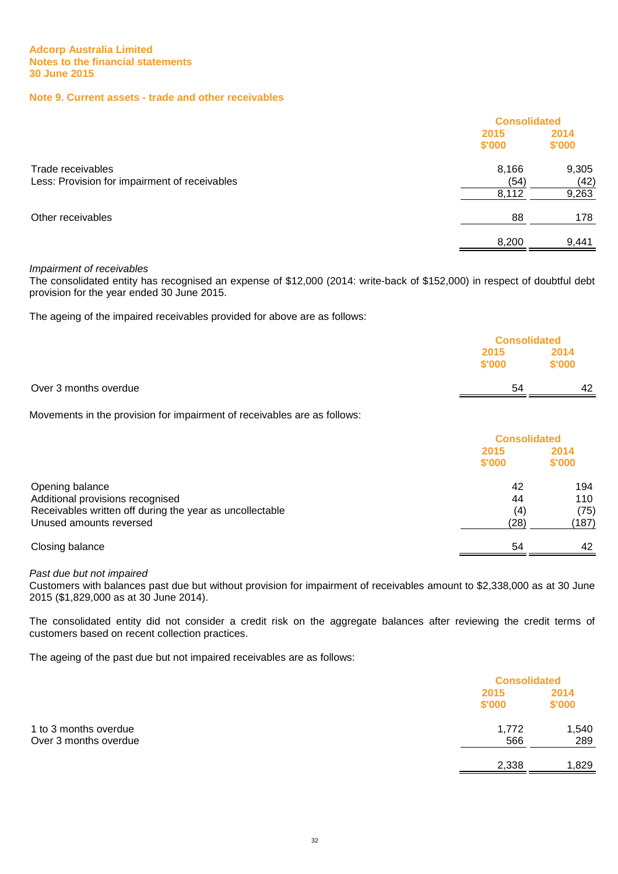#### **Note 9. Current assets - trade and other receivables**

|                                               | <b>Consolidated</b> |        |
|-----------------------------------------------|---------------------|--------|
|                                               | 2015                | 2014   |
|                                               | \$'000              | \$'000 |
| Trade receivables                             | 8,166               | 9,305  |
| Less: Provision for impairment of receivables | (54)                | (42)   |
|                                               | 8,112               | 9,263  |
| Other receivables                             | 88                  | 178    |
|                                               | 8.200               | 9.441  |

#### Impairment of receivables

The consolidated entity has recognised an expense of \$12,000 (2014: write-back of \$152,000) in respect of doubtful debt provision for the year ended 30 June 2015.

The ageing of the impaired receivables provided for above are as follows:

|                       |                | <b>Consolidated</b> |  |
|-----------------------|----------------|---------------------|--|
|                       | 2015<br>\$'000 | 2014<br>\$'000      |  |
| Over 3 months overdue | 54             | 42                  |  |

Movements in the provision for impairment of receivables are as follows:

|                                                          |                | <b>Consolidated</b> |  |
|----------------------------------------------------------|----------------|---------------------|--|
|                                                          | 2015<br>\$'000 | 2014<br>\$'000      |  |
| Opening balance                                          | 42             | 194                 |  |
| Additional provisions recognised                         | 44             | 110                 |  |
| Receivables written off during the year as uncollectable | (4)            | (75)                |  |
| Unused amounts reversed                                  | (28)           | (187)               |  |
| Closing balance                                          | 54             | 42                  |  |

#### Past due but not impaired

Customers with balances past due but without provision for impairment of receivables amount to \$2,338,000 as at 30 June 2015 (\$1,829,000 as at 30 June 2014).

The consolidated entity did not consider a credit risk on the aggregate balances after reviewing the credit terms of customers based on recent collection practices.

The ageing of the past due but not impaired receivables are as follows:

|                       |                | <b>Consolidated</b> |  |
|-----------------------|----------------|---------------------|--|
|                       | 2015<br>\$'000 | 2014<br>\$'000      |  |
| 1 to 3 months overdue | 1,772          | 1,540               |  |
| Over 3 months overdue | 566            | 289                 |  |
|                       | 2,338          | 1,829               |  |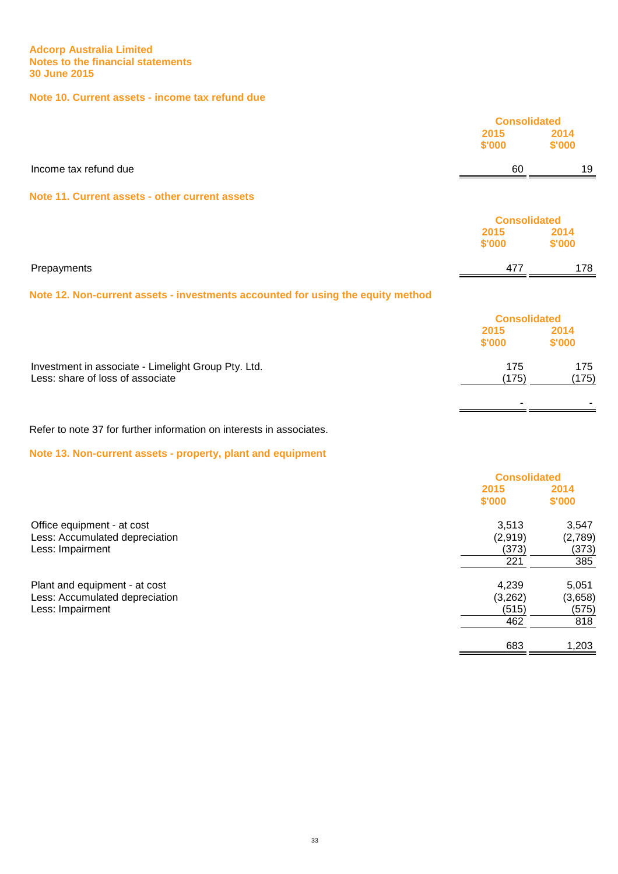# **Note 10. Current assets - income tax refund due**

|                       |        | <b>Consolidated</b> |  |
|-----------------------|--------|---------------------|--|
|                       | 2015   | 2014                |  |
|                       | \$'000 | \$'000              |  |
| Income tax refund due | 60     | 19                  |  |
| ____                  |        |                     |  |

#### **Note 11. Current assets - other current assets**

|                                                                                 | <b>Consolidated</b> |                |
|---------------------------------------------------------------------------------|---------------------|----------------|
|                                                                                 | 2015<br>\$'000      | 2014<br>\$'000 |
| Prepayments                                                                     | 477                 | 178            |
| Note 12. Non-current assets - investments accounted for using the equity method |                     |                |
|                                                                                 | <b>Consolidated</b> |                |
|                                                                                 | 2015                | 2014           |

**\$'000 \$'000**

- -

Investment in associate - Limelight Group Pty. Ltd. 175 175 Less: share of loss of associate (175) (175)

Refer to note 37 for further information on interests in associates.

**Note 13. Non-current assets - property, plant and equipment**

| <b>Consolidated</b> |         |
|---------------------|---------|
| 2015                | 2014    |
| \$'000              | \$'000  |
| 3,513               | 3,547   |
| (2,919)             | (2,789) |
| (373)               | (373)   |
| 221                 | 385     |
| 4,239               | 5,051   |
| (3,262)             | (3,658) |
| (515)               | (575)   |
| 462                 | 818     |
| 683                 | 1,203   |
|                     |         |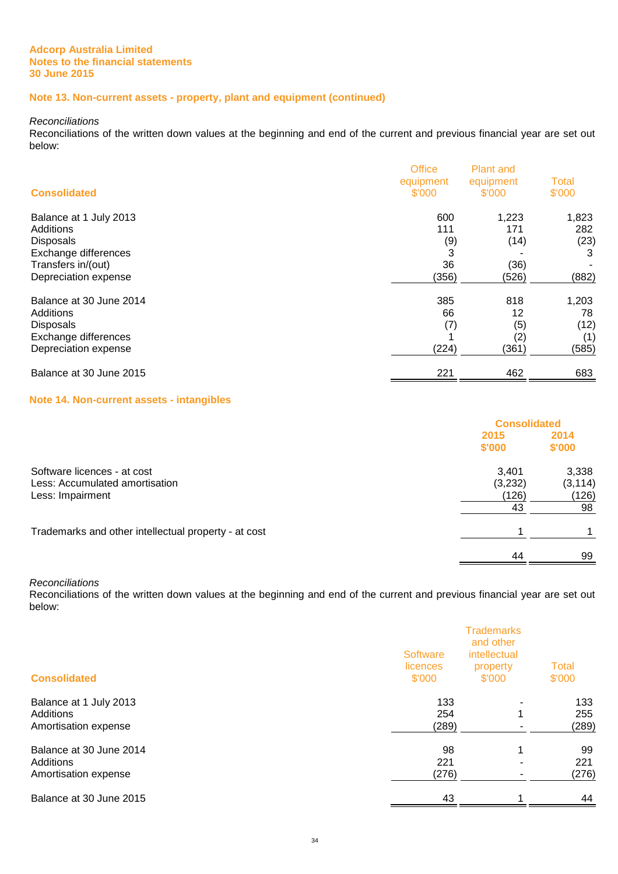# **Note 13. Non-current assets - property, plant and equipment (continued)**

Reconciliations

Reconciliations of the written down values at the beginning and end of the current and previous financial year are set out below:

| <b>Consolidated</b>     | <b>Office</b><br>equipment<br>\$'000 | <b>Plant and</b><br>equipment<br>\$'000 | <b>Total</b><br>\$'000 |
|-------------------------|--------------------------------------|-----------------------------------------|------------------------|
| Balance at 1 July 2013  | 600                                  | 1,223                                   | 1,823                  |
| Additions               | 111                                  | 171                                     | 282                    |
| <b>Disposals</b>        | (9)                                  | (14)                                    | (23)                   |
| Exchange differences    | 3                                    |                                         | 3                      |
| Transfers in/(out)      | 36                                   | (36)                                    |                        |
| Depreciation expense    | (356)                                | (526)                                   | (882)                  |
| Balance at 30 June 2014 | 385                                  | 818                                     | 1,203                  |
| Additions               | 66                                   | 12                                      | 78                     |
| <b>Disposals</b>        | (7)                                  | (5)                                     | (12)                   |
| Exchange differences    |                                      | (2)                                     | (1)                    |
| Depreciation expense    | (224)                                | (361)                                   | (585)                  |
| Balance at 30 June 2015 | 221                                  | 462                                     | 683                    |

#### **Note 14. Non-current assets - intangibles**

|                                                      | <b>Consolidated</b> |                |
|------------------------------------------------------|---------------------|----------------|
|                                                      | 2015<br>\$'000      | 2014<br>\$'000 |
|                                                      |                     |                |
| Software licences - at cost                          | 3,401               | 3,338          |
| Less: Accumulated amortisation                       | (3,232)             | (3, 114)       |
| Less: Impairment                                     | (126)               | (126)          |
|                                                      | 43                  | 98             |
| Trademarks and other intellectual property - at cost |                     |                |
|                                                      | 44                  | 99             |

Reconciliations

Reconciliations of the written down values at the beginning and end of the current and previous financial year are set out below:

| <b>Consolidated</b>                                          | <b>Software</b><br>licences<br>\$'000 | <b>Trademarks</b><br>and other<br>intellectual<br>property<br>\$'000 | <b>Total</b><br>\$'000 |  |
|--------------------------------------------------------------|---------------------------------------|----------------------------------------------------------------------|------------------------|--|
| Balance at 1 July 2013<br>Additions<br>Amortisation expense  | 133<br>254<br>(289)                   | -<br>1                                                               | 133<br>255<br>(289)    |  |
| Balance at 30 June 2014<br>Additions<br>Amortisation expense | 98<br>221<br>(276)                    | 1<br>۰                                                               | 99<br>221<br>(276)     |  |
| Balance at 30 June 2015                                      | 43                                    |                                                                      | 44                     |  |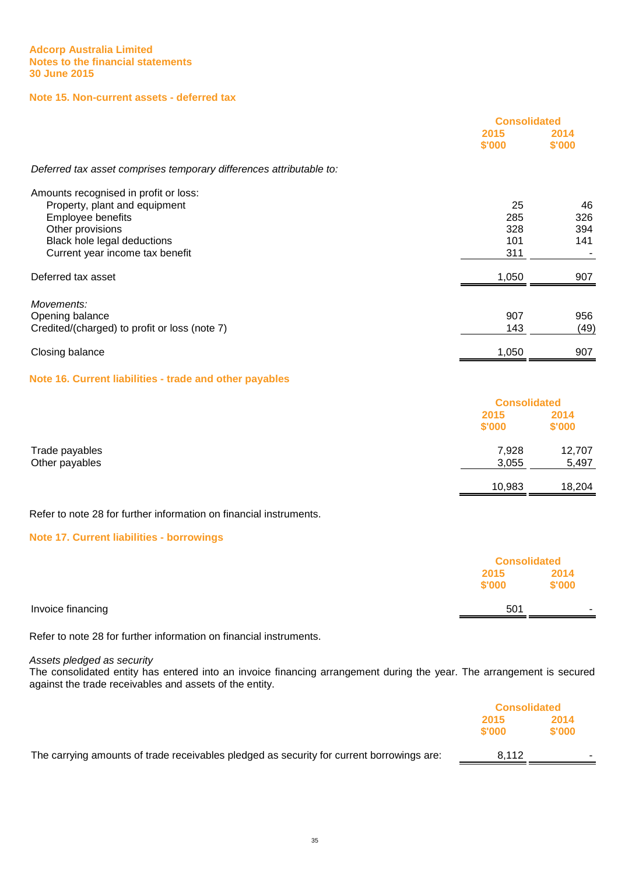# **Note 15. Non-current assets - deferred tax**

|                                                                     | <b>Consolidated</b> |                |
|---------------------------------------------------------------------|---------------------|----------------|
|                                                                     | 2015<br>\$'000      | 2014<br>\$'000 |
| Deferred tax asset comprises temporary differences attributable to: |                     |                |
| Amounts recognised in profit or loss:                               |                     |                |
| Property, plant and equipment                                       | 25                  | 46             |
| Employee benefits                                                   | 285                 | 326            |
| Other provisions                                                    | 328                 | 394            |
| Black hole legal deductions                                         | 101                 | 141            |
| Current year income tax benefit                                     | 311                 |                |
| Deferred tax asset                                                  | 1,050               | 907            |
| Movements:                                                          |                     |                |
| Opening balance                                                     | 907                 | 956            |
| Credited/(charged) to profit or loss (note 7)                       | 143                 | (49)           |
| Closing balance                                                     | 1,050               | 907            |
| Nata 40 Original Bakilitian - toada and atkan paraklaa              |                     |                |

# **Note 16. Current liabilities - trade and other payables**

|                                  |                | <b>Consolidated</b> |  |
|----------------------------------|----------------|---------------------|--|
|                                  | 2015<br>\$'000 | 2014<br>\$'000      |  |
| Trade payables<br>Other payables | 7,928<br>3,055 | 12,707<br>5,497     |  |
|                                  | 10,983         | 18,204              |  |

# Refer to note 28 for further information on financial instruments.

# **Note 17. Current liabilities - borrowings**

|                   |                | <b>Consolidated</b>      |  |
|-------------------|----------------|--------------------------|--|
|                   | 2015<br>\$'000 | 2014<br>\$'000           |  |
| Invoice financing | 501            | $\overline{\phantom{a}}$ |  |

Refer to note 28 for further information on financial instruments.

Assets pledged as security

The consolidated entity has entered into an invoice financing arrangement during the year. The arrangement is secured against the trade receivables and assets of the entity.

|                                                                                           | <b>Consolidated</b> |        |
|-------------------------------------------------------------------------------------------|---------------------|--------|
|                                                                                           | 2014<br>2015        |        |
|                                                                                           | \$'000              | \$'000 |
| The carrying amounts of trade receivables pledged as security for current borrowings are: | 8.112               |        |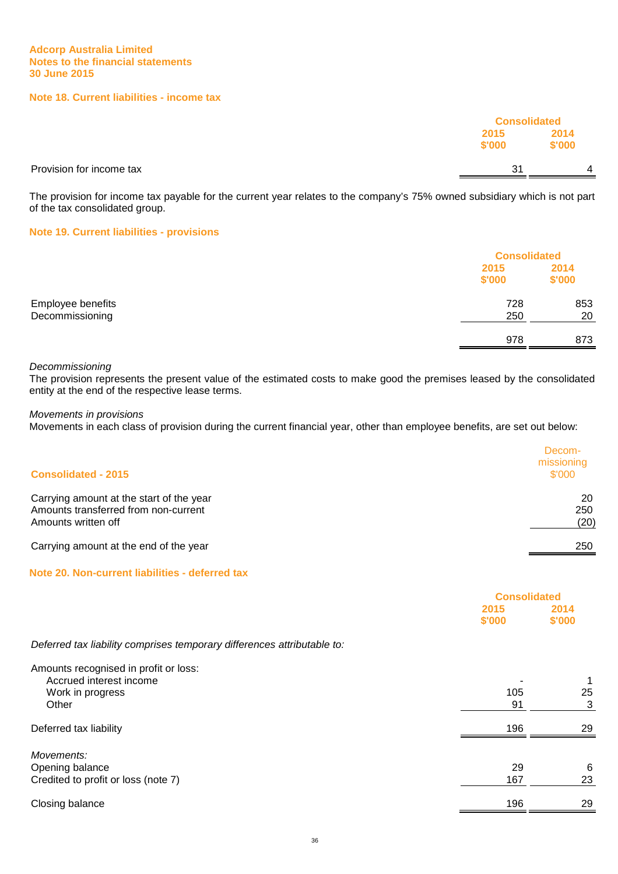# **Note 18. Current liabilities - income tax**

|                          |                | <b>Consolidated</b> |  |
|--------------------------|----------------|---------------------|--|
|                          | 2015<br>\$'000 | 2014<br>\$'000      |  |
| Provision for income tax | 31             | 4                   |  |

The provision for income tax payable for the current year relates to the company's 75% owned subsidiary which is not part of the tax consolidated group.

#### **Note 19. Current liabilities - provisions**

|                   |                | <b>Consolidated</b> |  |
|-------------------|----------------|---------------------|--|
|                   | 2015<br>\$'000 | 2014<br>\$'000      |  |
| Employee benefits | 728            | 853                 |  |
| Decommissioning   | 250            | 20                  |  |
|                   | 978            | 873                 |  |

#### Decommissioning

The provision represents the present value of the estimated costs to make good the premises leased by the consolidated entity at the end of the respective lease terms.

Movements in provisions

Movements in each class of provision during the current financial year, other than employee benefits, are set out below:

| <b>Consolidated - 2015</b>                                                                              | Decom-<br>missioning<br>\$'000 |
|---------------------------------------------------------------------------------------------------------|--------------------------------|
| Carrying amount at the start of the year<br>Amounts transferred from non-current<br>Amounts written off | 20<br>250<br>(20)              |
| Carrying amount at the end of the year                                                                  | 250                            |

# **Note 20. Non-current liabilities - deferred tax**

|                                                                                               | <b>Consolidated</b> |                |
|-----------------------------------------------------------------------------------------------|---------------------|----------------|
|                                                                                               | 2015<br>\$'000      | 2014<br>\$'000 |
| Deferred tax liability comprises temporary differences attributable to:                       |                     |                |
| Amounts recognised in profit or loss:<br>Accrued interest income<br>Work in progress<br>Other | 105<br>91           | 25<br>3        |
| Deferred tax liability                                                                        | 196                 | 29             |
| Movements:<br>Opening balance<br>Credited to profit or loss (note 7)                          | 29<br>167           | 6<br>23        |
| Closing balance                                                                               | 196                 | 29             |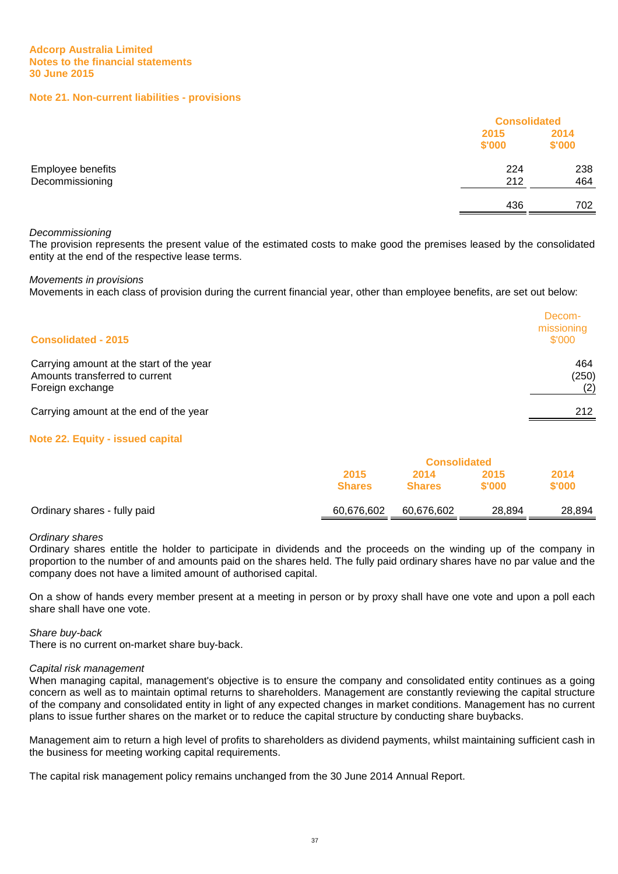#### **Note 21. Non-current liabilities - provisions**

|                                      |                | <b>Consolidated</b> |  |
|--------------------------------------|----------------|---------------------|--|
|                                      | 2015<br>\$'000 | 2014<br>\$'000      |  |
| Employee benefits<br>Decommissioning | 224<br>212     | 238<br>464          |  |
|                                      | 436            | 702                 |  |

#### Decommissioning

The provision represents the present value of the estimated costs to make good the premises leased by the consolidated entity at the end of the respective lease terms.

Movements in provisions

Movements in each class of provision during the current financial year, other than employee benefits, are set out below:

| <b>Consolidated - 2015</b>                                                                     | Decom-<br>missioning<br>\$'000 |
|------------------------------------------------------------------------------------------------|--------------------------------|
| Carrying amount at the start of the year<br>Amounts transferred to current<br>Foreign exchange | 464<br>(250)<br>(2)            |
| Carrying amount at the end of the year                                                         | 212                            |

#### **Note 22. Equity - issued capital**

|                              | <b>Consolidated</b>   |                       |                |                |
|------------------------------|-----------------------|-----------------------|----------------|----------------|
|                              | 2015<br><b>Shares</b> | 2014<br><b>Shares</b> | 2015<br>\$'000 | 2014<br>\$'000 |
| Ordinary shares - fully paid | 60,676,602            | 60,676,602            | 28.894         | 28,894         |

#### Ordinary shares

Ordinary shares entitle the holder to participate in dividends and the proceeds on the winding up of the company in proportion to the number of and amounts paid on the shares held. The fully paid ordinary shares have no par value and the company does not have a limited amount of authorised capital.

On a show of hands every member present at a meeting in person or by proxy shall have one vote and upon a poll each share shall have one vote.

#### Share buy-back

There is no current on-market share buy-back.

#### Capital risk management

When managing capital, management's objective is to ensure the company and consolidated entity continues as a going concern as well as to maintain optimal returns to shareholders. Management are constantly reviewing the capital structure of the company and consolidated entity in light of any expected changes in market conditions. Management has no current plans to issue further shares on the market or to reduce the capital structure by conducting share buybacks.

Management aim to return a high level of profits to shareholders as dividend payments, whilst maintaining sufficient cash in the business for meeting working capital requirements.

The capital risk management policy remains unchanged from the 30 June 2014 Annual Report.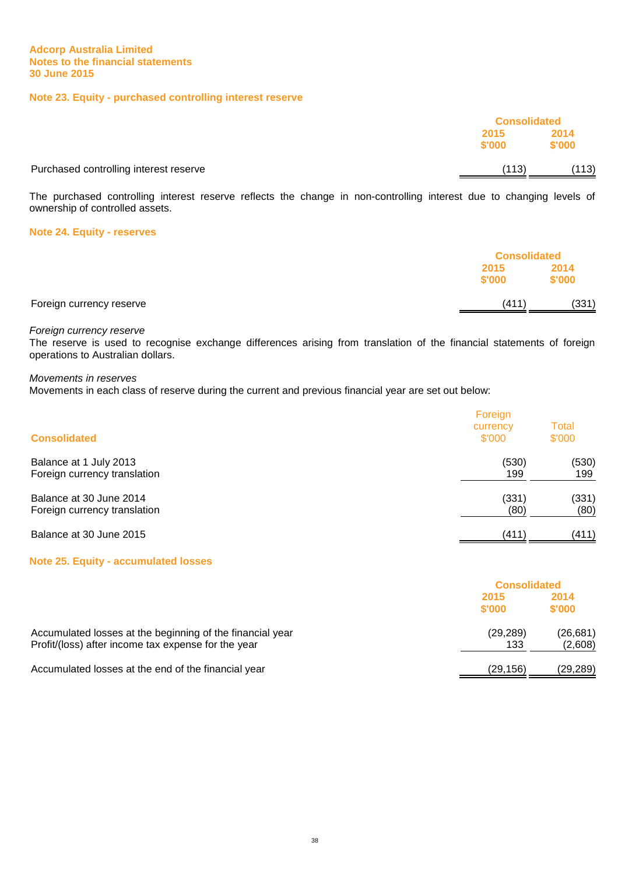# **Note 23. Equity - purchased controlling interest reserve**

|                                        |                | <b>Consolidated</b> |  |
|----------------------------------------|----------------|---------------------|--|
|                                        | 2015<br>\$'000 | 2014<br>\$'000      |  |
| Purchased controlling interest reserve | (113)          | (113)               |  |

The purchased controlling interest reserve reflects the change in non-controlling interest due to changing levels of ownership of controlled assets.

#### **Note 24. Equity - reserves**

|                          | <b>Consolidated</b> |                |
|--------------------------|---------------------|----------------|
|                          | 2015<br>\$'000      | 2014<br>\$'000 |
| Foreign currency reserve | (411)               | (331)          |

#### Foreign currency reserve

The reserve is used to recognise exchange differences arising from translation of the financial statements of foreign operations to Australian dollars.

#### Movements in reserves

Movements in each class of reserve during the current and previous financial year are set out below:

| <b>Consolidated</b>          | Foreign<br>currency<br>\$'000 | Total<br>\$'000 |
|------------------------------|-------------------------------|-----------------|
| Balance at 1 July 2013       | (530)                         | (530)           |
| Foreign currency translation | 199                           | 199             |
| Balance at 30 June 2014      | (331)                         | (331)           |
| Foreign currency translation | (80)                          | (80)            |
| Balance at 30 June 2015      | (411)                         | (411)           |

#### **Note 25. Equity - accumulated losses**

|                                                                                                                  |                  | <b>Consolidated</b>  |  |
|------------------------------------------------------------------------------------------------------------------|------------------|----------------------|--|
|                                                                                                                  | 2015<br>\$'000   | 2014<br>\$'000       |  |
| Accumulated losses at the beginning of the financial year<br>Profit/(loss) after income tax expense for the year | (29, 289)<br>133 | (26, 681)<br>(2,608) |  |
| Accumulated losses at the end of the financial year                                                              | (29,156)         | (29,289)             |  |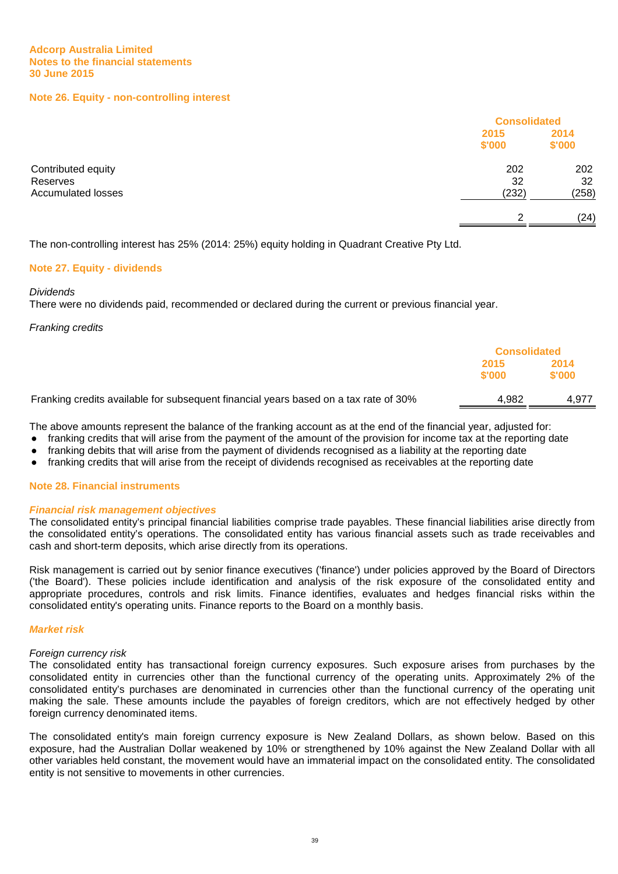#### **Note 26. Equity - non-controlling interest**

|                                                      | <b>Consolidated</b> |                    |
|------------------------------------------------------|---------------------|--------------------|
|                                                      | 2015<br>\$'000      | 2014<br>\$'000     |
| Contributed equity<br>Reserves<br>Accumulated losses | 202<br>32<br>(232)  | 202<br>32<br>(258) |
|                                                      | ົ                   | (24)               |
|                                                      |                     |                    |

The non-controlling interest has 25% (2014: 25%) equity holding in Quadrant Creative Pty Ltd.

#### **Note 27. Equity - dividends**

#### **Dividends**

There were no dividends paid, recommended or declared during the current or previous financial year.

Franking credits

|                                                                                      | <b>Consolidated</b> |                |
|--------------------------------------------------------------------------------------|---------------------|----------------|
|                                                                                      | 2015<br>\$'000      | 2014<br>\$'000 |
| Franking credits available for subsequent financial years based on a tax rate of 30% | 4.982               | 4.977          |

The above amounts represent the balance of the franking account as at the end of the financial year, adjusted for:

- franking credits that will arise from the payment of the amount of the provision for income tax at the reporting date
- franking debits that will arise from the payment of dividends recognised as a liability at the reporting date
- franking credits that will arise from the receipt of dividends recognised as receivables at the reporting date

#### **Note 28. Financial instruments**

#### **Financial risk management objectives**

The consolidated entity's principal financial liabilities comprise trade payables. These financial liabilities arise directly from the consolidated entity's operations. The consolidated entity has various financial assets such as trade receivables and cash and short-term deposits, which arise directly from its operations.

Risk management is carried out by senior finance executives ('finance') under policies approved by the Board of Directors ('the Board'). These policies include identification and analysis of the risk exposure of the consolidated entity and appropriate procedures, controls and risk limits. Finance identifies, evaluates and hedges financial risks within the consolidated entity's operating units. Finance reports to the Board on a monthly basis.

#### **Market risk**

#### Foreign currency risk

The consolidated entity has transactional foreign currency exposures. Such exposure arises from purchases by the consolidated entity in currencies other than the functional currency of the operating units. Approximately 2% of the consolidated entity's purchases are denominated in currencies other than the functional currency of the operating unit making the sale. These amounts include the payables of foreign creditors, which are not effectively hedged by other foreign currency denominated items.

The consolidated entity's main foreign currency exposure is New Zealand Dollars, as shown below. Based on this exposure, had the Australian Dollar weakened by 10% or strengthened by 10% against the New Zealand Dollar with all other variables held constant, the movement would have an immaterial impact on the consolidated entity. The consolidated entity is not sensitive to movements in other currencies.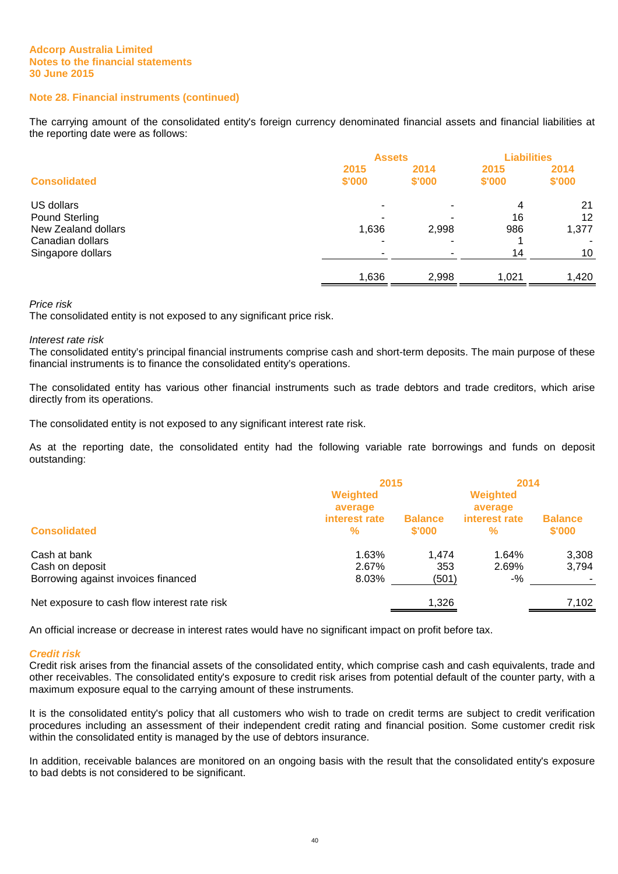### **Note 28. Financial instruments (continued)**

The carrying amount of the consolidated entity's foreign currency denominated financial assets and financial liabilities at the reporting date were as follows:

|                                                            | <b>Assets</b>  |                | <b>Liabilities</b> |                   |
|------------------------------------------------------------|----------------|----------------|--------------------|-------------------|
| <b>Consolidated</b>                                        | 2015<br>\$'000 | 2014<br>\$'000 | 2015<br>\$'000     | 2014<br>\$'000    |
| US dollars<br><b>Pound Sterling</b><br>New Zealand dollars | 1,636          | 2,998          | 4<br>16<br>986     | 21<br>12<br>1,377 |
| Canadian dollars<br>Singapore dollars                      |                |                | 14                 | 10                |
|                                                            | 1,636          | 2,998          | 1,021              | 1,420             |

#### Price risk

The consolidated entity is not exposed to any significant price risk.

#### Interest rate risk

The consolidated entity's principal financial instruments comprise cash and short-term deposits. The main purpose of these financial instruments is to finance the consolidated entity's operations.

The consolidated entity has various other financial instruments such as trade debtors and trade creditors, which arise directly from its operations.

The consolidated entity is not exposed to any significant interest rate risk.

As at the reporting date, the consolidated entity had the following variable rate borrowings and funds on deposit outstanding:

|                                              | 2015                                 |                | 2014                                 |                |
|----------------------------------------------|--------------------------------------|----------------|--------------------------------------|----------------|
|                                              | Weighted<br>average<br>interest rate | <b>Balance</b> | Weighted<br>average<br>interest rate | <b>Balance</b> |
| <b>Consolidated</b>                          | $\frac{9}{6}$                        | \$'000         | %                                    | \$'000         |
| Cash at bank                                 | 1.63%                                | 1.474          | 1.64%                                | 3,308          |
| Cash on deposit                              | 2.67%                                | 353            | 2.69%                                | 3,794          |
| Borrowing against invoices financed          | 8.03%                                | (501)          | $-$ %                                |                |
| Net exposure to cash flow interest rate risk |                                      | 1,326          |                                      | 7,102          |

An official increase or decrease in interest rates would have no significant impact on profit before tax.

#### **Credit risk**

Credit risk arises from the financial assets of the consolidated entity, which comprise cash and cash equivalents, trade and other receivables. The consolidated entity's exposure to credit risk arises from potential default of the counter party, with a maximum exposure equal to the carrying amount of these instruments.

It is the consolidated entity's policy that all customers who wish to trade on credit terms are subject to credit verification procedures including an assessment of their independent credit rating and financial position. Some customer credit risk within the consolidated entity is managed by the use of debtors insurance.

In addition, receivable balances are monitored on an ongoing basis with the result that the consolidated entity's exposure to bad debts is not considered to be significant.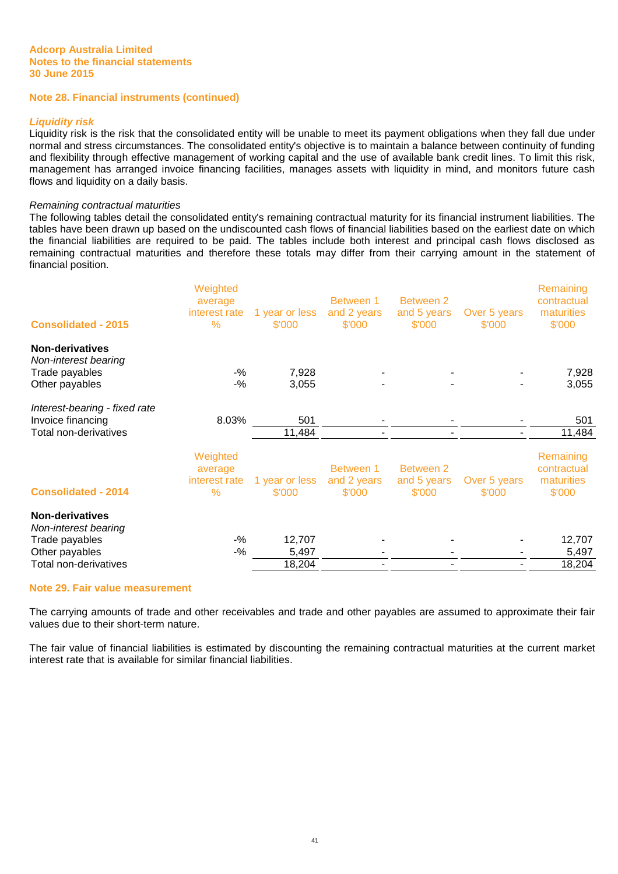#### **Note 28. Financial instruments (continued)**

#### **Liquidity risk**

Liquidity risk is the risk that the consolidated entity will be unable to meet its payment obligations when they fall due under normal and stress circumstances. The consolidated entity's objective is to maintain a balance between continuity of funding and flexibility through effective management of working capital and the use of available bank credit lines. To limit this risk, management has arranged invoice financing facilities, manages assets with liquidity in mind, and monitors future cash flows and liquidity on a daily basis.

#### Remaining contractual maturities

The following tables detail the consolidated entity's remaining contractual maturity for its financial instrument liabilities. The tables have been drawn up based on the undiscounted cash flows of financial liabilities based on the earliest date on which the financial liabilities are required to be paid. The tables include both interest and principal cash flows disclosed as remaining contractual maturities and therefore these totals may differ from their carrying amount in the statement of financial position.

| <b>Consolidated - 2015</b>                                                                                  | Weighted<br>average<br>interest rate<br>$\%$ | 1 year or less<br>\$'000  | Between 1<br>and 2 years<br>\$'000 | Between 2<br>and 5 years<br>\$'000 | Over 5 years<br>\$'000 | Remaining<br>contractual<br>maturities<br>\$'000 |
|-------------------------------------------------------------------------------------------------------------|----------------------------------------------|---------------------------|------------------------------------|------------------------------------|------------------------|--------------------------------------------------|
| <b>Non-derivatives</b><br>Non-interest bearing<br>Trade payables<br>Other payables                          | $-$ %<br>$-9/6$                              | 7,928<br>3,055            |                                    |                                    |                        | 7,928<br>3,055                                   |
| Interest-bearing - fixed rate<br>Invoice financing<br>Total non-derivatives                                 | 8.03%                                        | 501<br>11,484             |                                    |                                    |                        | 501<br>11,484                                    |
| <b>Consolidated - 2014</b>                                                                                  | Weighted<br>average<br>interest rate<br>$\%$ | 1 year or less<br>\$'000  | Between 1<br>and 2 years<br>\$'000 | Between 2<br>and 5 years<br>\$'000 | Over 5 years<br>\$'000 | Remaining<br>contractual<br>maturities<br>\$'000 |
| <b>Non-derivatives</b><br>Non-interest bearing<br>Trade payables<br>Other payables<br>Total non-derivatives | $-$ %<br>$-$ %                               | 12,707<br>5,497<br>18,204 |                                    |                                    |                        | 12,707<br>5,497<br>18,204                        |

# **Note 29. Fair value measurement**

The carrying amounts of trade and other receivables and trade and other payables are assumed to approximate their fair values due to their short-term nature.

The fair value of financial liabilities is estimated by discounting the remaining contractual maturities at the current market interest rate that is available for similar financial liabilities.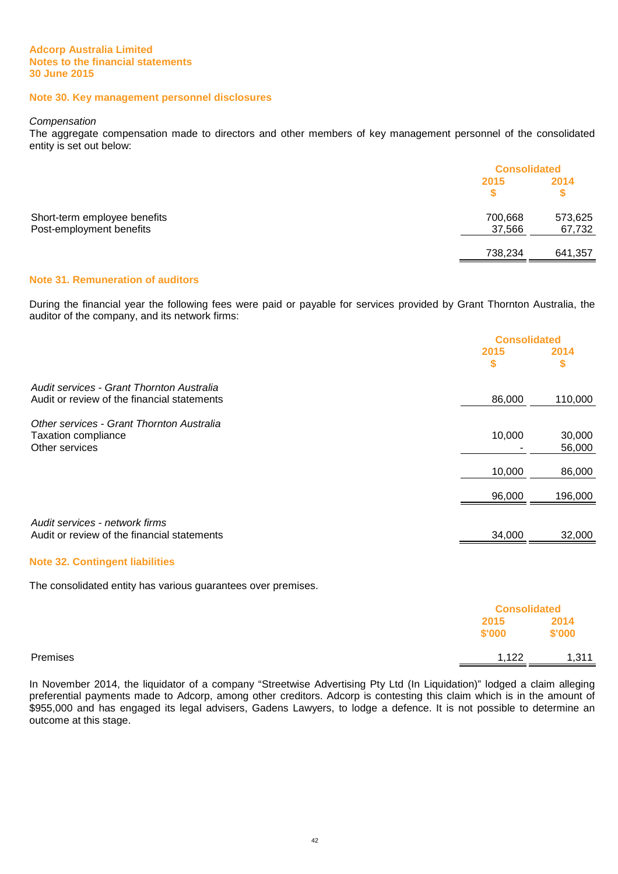#### **Note 30. Key management personnel disclosures**

#### **Compensation**

The aggregate compensation made to directors and other members of key management personnel of the consolidated entity is set out below:

|                              |         | <b>Consolidated</b> |  |
|------------------------------|---------|---------------------|--|
|                              | 2015    | 2014                |  |
|                              |         |                     |  |
| Short-term employee benefits | 700,668 | 573,625             |  |
| Post-employment benefits     | 37,566  | 67,732              |  |
|                              | 738,234 | 641,357             |  |

### **Note 31. Remuneration of auditors**

During the financial year the following fees were paid or payable for services provided by Grant Thornton Australia, the auditor of the company, and its network firms:

|                                                                                          | <b>Consolidated</b> |                  |
|------------------------------------------------------------------------------------------|---------------------|------------------|
|                                                                                          | 2015<br>\$          | 2014<br>\$       |
| Audit services - Grant Thornton Australia<br>Audit or review of the financial statements | 86,000              | 110,000          |
| Other services - Grant Thornton Australia<br>Taxation compliance<br>Other services       | 10,000              | 30,000<br>56,000 |
|                                                                                          | 10,000              | 86,000           |
|                                                                                          | 96,000              | 196,000          |
| Audit services - network firms<br>Audit or review of the financial statements            | 34,000              | 32,000           |

#### **Note 32. Contingent liabilities**

The consolidated entity has various guarantees over premises.

|          |                | <b>Consolidated</b> |
|----------|----------------|---------------------|
|          | 2015<br>\$'000 | 2014<br>\$'000      |
| Premises | 1,122          | 1,311               |

In November 2014, the liquidator of a company "Streetwise Advertising Pty Ltd (In Liquidation)" lodged a claim alleging preferential payments made to Adcorp, among other creditors. Adcorp is contesting this claim which is in the amount of \$955,000 and has engaged its legal advisers, Gadens Lawyers, to lodge a defence. It is not possible to determine an outcome at this stage.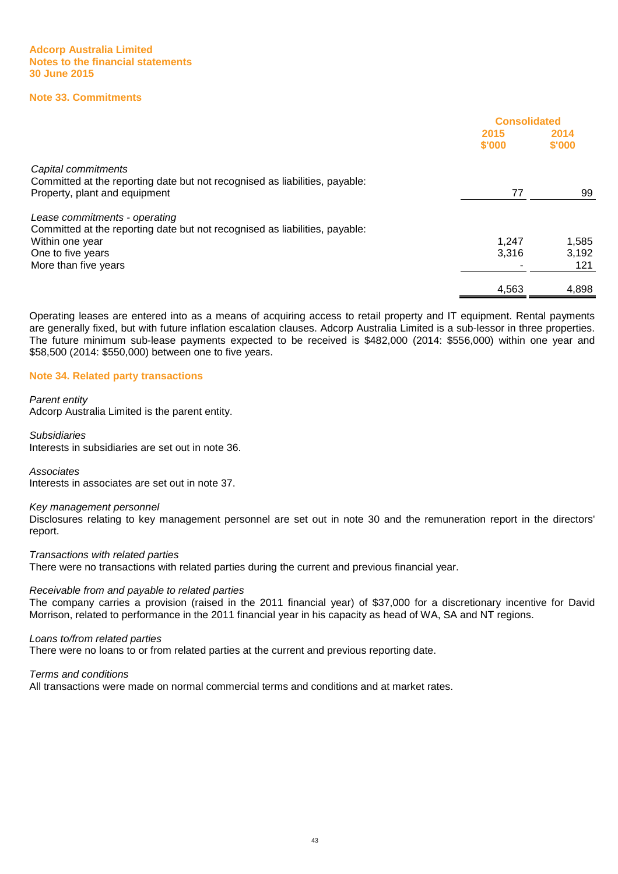#### **Note 33. Commitments**

|                                                                                                                                     | <b>Consolidated</b> |                |
|-------------------------------------------------------------------------------------------------------------------------------------|---------------------|----------------|
|                                                                                                                                     | 2015<br>\$'000      | 2014<br>\$'000 |
| Capital commitments<br>Committed at the reporting date but not recognised as liabilities, payable:<br>Property, plant and equipment | 77                  | 99             |
| Lease commitments - operating<br>Committed at the reporting date but not recognised as liabilities, payable:                        |                     |                |
| Within one year                                                                                                                     | 1.247               | 1,585          |
| One to five years                                                                                                                   | 3,316               | 3,192          |
| More than five years                                                                                                                |                     | 121            |
|                                                                                                                                     | 4,563               | 4,898          |

Operating leases are entered into as a means of acquiring access to retail property and IT equipment. Rental payments are generally fixed, but with future inflation escalation clauses. Adcorp Australia Limited is a sub-lessor in three properties. The future minimum sub-lease payments expected to be received is \$482,000 (2014: \$556,000) within one year and \$58,500 (2014: \$550,000) between one to five years.

#### **Note 34. Related party transactions**

#### Parent entity

Adcorp Australia Limited is the parent entity.

# Subsidiaries

Interests in subsidiaries are set out in note 36.

#### **Associates**

Interests in associates are set out in note 37.

#### Key management personnel

Disclosures relating to key management personnel are set out in note 30 and the remuneration report in the directors' report.

#### Transactions with related parties

There were no transactions with related parties during the current and previous financial year.

#### Receivable from and payable to related parties

The company carries a provision (raised in the 2011 financial year) of \$37,000 for a discretionary incentive for David Morrison, related to performance in the 2011 financial year in his capacity as head of WA, SA and NT regions.

#### Loans to/from related parties

There were no loans to or from related parties at the current and previous reporting date.

# Terms and conditions

All transactions were made on normal commercial terms and conditions and at market rates.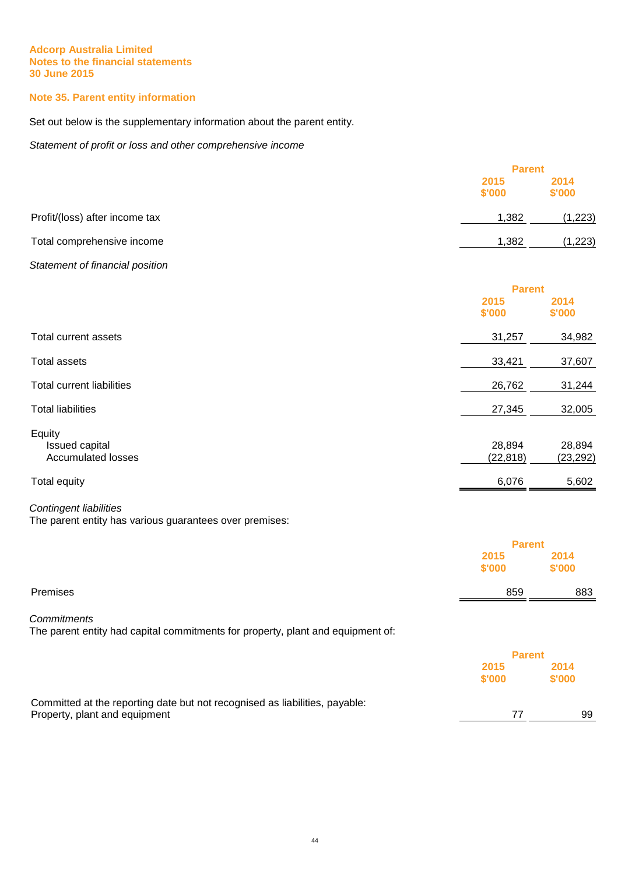# **Note 35. Parent entity information**

Set out below is the supplementary information about the parent entity.

Statement of profit or loss and other comprehensive income

|                                                       | <b>Parent</b>       |                     |
|-------------------------------------------------------|---------------------|---------------------|
|                                                       | 2015<br>\$'000      | 2014<br>\$'000      |
| Profit/(loss) after income tax                        | 1,382               | (1, 223)            |
| Total comprehensive income                            | 1,382               | (1, 223)            |
| Statement of financial position                       |                     |                     |
|                                                       | <b>Parent</b>       |                     |
|                                                       | 2015<br>\$'000      | 2014<br>\$'000      |
| <b>Total current assets</b>                           | 31,257              | 34,982              |
| <b>Total assets</b>                                   | 33,421              | 37,607              |
| <b>Total current liabilities</b>                      | 26,762              | 31,244              |
| <b>Total liabilities</b>                              | 27,345              | 32,005              |
| Equity<br>Issued capital<br><b>Accumulated losses</b> | 28,894<br>(22, 818) | 28,894<br>(23, 292) |
| Total equity                                          | 6,076               | 5,602               |

# Contingent liabilities

The parent entity has various guarantees over premises:

|                                                                                                              | <b>Parent</b>  |                |
|--------------------------------------------------------------------------------------------------------------|----------------|----------------|
|                                                                                                              | 2015<br>\$'000 | 2014<br>\$'000 |
| Premises                                                                                                     | 859            | 883            |
| <b>Commitments</b><br>The parent entity had capital commitments for property, plant and equipment of:        |                |                |
|                                                                                                              | <b>Parent</b>  |                |
|                                                                                                              | 2015<br>\$'000 | 2014<br>\$'000 |
| Committed at the reporting date but not recognised as liabilities, payable:<br>Property, plant and equipment | 77             | 99             |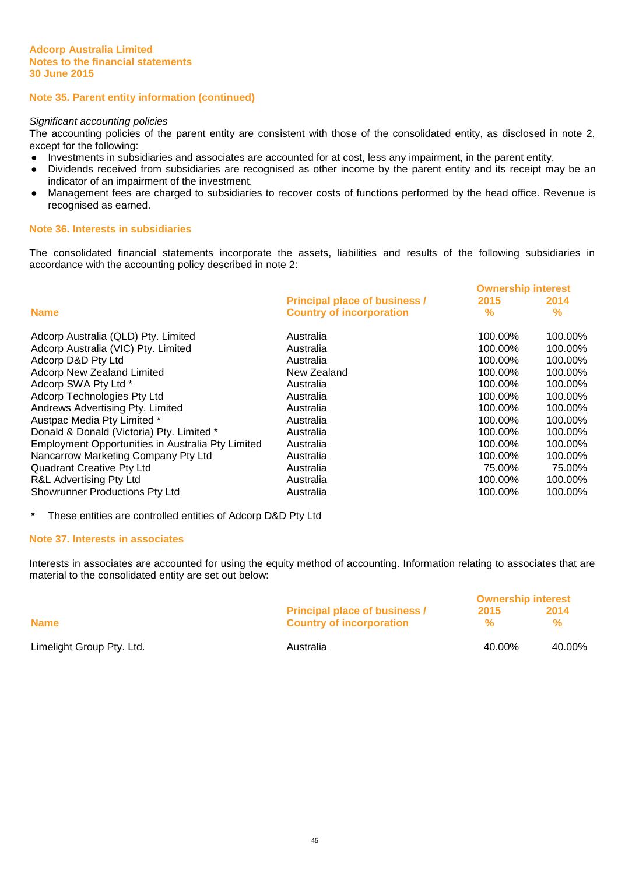### **Note 35. Parent entity information (continued)**

#### Significant accounting policies

The accounting policies of the parent entity are consistent with those of the consolidated entity, as disclosed in note 2, except for the following:

- Investments in subsidiaries and associates are accounted for at cost, less any impairment, in the parent entity.
- Dividends received from subsidiaries are recognised as other income by the parent entity and its receipt may be an indicator of an impairment of the investment.
- Management fees are charged to subsidiaries to recover costs of functions performed by the head office. Revenue is recognised as earned.

#### **Note 36. Interests in subsidiaries**

The consolidated financial statements incorporate the assets, liabilities and results of the following subsidiaries in accordance with the accounting policy described in note 2:

|                                                   |                                      | <b>Ownership interest</b> |         |
|---------------------------------------------------|--------------------------------------|---------------------------|---------|
|                                                   | <b>Principal place of business /</b> | 2015                      | 2014    |
| <b>Name</b>                                       | <b>Country of incorporation</b>      | %                         | %       |
| Adcorp Australia (QLD) Pty. Limited               | Australia                            | 100.00%                   | 100.00% |
| Adcorp Australia (VIC) Pty. Limited               | Australia                            | 100.00%                   | 100.00% |
| Adcorp D&D Pty Ltd                                | Australia                            | 100.00%                   | 100.00% |
| Adcorp New Zealand Limited                        | New Zealand                          | 100.00%                   | 100.00% |
| Adcorp SWA Pty Ltd *                              | Australia                            | 100.00%                   | 100.00% |
| Adcorp Technologies Pty Ltd                       | Australia                            | 100.00%                   | 100.00% |
| Andrews Advertising Pty. Limited                  | Australia                            | 100.00%                   | 100.00% |
| Austpac Media Pty Limited *                       | Australia                            | 100.00%                   | 100.00% |
| Donald & Donald (Victoria) Pty. Limited *         | Australia                            | 100.00%                   | 100.00% |
| Employment Opportunities in Australia Pty Limited | Australia                            | 100.00%                   | 100.00% |
| Nancarrow Marketing Company Pty Ltd               | Australia                            | 100.00%                   | 100.00% |
| <b>Quadrant Creative Pty Ltd</b>                  | Australia                            | 75.00%                    | 75.00%  |
| R&L Advertising Pty Ltd                           | Australia                            | 100.00%                   | 100.00% |
| <b>Showrunner Productions Pty Ltd</b>             | Australia                            | 100.00%                   | 100.00% |

\* These entities are controlled entities of Adcorp D&D Pty Ltd

#### **Note 37. Interests in associates**

Interests in associates are accounted for using the equity method of accounting. Information relating to associates that are material to the consolidated entity are set out below:

|                           |                                                                         | <b>Ownership interest</b> |                       |
|---------------------------|-------------------------------------------------------------------------|---------------------------|-----------------------|
| <b>Name</b>               | <b>Principal place of business /</b><br><b>Country of incorporation</b> | 2015<br>$\frac{1}{2}$     | 2014<br>$\frac{9}{6}$ |
| Limelight Group Pty. Ltd. | Australia                                                               | 40.00%                    | 40.00%                |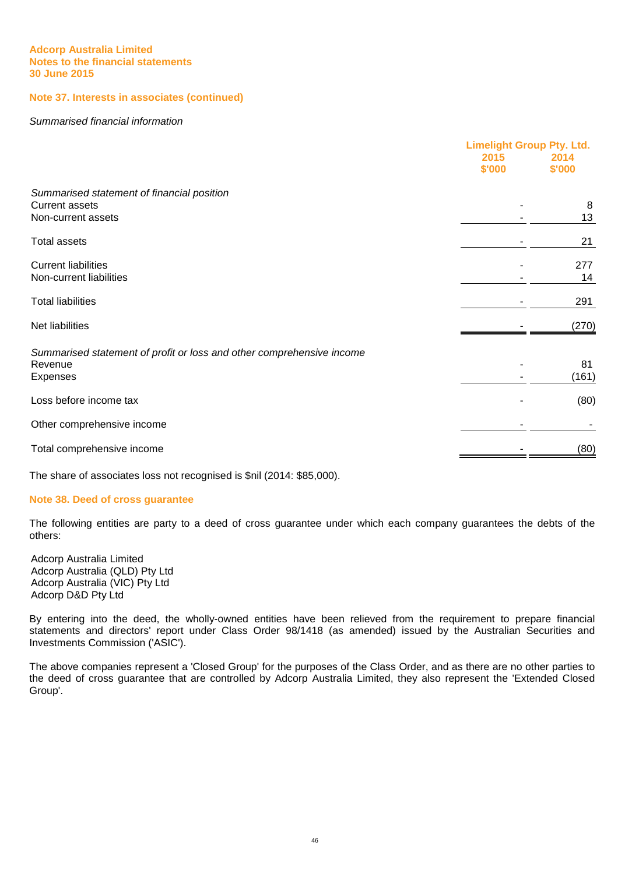# **Note 37. Interests in associates (continued)**

#### Summarised financial information

|                                                                                              | 2015<br>\$'000 | <b>Limelight Group Pty. Ltd.</b><br>2014<br>\$'000 |  |
|----------------------------------------------------------------------------------------------|----------------|----------------------------------------------------|--|
| Summarised statement of financial position<br><b>Current assets</b><br>Non-current assets    |                | 8<br>13                                            |  |
| <b>Total assets</b>                                                                          |                | 21                                                 |  |
| <b>Current liabilities</b><br>Non-current liabilities                                        |                | 277<br>14                                          |  |
| <b>Total liabilities</b>                                                                     |                | 291                                                |  |
| Net liabilities                                                                              |                | (270)                                              |  |
| Summarised statement of profit or loss and other comprehensive income<br>Revenue<br>Expenses |                | 81<br>(161)                                        |  |
| Loss before income tax                                                                       |                | (80)                                               |  |
| Other comprehensive income                                                                   |                |                                                    |  |
| Total comprehensive income                                                                   |                | (80)                                               |  |

The share of associates loss not recognised is \$nil (2014: \$85,000).

#### **Note 38. Deed of cross guarantee**

The following entities are party to a deed of cross guarantee under which each company guarantees the debts of the others:

Adcorp Australia Limited Adcorp Australia (QLD) Pty Ltd Adcorp Australia (VIC) Pty Ltd Adcorp D&D Pty Ltd

By entering into the deed, the wholly-owned entities have been relieved from the requirement to prepare financial statements and directors' report under Class Order 98/1418 (as amended) issued by the Australian Securities and Investments Commission ('ASIC').

The above companies represent a 'Closed Group' for the purposes of the Class Order, and as there are no other parties to the deed of cross guarantee that are controlled by Adcorp Australia Limited, they also represent the 'Extended Closed Group'.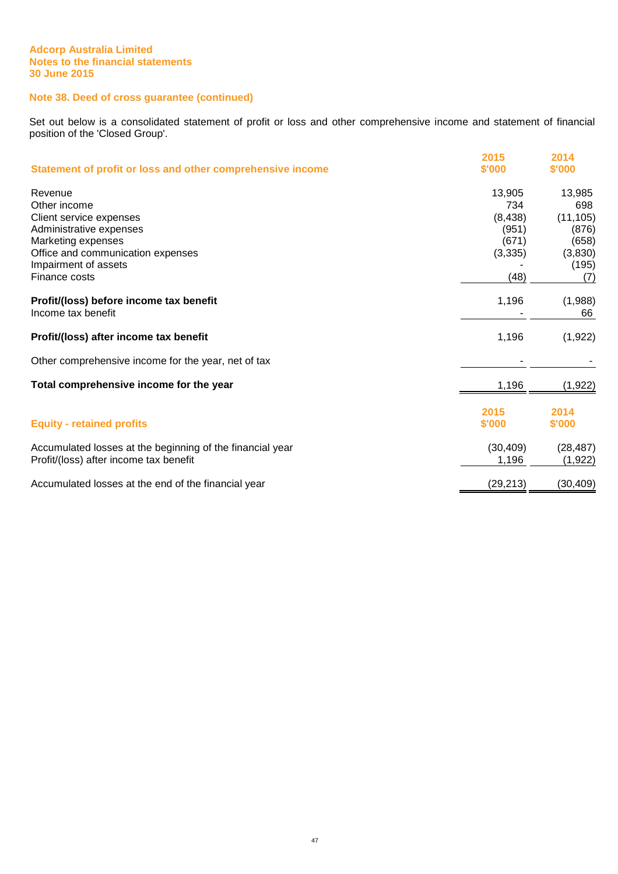# **Note 38. Deed of cross guarantee (continued)**

Set out below is a consolidated statement of profit or loss and other comprehensive income and statement of financial position of the 'Closed Group'.

| Statement of profit or loss and other comprehensive income                                                                                                                        | 2015<br>\$'000                                                  | 2014<br>\$'000                                                          |
|-----------------------------------------------------------------------------------------------------------------------------------------------------------------------------------|-----------------------------------------------------------------|-------------------------------------------------------------------------|
| Revenue<br>Other income<br>Client service expenses<br>Administrative expenses<br>Marketing expenses<br>Office and communication expenses<br>Impairment of assets<br>Finance costs | 13,905<br>734<br>(8, 438)<br>(951)<br>(671)<br>(3, 335)<br>(48) | 13,985<br>698<br>(11, 105)<br>(876)<br>(658)<br>(3,830)<br>(195)<br>(7) |
| Profit/(loss) before income tax benefit<br>Income tax benefit                                                                                                                     | 1,196                                                           | (1,988)<br>66                                                           |
| Profit/(loss) after income tax benefit                                                                                                                                            | 1,196                                                           | (1, 922)                                                                |
| Other comprehensive income for the year, net of tax                                                                                                                               |                                                                 |                                                                         |
| Total comprehensive income for the year                                                                                                                                           | 1,196                                                           | (1, 922)                                                                |
| <b>Equity - retained profits</b>                                                                                                                                                  | 2015<br>\$'000                                                  | 2014<br>\$'000                                                          |
| Accumulated losses at the beginning of the financial year<br>Profit/(loss) after income tax benefit                                                                               | (30, 409)<br>1,196                                              | (28, 487)<br>(1,922)                                                    |
| Accumulated losses at the end of the financial year                                                                                                                               | (29, 213)                                                       | (30, 409)                                                               |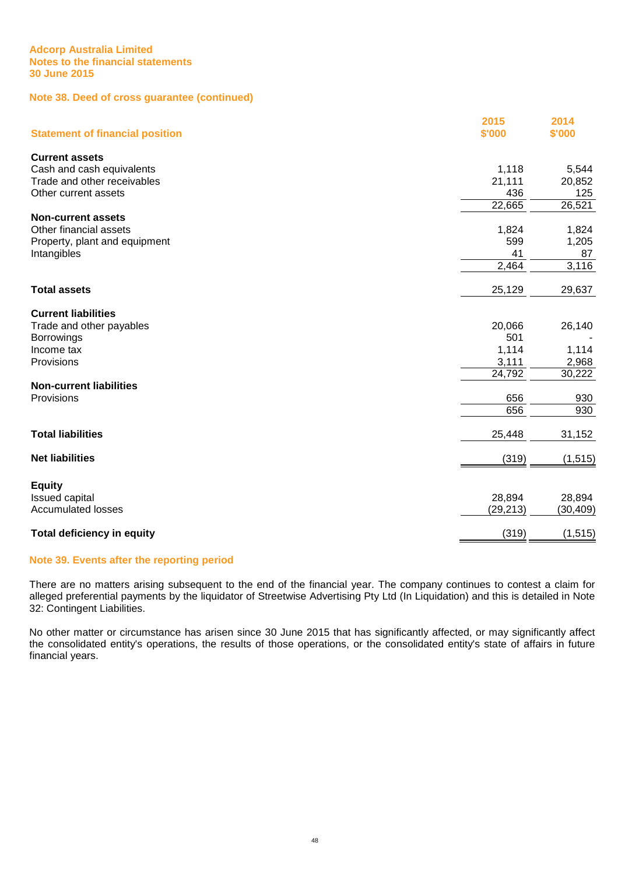# **Note 38. Deed of cross guarantee (continued)**

| <b>Statement of financial position</b> | 2015<br>\$'000 | 2014<br>\$'000 |
|----------------------------------------|----------------|----------------|
| <b>Current assets</b>                  |                |                |
| Cash and cash equivalents              | 1,118          | 5,544          |
| Trade and other receivables            | 21,111         | 20,852         |
| Other current assets                   | 436            | 125            |
|                                        | 22,665         | 26,521         |
| <b>Non-current assets</b>              |                |                |
| Other financial assets                 | 1,824          | 1,824          |
| Property, plant and equipment          | 599            | 1,205          |
| Intangibles                            | 41             | 87             |
|                                        | 2,464          | 3,116          |
| <b>Total assets</b>                    | 25,129         | 29,637         |
|                                        |                |                |
| <b>Current liabilities</b>             | 20,066         |                |
| Trade and other payables               | 501            | 26,140         |
| <b>Borrowings</b><br>Income tax        | 1,114          | 1,114          |
| Provisions                             | 3,111          | 2,968          |
|                                        | 24,792         | 30,222         |
| <b>Non-current liabilities</b>         |                |                |
| Provisions                             | 656            | 930            |
|                                        | 656            | 930            |
|                                        |                |                |
| <b>Total liabilities</b>               | 25,448         | 31,152         |
| <b>Net liabilities</b>                 | (319)          | (1, 515)       |
|                                        |                |                |
| <b>Equity</b>                          |                |                |
| <b>Issued capital</b>                  | 28,894         | 28,894         |
| <b>Accumulated losses</b>              | (29, 213)      | (30, 409)      |
| <b>Total deficiency in equity</b>      | (319)          | (1, 515)       |

# **Note 39. Events after the reporting period**

There are no matters arising subsequent to the end of the financial year. The company continues to contest a claim for alleged preferential payments by the liquidator of Streetwise Advertising Pty Ltd (In Liquidation) and this is detailed in Note 32: Contingent Liabilities.

No other matter or circumstance has arisen since 30 June 2015 that has significantly affected, or may significantly affect the consolidated entity's operations, the results of those operations, or the consolidated entity's state of affairs in future financial years.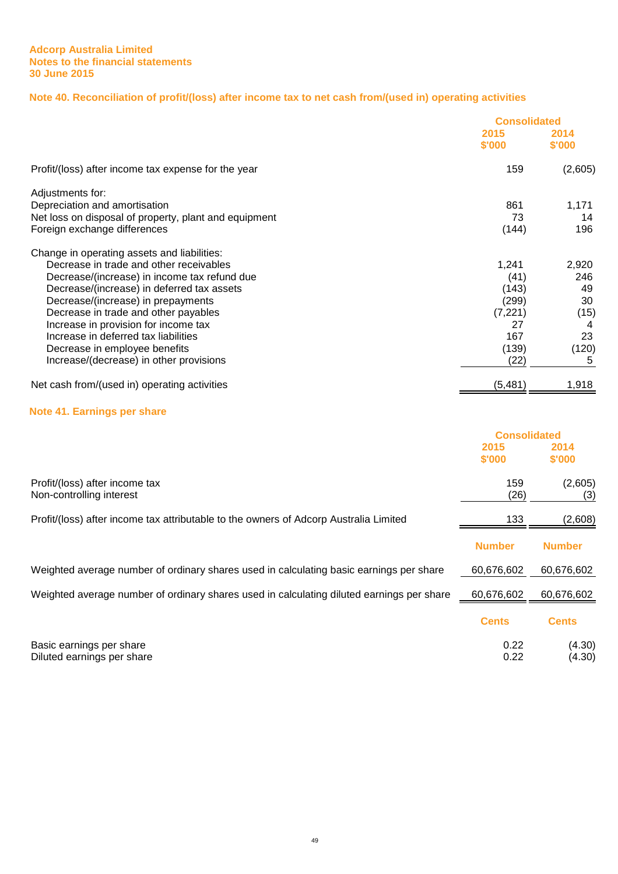# **Note 40. Reconciliation of profit/(loss) after income tax to net cash from/(used in) operating activities**

|                                                       |                | <b>Consolidated</b> |  |
|-------------------------------------------------------|----------------|---------------------|--|
|                                                       | 2015<br>\$'000 | 2014<br>\$'000      |  |
| Profit/(loss) after income tax expense for the year   | 159            | (2,605)             |  |
| Adjustments for:                                      |                |                     |  |
| Depreciation and amortisation                         | 861            | 1,171               |  |
| Net loss on disposal of property, plant and equipment | 73             | 14                  |  |
| Foreign exchange differences                          | (144)          | 196                 |  |
| Change in operating assets and liabilities:           |                |                     |  |
| Decrease in trade and other receivables               | 1,241          | 2,920               |  |
| Decrease/(increase) in income tax refund due          | (41)           | 246                 |  |
| Decrease/(increase) in deferred tax assets            | (143)          | 49                  |  |
| Decrease/(increase) in prepayments                    | (299)          | 30                  |  |
| Decrease in trade and other payables                  | (7, 221)       | (15)                |  |
| Increase in provision for income tax                  | 27             |                     |  |
| Increase in deferred tax liabilities                  | 167            | 23                  |  |
| Decrease in employee benefits                         | (139)          | (120)               |  |
| Increase/(decrease) in other provisions               | (22)           | 5                   |  |
| Net cash from/(used in) operating activities          | (5,481)        | 1,918               |  |

# **Note 41. Earnings per share**

|                                                                                           | <b>Consolidated</b> |                  |
|-------------------------------------------------------------------------------------------|---------------------|------------------|
|                                                                                           | 2015<br>\$'000      | 2014<br>\$'000   |
| Profit/(loss) after income tax<br>Non-controlling interest                                | 159<br>(26)         | (2,605)<br>(3)   |
| Profit/(loss) after income tax attributable to the owners of Adcorp Australia Limited     | 133                 | (2,608)          |
|                                                                                           | <b>Number</b>       | <b>Number</b>    |
| Weighted average number of ordinary shares used in calculating basic earnings per share   | 60,676,602          | 60,676,602       |
| Weighted average number of ordinary shares used in calculating diluted earnings per share | 60,676,602          | 60,676,602       |
|                                                                                           | <b>Cents</b>        | <b>Cents</b>     |
| Basic earnings per share<br>Diluted earnings per share                                    | 0.22<br>0.22        | (4.30)<br>(4.30) |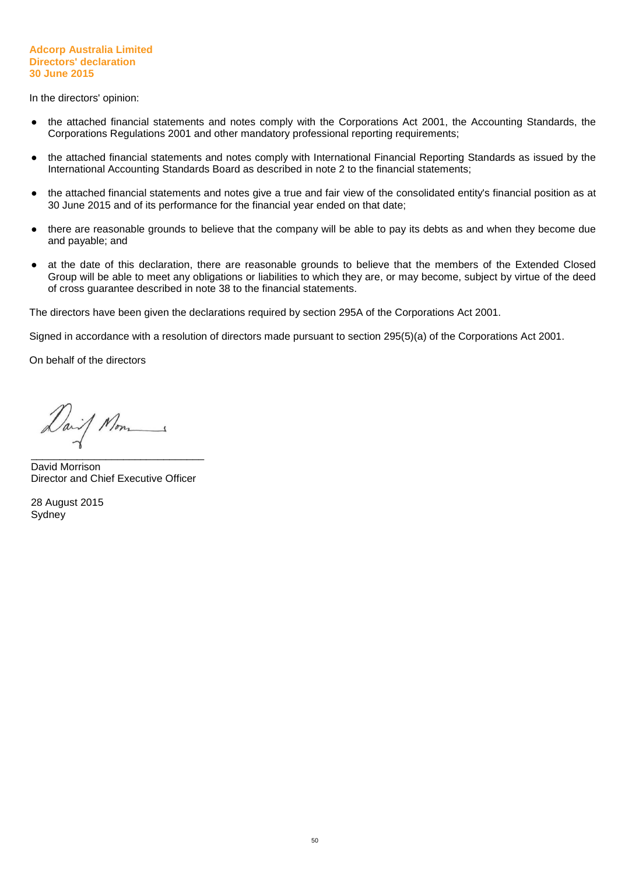#### **Adcorp Australia Limited Directors' declaration 30 June 2015**

In the directors' opinion:

- the attached financial statements and notes comply with the Corporations Act 2001, the Accounting Standards, the Corporations Regulations 2001 and other mandatory professional reporting requirements;
- the attached financial statements and notes comply with International Financial Reporting Standards as issued by the International Accounting Standards Board as described in note 2 to the financial statements;
- the attached financial statements and notes give a true and fair view of the consolidated entity's financial position as at 30 June 2015 and of its performance for the financial year ended on that date;
- there are reasonable grounds to believe that the company will be able to pay its debts as and when they become due and payable; and
- at the date of this declaration, there are reasonable grounds to believe that the members of the Extended Closed Group will be able to meet any obligations or liabilities to which they are, or may become, subject by virtue of the deed of cross guarantee described in note 38 to the financial statements.

The directors have been given the declarations required by section 295A of the Corporations Act 2001.

Signed in accordance with a resolution of directors made pursuant to section 295(5)(a) of the Corporations Act 2001.

On behalf of the directors

Dail Mon

\_\_\_\_\_\_\_\_\_\_\_\_\_\_\_\_\_\_\_\_\_\_\_\_\_\_\_\_\_\_ David Morrison Director and Chief Executive Officer

28 August 2015 Sydney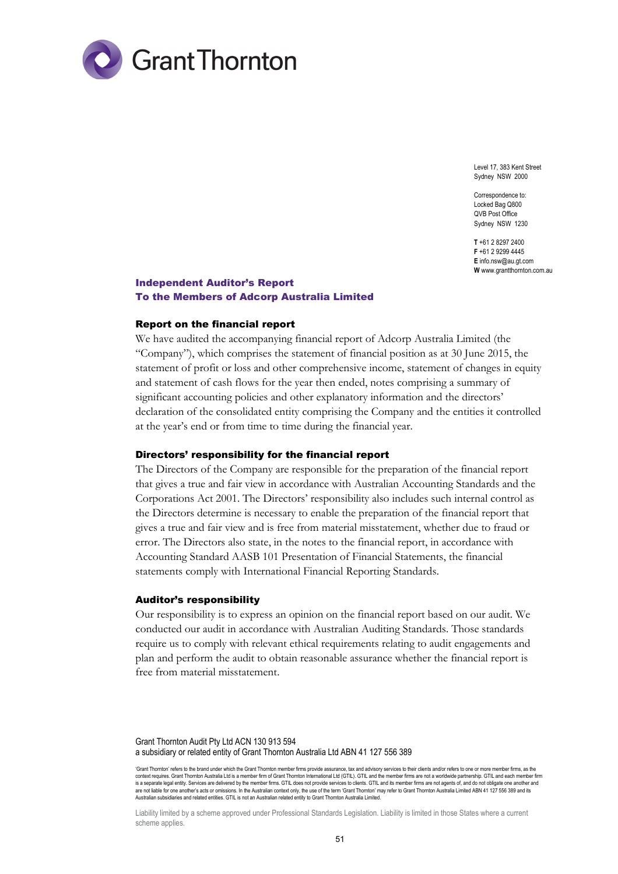

Level 17, 383 Kent Street Sydney NSW 2000

Correspondence to: Locked Bag Q800 QVB Post Office Sydney NSW 1230

**T** +61 2 8297 2400 **F** +61 2 9299 4445 **E** info.nsw@au.gt.com **W** www.grantthornton.com.au

# Independent Auditor's Report To the Members of Adcorp Australia Limited

#### Report on the financial report

We have audited the accompanying financial report of Adcorp Australia Limited (the "Company"), which comprises the statement of financial position as at 30 June 2015, the statement of profit or loss and other comprehensive income, statement of changes in equity and statement of cash flows for the year then ended, notes comprising a summary of significant accounting policies and other explanatory information and the directors' declaration of the consolidated entity comprising the Company and the entities it controlled at the year's end or from time to time during the financial year.

#### Directors' responsibility for the financial report

The Directors of the Company are responsible for the preparation of the financial report that gives a true and fair view in accordance with Australian Accounting Standards and the Corporations Act 2001. The Directors' responsibility also includes such internal control as the Directors determine is necessary to enable the preparation of the financial report that gives a true and fair view and is free from material misstatement, whether due to fraud or error. The Directors also state, in the notes to the financial report, in accordance with Accounting Standard AASB 101 Presentation of Financial Statements, the financial statements comply with International Financial Reporting Standards.

#### Auditor's responsibility

Our responsibility is to express an opinion on the financial report based on our audit. We conducted our audit in accordance with Australian Auditing Standards. Those standards require us to comply with relevant ethical requirements relating to audit engagements and plan and perform the audit to obtain reasonable assurance whether the financial report is free from material misstatement.

Grant Thornton Audit Pty Ltd ACN 130 913 594 a subsidiary or related entity of Grant Thornton Australia Ltd ABN 41 127 556 389

'Grant Thornton' refers to the brand under which the Grant Thornton member firms provide assurance, tax and advisory services to their clients and/or refers to one or more member firms, as the context requires. Grant Thornton Australia Ltd is a member firm of Grant Thornton International Ltd (GTIL). GTIL and the member firms are not a worldwide partnership. GTIL and each member firm is a separate legal entity. Services are delivered by the member firms. GTIL does not provide services to clients. GTIL and its member firms are not agents of, and do not obligate one another and are not liable for one another's acts or omissions. In the Australian context only, the use of the term 'Grant Thornton' may refer to Grant Thornton Australia Limited ABN 41 127 556 389 and its Australian subsidiaries and related entities. GTIL is not an Australian related entity to Grant Thornton Australia Limited.

Liability limited by a scheme approved under Professional Standards Legislation. Liability is limited in those States where a current scheme applies.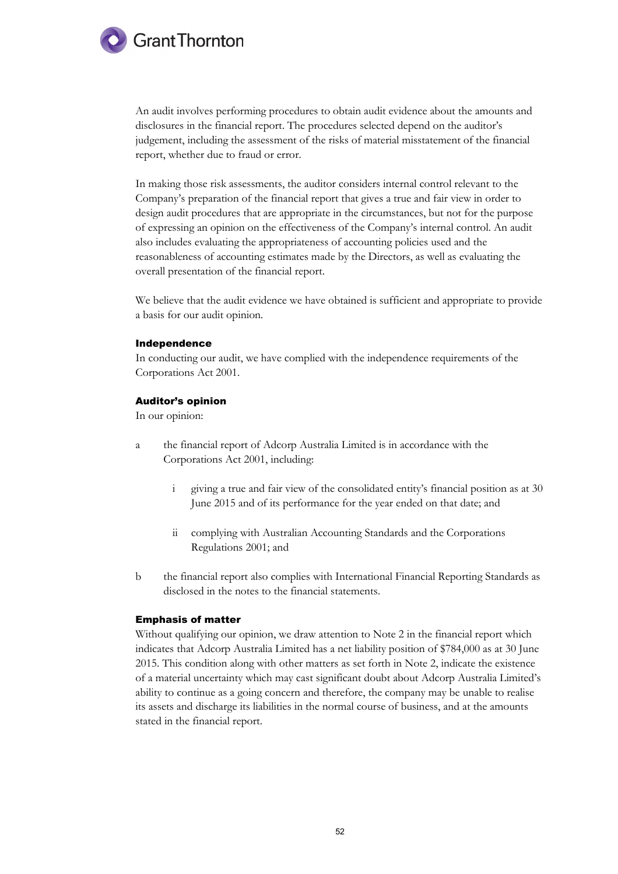

An audit involves performing procedures to obtain audit evidence about the amounts and disclosures in the financial report. The procedures selected depend on the auditor's judgement, including the assessment of the risks of material misstatement of the financial report, whether due to fraud or error.

In making those risk assessments, the auditor considers internal control relevant to the Company's preparation of the financial report that gives a true and fair view in order to design audit procedures that are appropriate in the circumstances, but not for the purpose of expressing an opinion on the effectiveness of the Company's internal control. An audit also includes evaluating the appropriateness of accounting policies used and the reasonableness of accounting estimates made by the Directors, as well as evaluating the overall presentation of the financial report.

We believe that the audit evidence we have obtained is sufficient and appropriate to provide a basis for our audit opinion.

#### Independence

In conducting our audit, we have complied with the independence requirements of the Corporations Act 2001.

#### Auditor's opinion

In our opinion:

- a the financial report of Adcorp Australia Limited is in accordance with the Corporations Act 2001, including:
	- i giving a true and fair view of the consolidated entity's financial position as at 30 June 2015 and of its performance for the year ended on that date; and
	- ii complying with Australian Accounting Standards and the Corporations Regulations 2001; and
- b the financial report also complies with International Financial Reporting Standards as disclosed in the notes to the financial statements.

## Emphasis of matter

Without qualifying our opinion, we draw attention to Note 2 in the financial report which indicates that Adcorp Australia Limited has a net liability position of \$784,000 as at 30 June 2015. This condition along with other matters as set forth in Note 2, indicate the existence of a material uncertainty which may cast significant doubt about Adcorp Australia Limited's ability to continue as a going concern and therefore, the company may be unable to realise its assets and discharge its liabilities in the normal course of business, and at the amounts stated in the financial report.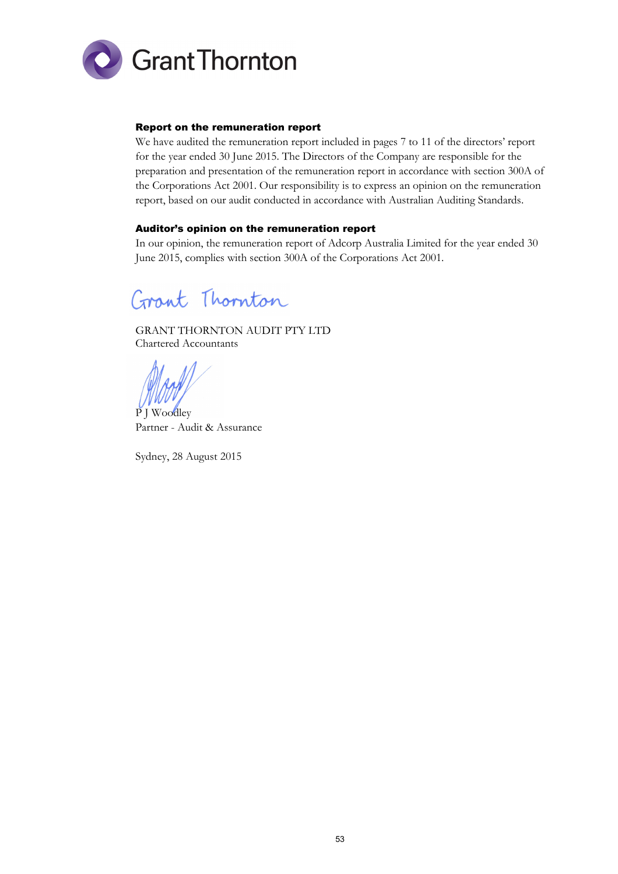

# Report on the remuneration report

We have audited the remuneration report included in pages 7 to 11 of the directors' report for the year ended 30 June 2015. The Directors of the Company are responsible for the preparation and presentation of the remuneration report in accordance with section 300A of the Corporations Act 2001. Our responsibility is to express an opinion on the remuneration report, based on our audit conducted in accordance with Australian Auditing Standards.

# Auditor's opinion on the remuneration report

In our opinion, the remuneration report of Adcorp Australia Limited for the year ended 30 June 2015, complies with section 300A of the Corporations Act 2001.

Grant Thornton

GRANT THORNTON AUDIT PTY LTD Chartered Accountants

1

P J Woodley Partner - Audit & Assurance

Sydney, 28 August 2015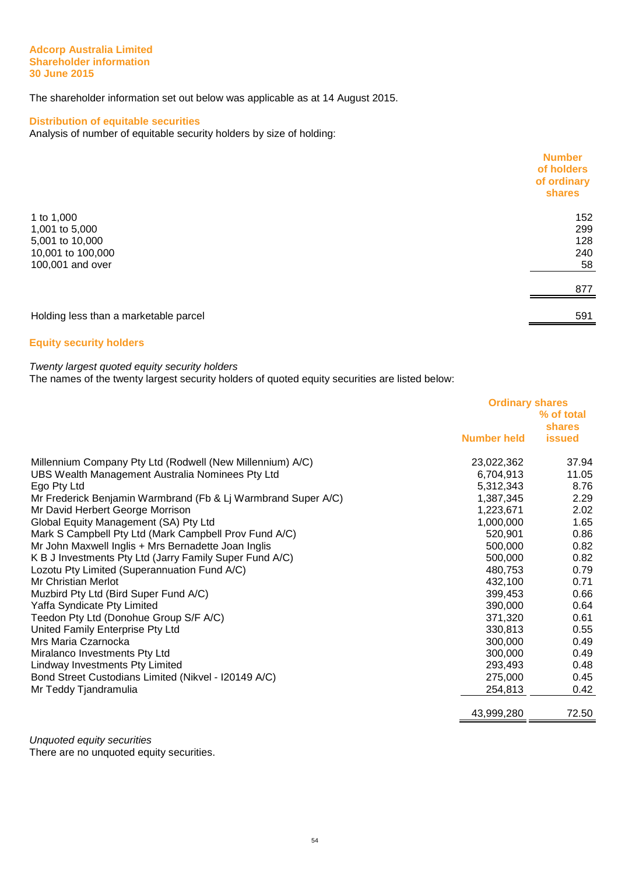#### **Adcorp Australia Limited Shareholder information 30 June 2015**

The shareholder information set out below was applicable as at 14 August 2015.

# **Distribution of equitable securities**

Analysis of number of equitable security holders by size of holding:

|                                       | <b>Number</b><br>of holders<br>of ordinary<br>shares |
|---------------------------------------|------------------------------------------------------|
| 1 to 1,000                            | 152                                                  |
| 1,001 to 5,000                        | 299                                                  |
| 5,001 to 10,000                       | 128                                                  |
| 10,001 to 100,000                     | 240                                                  |
| 100,001 and over                      | 58                                                   |
|                                       | 877                                                  |
| Holding less than a marketable parcel | 591                                                  |

# **Equity security holders**

# Twenty largest quoted equity security holders

The names of the twenty largest security holders of quoted equity securities are listed below:

|                                                               | <b>Ordinary shares</b> |               |
|---------------------------------------------------------------|------------------------|---------------|
|                                                               | % of total             |               |
|                                                               |                        | <b>shares</b> |
|                                                               | <b>Number held</b>     | <b>issued</b> |
| Millennium Company Pty Ltd (Rodwell (New Millennium) A/C)     | 23,022,362             | 37.94         |
| UBS Wealth Management Australia Nominees Pty Ltd              | 6,704,913              | 11.05         |
| Ego Pty Ltd                                                   | 5,312,343              | 8.76          |
| Mr Frederick Benjamin Warmbrand (Fb & Lj Warmbrand Super A/C) | 1,387,345              | 2.29          |
| Mr David Herbert George Morrison                              | 1,223,671              | 2.02          |
| Global Equity Management (SA) Pty Ltd                         | 1,000,000              | 1.65          |
| Mark S Campbell Pty Ltd (Mark Campbell Prov Fund A/C)         | 520,901                | 0.86          |
| Mr John Maxwell Inglis + Mrs Bernadette Joan Inglis           | 500,000                | 0.82          |
| K B J Investments Pty Ltd (Jarry Family Super Fund A/C)       | 500,000                | 0.82          |
| Lozotu Pty Limited (Superannuation Fund A/C)                  | 480,753                | 0.79          |
| Mr Christian Merlot                                           | 432,100                | 0.71          |
| Muzbird Pty Ltd (Bird Super Fund A/C)                         | 399,453                | 0.66          |
| Yaffa Syndicate Pty Limited                                   | 390,000                | 0.64          |
| Teedon Pty Ltd (Donohue Group S/F A/C)                        | 371,320                | 0.61          |
| United Family Enterprise Pty Ltd                              | 330,813                | 0.55          |
| Mrs Maria Czarnocka                                           | 300,000                | 0.49          |
| Miralanco Investments Pty Ltd                                 | 300,000                | 0.49          |
| Lindway Investments Pty Limited                               | 293,493                | 0.48          |
| Bond Street Custodians Limited (Nikvel - I20149 A/C)          | 275,000                | 0.45          |
| Mr Teddy Tjandramulia                                         | 254,813                | 0.42          |
|                                                               | 43,999,280             | 72.50         |
|                                                               |                        |               |

Unquoted equity securities

There are no unquoted equity securities.